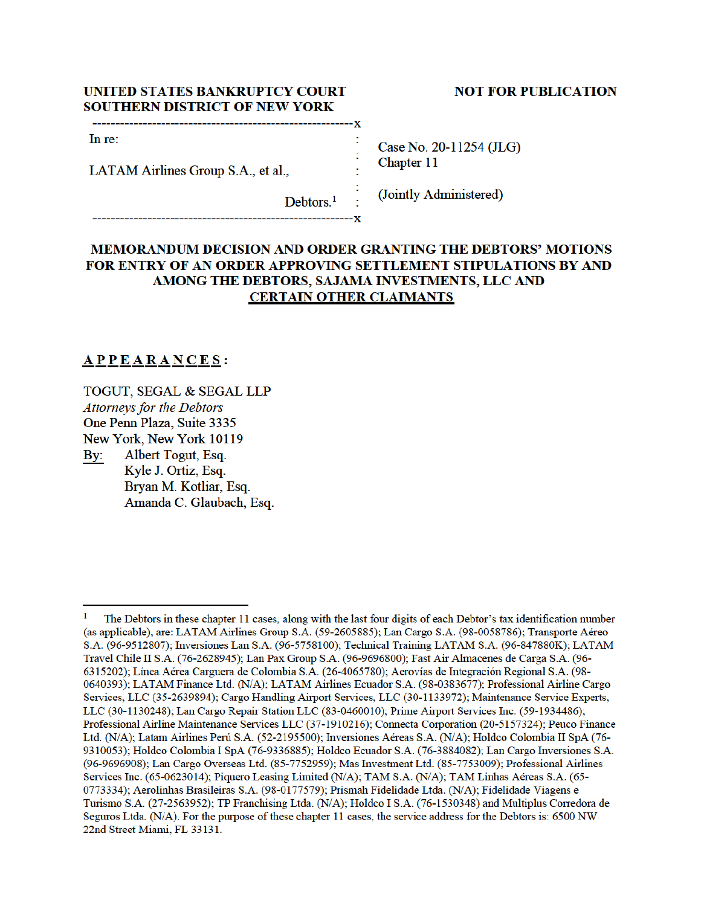## UNITED STATES BANKRUPTCY COURT **SOUTHERN DISTRICT OF NEW YORK**

#### -----------Y

In re:

LATAM Airlines Group S.A., et al.,

**NOT FOR PUBLICATION** 

Case No. 20-11254 (JLG) Chapter 11

(Jointly Administered)

# MEMORANDUM DECISION AND ORDER GRANTING THE DEBTORS' MOTIONS FOR ENTRY OF AN ORDER APPROVING SETTLEMENT STIPULATIONS BY AND AMONG THE DEBTORS, SAJAMA INVESTMENTS, LLC AND **CERTAIN OTHER CLAIMANTS**

 $Debtors.<sup>1</sup>$ 

# $**APP** **EAR** **NC** **ES** :$ </u>

TOGUT, SEGAL & SEGAL LLP **Attorneys for the Debtors** One Penn Plaza, Suite 3335 New York, New York 10119 Albert Togut, Esq. By: Kyle J. Ortiz, Esq. Bryan M. Kotliar, Esq.

Amanda C. Glaubach, Esq.

 $\mathbf{1}$ The Debtors in these chapter 11 cases, along with the last four digits of each Debtor's tax identification number (as applicable), are: LATAM Airlines Group S.A. (59-2605885); Lan Cargo S.A. (98-0058786); Transporte Aéreo S.A. (96-9512807); Inversiones Lan S.A. (96-5758100); Technical Training LATAM S.A. (96-847880K); LATAM Travel Chile II S.A. (76-2628945); Lan Pax Group S.A. (96-9696800); Fast Air Almacenes de Carga S.A. (96-6315202): Línea Aérea Carguera de Colombia S.A. (26-4065780); Aerovías de Integración Regional S.A. (98-0640393); LATAM Finance Ltd. (N/A); LATAM Airlines Ecuador S.A. (98-0383677); Professional Airline Cargo Services, LLC (35-2639894); Cargo Handling Airport Services, LLC (30-1133972); Maintenance Service Experts, LLC (30-1130248); Lan Cargo Repair Station LLC (83-0460010); Prime Airport Services Inc. (59-1934486); Professional Airline Maintenance Services LLC (37-1910216); Connecta Corporation (20-5157324); Peuco Finance Ltd. (N/A); Latam Airlines Perú S.A. (52-2195500); Inversiones Aéreas S.A. (N/A); Holdco Colombia II SpA (76-9310053); Holdco Colombia I SpA (76-9336885); Holdco Ecuador S.A. (76-3884082); Lan Cargo Inversiones S.A. (96-9696908); Lan Cargo Overseas Ltd. (85-7752959); Mas Investment Ltd. (85-7753009); Professional Airlines Services Inc. (65-0623014); Piquero Leasing Limited (N/A); TAM S.A. (N/A); TAM Linhas Aéreas S.A. (65-0773334); Aerolinhas Brasileiras S.A. (98-0177579); Prismah Fidelidade Ltda. (N/A); Fidelidade Viagens e Turismo S.A. (27-2563952); TP Franchising Ltda. (N/A); Holdco I S.A. (76-1530348) and Multiplus Corredora de Seguros Ltda. (N/A). For the purpose of these chapter 11 cases, the service address for the Debtors is: 6500 NW 22nd Street Miami, FL 33131.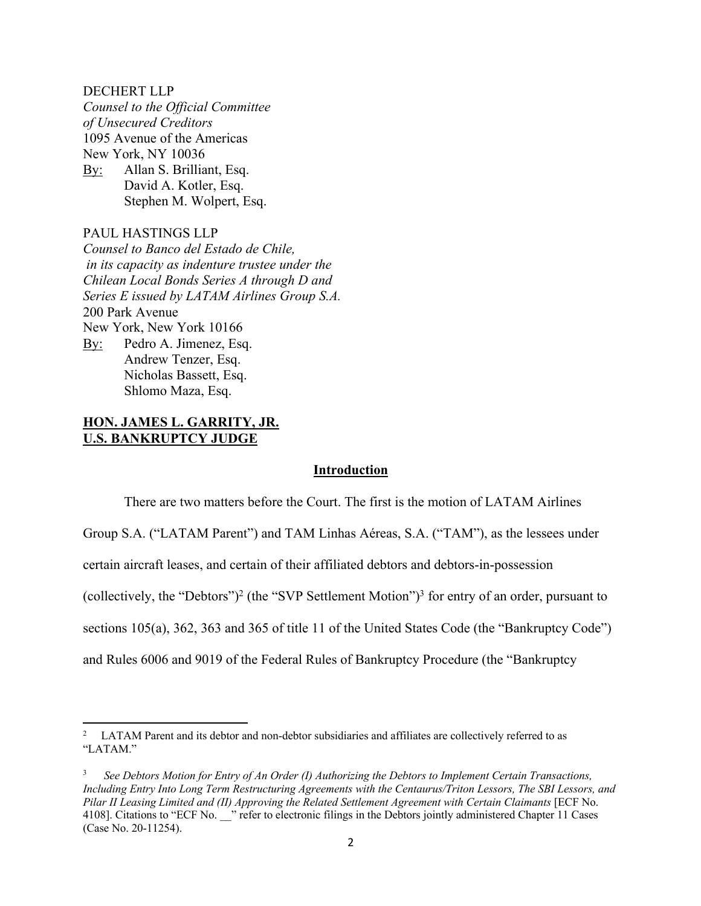#### DECHERT LLP

*Counsel to the Official Committee of Unsecured Creditors* 1095 Avenue of the Americas New York, NY 10036 By: Allan S. Brilliant, Esq. David A. Kotler, Esq. Stephen M. Wolpert, Esq.

### PAUL HASTINGS LLP

*Counsel to Banco del Estado de Chile, in its capacity as indenture trustee under the Chilean Local Bonds Series A through D and Series E issued by LATAM Airlines Group S.A.* 200 Park Avenue New York, New York 10166 By: Pedro A. Jimenez, Esq. Andrew Tenzer, Esq. Nicholas Bassett, Esq. Shlomo Maza, Esq.

# **HON. JAMES L. GARRITY, JR. U.S. BANKRUPTCY JUDGE**

#### **Introduction**

There are two matters before the Court. The first is the motion of LATAM Airlines Group S.A. ("LATAM Parent") and TAM Linhas Aéreas, S.A. ("TAM"), as the lessees under certain aircraft leases, and certain of their affiliated debtors and debtors-in-possession (collectively, the "Debtors")<sup>2</sup> (the "SVP Settlement Motion")<sup>3</sup> for entry of an order, pursuant to sections 105(a), 362, 363 and 365 of title 11 of the United States Code (the "Bankruptcy Code") and Rules 6006 and 9019 of the Federal Rules of Bankruptcy Procedure (the "Bankruptcy

<sup>2</sup> LATAM Parent and its debtor and non-debtor subsidiaries and affiliates are collectively referred to as "LATAM."

<sup>3</sup> *See Debtors Motion for Entry of An Order (I) Authorizing the Debtors to Implement Certain Transactions, Including Entry Into Long Term Restructuring Agreements with the Centaurus/Triton Lessors, The SBI Lessors, and Pilar II Leasing Limited and (II) Approving the Related Settlement Agreement with Certain Claimants* [ECF No. 4108]. Citations to "ECF No. with refer to electronic filings in the Debtors jointly administered Chapter 11 Cases (Case No. 20-11254).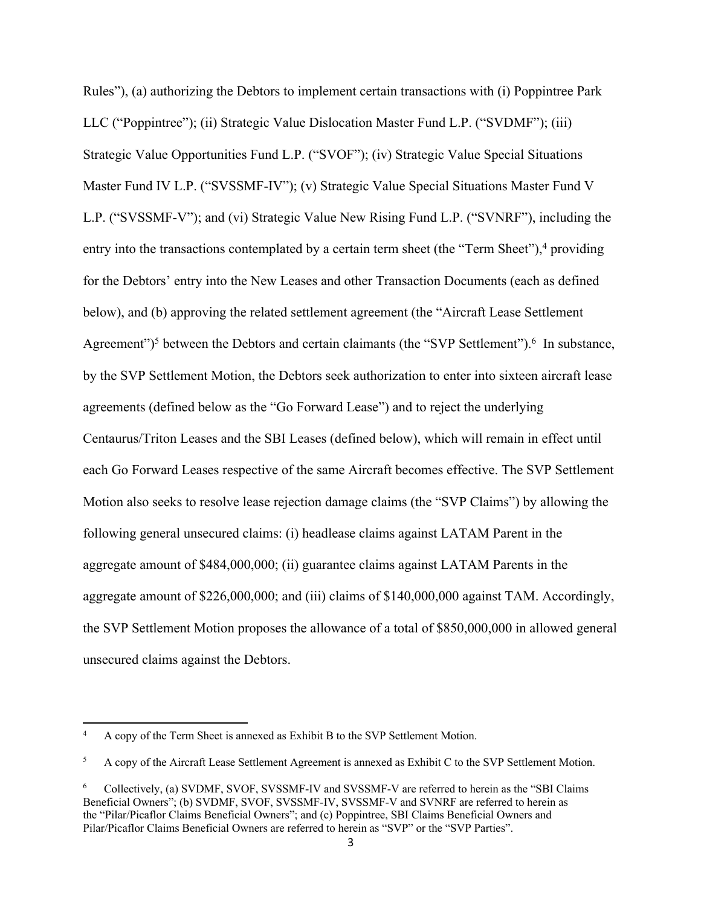Rules"), (a) authorizing the Debtors to implement certain transactions with (i) Poppintree Park LLC ("Poppintree"); (ii) Strategic Value Dislocation Master Fund L.P. ("SVDMF"); (iii) Strategic Value Opportunities Fund L.P. ("SVOF"); (iv) Strategic Value Special Situations Master Fund IV L.P. ("SVSSMF-IV"); (v) Strategic Value Special Situations Master Fund V L.P. ("SVSSMF-V"); and (vi) Strategic Value New Rising Fund L.P. ("SVNRF"), including the entry into the transactions contemplated by a certain term sheet (the "Term Sheet"), $4$  providing for the Debtors' entry into the New Leases and other Transaction Documents (each as defined below), and (b) approving the related settlement agreement (the "Aircraft Lease Settlement Agreement")<sup>5</sup> between the Debtors and certain claimants (the "SVP Settlement").<sup>6</sup> In substance, by the SVP Settlement Motion, the Debtors seek authorization to enter into sixteen aircraft lease agreements (defined below as the "Go Forward Lease") and to reject the underlying Centaurus/Triton Leases and the SBI Leases (defined below), which will remain in effect until each Go Forward Leases respective of the same Aircraft becomes effective. The SVP Settlement Motion also seeks to resolve lease rejection damage claims (the "SVP Claims") by allowing the following general unsecured claims: (i) headlease claims against LATAM Parent in the aggregate amount of \$484,000,000; (ii) guarantee claims against LATAM Parents in the aggregate amount of \$226,000,000; and (iii) claims of \$140,000,000 against TAM. Accordingly, the SVP Settlement Motion proposes the allowance of a total of \$850,000,000 in allowed general unsecured claims against the Debtors.

<sup>4</sup> A copy of the Term Sheet is annexed as Exhibit B to the SVP Settlement Motion.

<sup>5</sup> A copy of the Aircraft Lease Settlement Agreement is annexed as Exhibit C to the SVP Settlement Motion.

<sup>6</sup> Collectively, (a) SVDMF, SVOF, SVSSMF-IV and SVSSMF-V are referred to herein as the "SBI Claims Beneficial Owners"; (b) SVDMF, SVOF, SVSSMF-IV, SVSSMF-V and SVNRF are referred to herein as the "Pilar/Picaflor Claims Beneficial Owners"; and (c) Poppintree, SBI Claims Beneficial Owners and Pilar/Picaflor Claims Beneficial Owners are referred to herein as "SVP" or the "SVP Parties".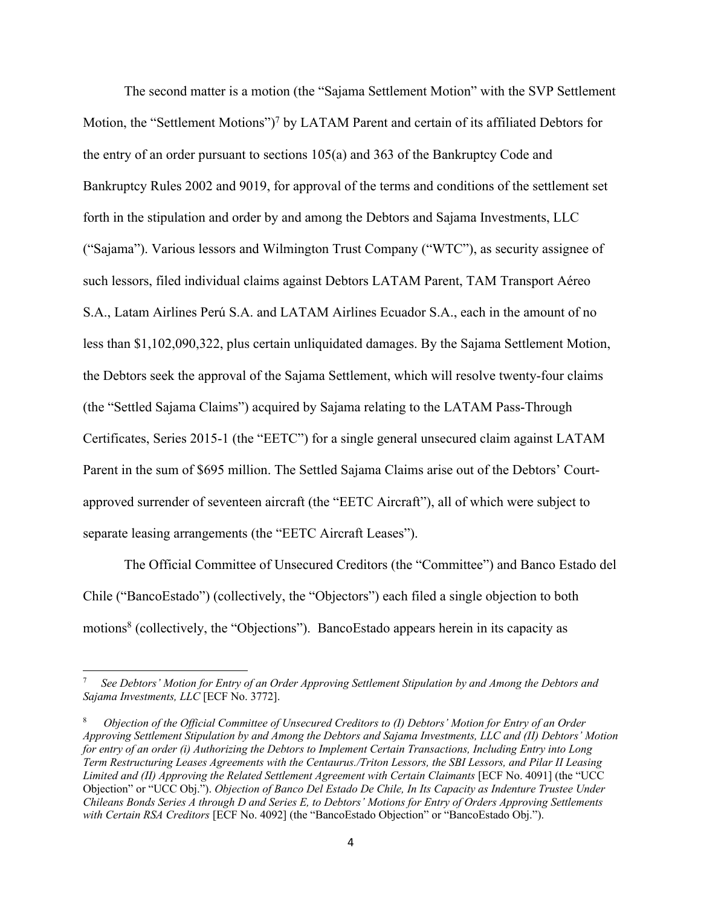The second matter is a motion (the "Sajama Settlement Motion" with the SVP Settlement Motion, the "Settlement Motions")<sup>7</sup> by LATAM Parent and certain of its affiliated Debtors for the entry of an order pursuant to sections 105(a) and 363 of the Bankruptcy Code and Bankruptcy Rules 2002 and 9019, for approval of the terms and conditions of the settlement set forth in the stipulation and order by and among the Debtors and Sajama Investments, LLC ("Sajama"). Various lessors and Wilmington Trust Company ("WTC"), as security assignee of such lessors, filed individual claims against Debtors LATAM Parent, TAM Transport Aéreo S.A., Latam Airlines Perú S.A. and LATAM Airlines Ecuador S.A., each in the amount of no less than \$1,102,090,322, plus certain unliquidated damages. By the Sajama Settlement Motion, the Debtors seek the approval of the Sajama Settlement, which will resolve twenty-four claims (the "Settled Sajama Claims") acquired by Sajama relating to the LATAM Pass-Through Certificates, Series 2015-1 (the "EETC") for a single general unsecured claim against LATAM Parent in the sum of \$695 million. The Settled Sajama Claims arise out of the Debtors' Courtapproved surrender of seventeen aircraft (the "EETC Aircraft"), all of which were subject to separate leasing arrangements (the "EETC Aircraft Leases").

The Official Committee of Unsecured Creditors (the "Committee") and Banco Estado del Chile ("BancoEstado") (collectively, the "Objectors") each filed a single objection to both motions<sup>8</sup> (collectively, the "Objections"). BancoEstado appears herein in its capacity as

<sup>7</sup> *See Debtors' Motion for Entry of an Order Approving Settlement Stipulation by and Among the Debtors and Sajama Investments, LLC* [ECF No. 3772].

<sup>8</sup> *Objection of the Official Committee of Unsecured Creditors to (I) Debtors' Motion for Entry of an Order Approving Settlement Stipulation by and Among the Debtors and Sajama Investments, LLC and (II) Debtors' Motion for entry of an order (i) Authorizing the Debtors to Implement Certain Transactions, Including Entry into Long Term Restructuring Leases Agreements with the Centaurus./Triton Lessors, the SBI Lessors, and Pilar II Leasing Limited and (II) Approving the Related Settlement Agreement with Certain Claimants* [ECF No. 4091] (the "UCC Objection" or "UCC Obj."). *Objection of Banco Del Estado De Chile, In Its Capacity as Indenture Trustee Under Chileans Bonds Series A through D and Series E, to Debtors' Motions for Entry of Orders Approving Settlements with Certain RSA Creditors* [ECF No. 4092] (the "BancoEstado Objection" or "BancoEstado Obj.").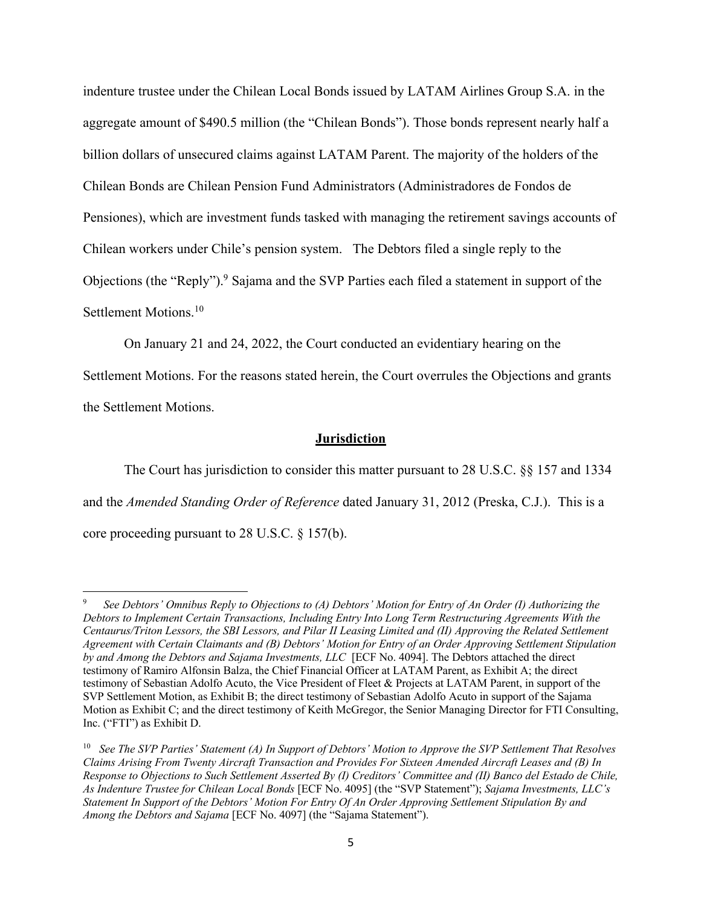indenture trustee under the Chilean Local Bonds issued by LATAM Airlines Group S.A. in the aggregate amount of \$490.5 million (the "Chilean Bonds"). Those bonds represent nearly half a billion dollars of unsecured claims against LATAM Parent. The majority of the holders of the Chilean Bonds are Chilean Pension Fund Administrators (Administradores de Fondos de Pensiones), which are investment funds tasked with managing the retirement savings accounts of Chilean workers under Chile's pension system. The Debtors filed a single reply to the Objections (the "Reply").9 Sajama and the SVP Parties each filed a statement in support of the Settlement Motions.<sup>10</sup>

On January 21 and 24, 2022, the Court conducted an evidentiary hearing on the

Settlement Motions. For the reasons stated herein, the Court overrules the Objections and grants the Settlement Motions.

### **Jurisdiction**

The Court has jurisdiction to consider this matter pursuant to 28 U.S.C. §§ 157 and 1334 and the *Amended Standing Order of Reference* dated January 31, 2012 (Preska, C.J.). This is a core proceeding pursuant to 28 U.S.C. § 157(b).

<sup>9</sup> *See Debtors' Omnibus Reply to Objections to (A) Debtors' Motion for Entry of An Order (I) Authorizing the Debtors to Implement Certain Transactions, Including Entry Into Long Term Restructuring Agreements With the Centaurus/Triton Lessors, the SBI Lessors, and Pilar II Leasing Limited and (II) Approving the Related Settlement Agreement with Certain Claimants and (B) Debtors' Motion for Entry of an Order Approving Settlement Stipulation by and Among the Debtors and Sajama Investments, LLC* [ECF No. 4094]. The Debtors attached the direct testimony of Ramiro Alfonsin Balza, the Chief Financial Officer at LATAM Parent, as Exhibit A; the direct testimony of Sebastian Adolfo Acuto, the Vice President of Fleet & Projects at LATAM Parent, in support of the SVP Settlement Motion, as Exhibit B; the direct testimony of Sebastian Adolfo Acuto in support of the Sajama Motion as Exhibit C; and the direct testimony of Keith McGregor, the Senior Managing Director for FTI Consulting, Inc. ("FTI") as Exhibit D.

<sup>10</sup> *See The SVP Parties' Statement (A) In Support of Debtors' Motion to Approve the SVP Settlement That Resolves Claims Arising From Twenty Aircraft Transaction and Provides For Sixteen Amended Aircraft Leases and (B) In Response to Objections to Such Settlement Asserted By (I) Creditors' Committee and (II) Banco del Estado de Chile, As Indenture Trustee for Chilean Local Bonds* [ECF No. 4095] (the "SVP Statement"); *Sajama Investments, LLC's Statement In Support of the Debtors' Motion For Entry Of An Order Approving Settlement Stipulation By and Among the Debtors and Sajama* [ECF No. 4097] (the "Sajama Statement").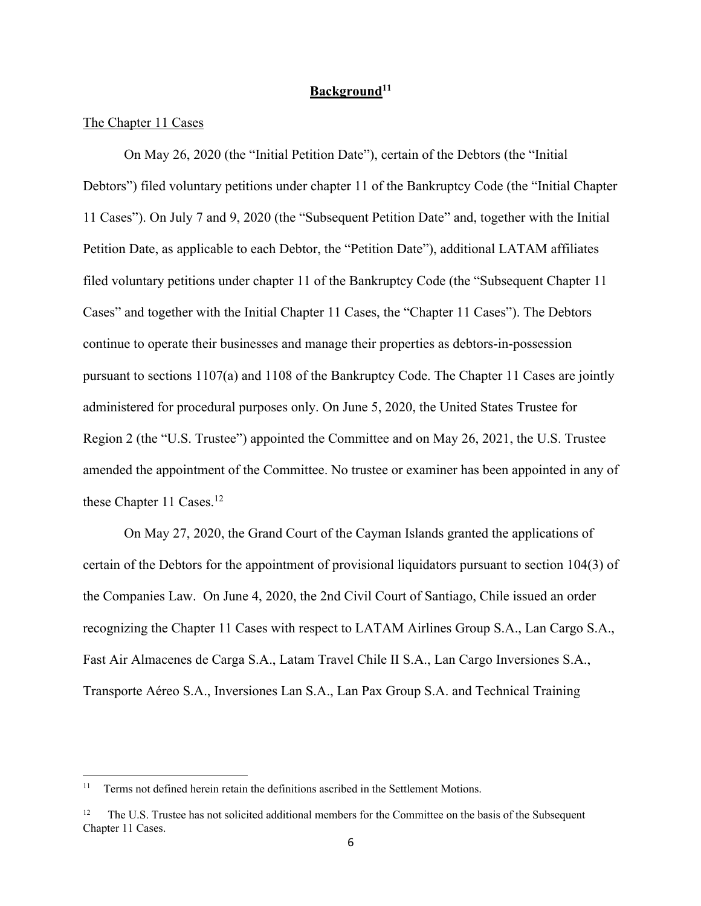# **Background11**

## The Chapter 11 Cases

On May 26, 2020 (the "Initial Petition Date"), certain of the Debtors (the "Initial Debtors") filed voluntary petitions under chapter 11 of the Bankruptcy Code (the "Initial Chapter 11 Cases"). On July 7 and 9, 2020 (the "Subsequent Petition Date" and, together with the Initial Petition Date, as applicable to each Debtor, the "Petition Date"), additional LATAM affiliates filed voluntary petitions under chapter 11 of the Bankruptcy Code (the "Subsequent Chapter 11 Cases" and together with the Initial Chapter 11 Cases, the "Chapter 11 Cases"). The Debtors continue to operate their businesses and manage their properties as debtors-in-possession pursuant to sections 1107(a) and 1108 of the Bankruptcy Code. The Chapter 11 Cases are jointly administered for procedural purposes only. On June 5, 2020, the United States Trustee for Region 2 (the "U.S. Trustee") appointed the Committee and on May 26, 2021, the U.S. Trustee amended the appointment of the Committee. No trustee or examiner has been appointed in any of these Chapter 11 Cases.<sup>12</sup>

On May 27, 2020, the Grand Court of the Cayman Islands granted the applications of certain of the Debtors for the appointment of provisional liquidators pursuant to section 104(3) of the Companies Law. On June 4, 2020, the 2nd Civil Court of Santiago, Chile issued an order recognizing the Chapter 11 Cases with respect to LATAM Airlines Group S.A., Lan Cargo S.A., Fast Air Almacenes de Carga S.A., Latam Travel Chile II S.A., Lan Cargo Inversiones S.A., Transporte Aéreo S.A., Inversiones Lan S.A., Lan Pax Group S.A. and Technical Training

<sup>&</sup>lt;sup>11</sup> Terms not defined herein retain the definitions ascribed in the Settlement Motions.

<sup>&</sup>lt;sup>12</sup> The U.S. Trustee has not solicited additional members for the Committee on the basis of the Subsequent Chapter 11 Cases.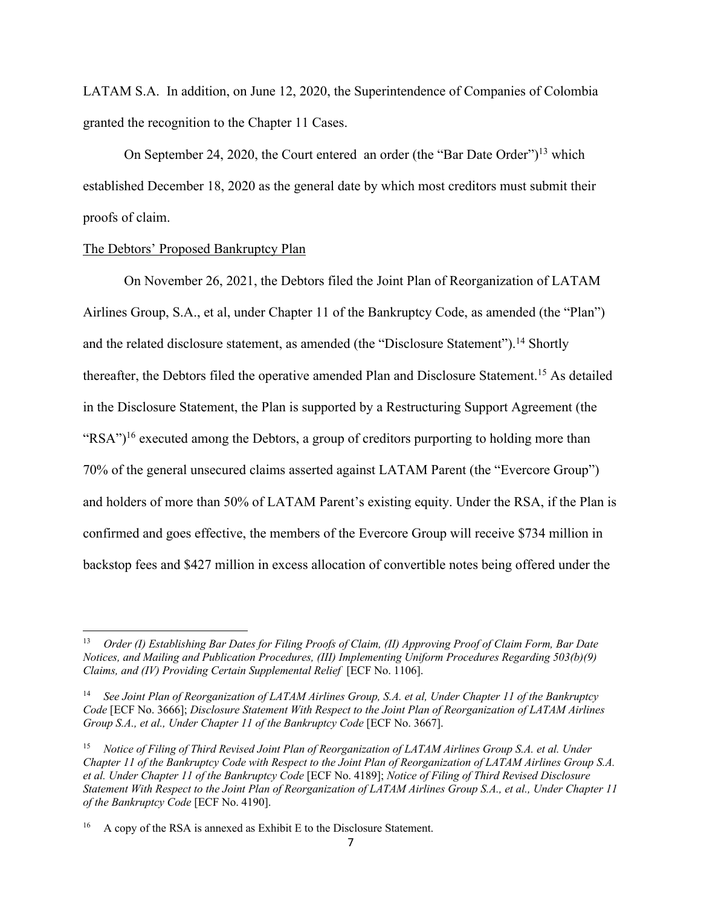LATAM S.A. In addition, on June 12, 2020, the Superintendence of Companies of Colombia granted the recognition to the Chapter 11 Cases.

On September 24, 2020, the Court entered an order (the "Bar Date Order")<sup>13</sup> which established December 18, 2020 as the general date by which most creditors must submit their proofs of claim.

### The Debtors' Proposed Bankruptcy Plan

On November 26, 2021, the Debtors filed the Joint Plan of Reorganization of LATAM Airlines Group, S.A., et al, under Chapter 11 of the Bankruptcy Code, as amended (the "Plan") and the related disclosure statement, as amended (the "Disclosure Statement").<sup>14</sup> Shortly thereafter, the Debtors filed the operative amended Plan and Disclosure Statement.15 As detailed in the Disclosure Statement, the Plan is supported by a Restructuring Support Agreement (the "RSA")<sup>16</sup> executed among the Debtors, a group of creditors purporting to holding more than 70% of the general unsecured claims asserted against LATAM Parent (the "Evercore Group") and holders of more than 50% of LATAM Parent's existing equity. Under the RSA, if the Plan is confirmed and goes effective, the members of the Evercore Group will receive \$734 million in backstop fees and \$427 million in excess allocation of convertible notes being offered under the

<sup>13</sup> *Order (I) Establishing Bar Dates for Filing Proofs of Claim, (II) Approving Proof of Claim Form, Bar Date Notices, and Mailing and Publication Procedures, (III) Implementing Uniform Procedures Regarding 503(b)(9) Claims, and (IV) Providing Certain Supplemental Relief* [ECF No. 1106].

<sup>14</sup> *See Joint Plan of Reorganization of LATAM Airlines Group, S.A. et al, Under Chapter 11 of the Bankruptcy Code* [ECF No. 3666]; *Disclosure Statement With Respect to the Joint Plan of Reorganization of LATAM Airlines Group S.A., et al., Under Chapter 11 of the Bankruptcy Code* [ECF No. 3667].

<sup>15</sup> *Notice of Filing of Third Revised Joint Plan of Reorganization of LATAM Airlines Group S.A. et al. Under Chapter 11 of the Bankruptcy Code with Respect to the Joint Plan of Reorganization of LATAM Airlines Group S.A. et al. Under Chapter 11 of the Bankruptcy Code* [ECF No. 4189]; *Notice of Filing of Third Revised Disclosure Statement With Respect to the Joint Plan of Reorganization of LATAM Airlines Group S.A., et al., Under Chapter 11 of the Bankruptcy Code* [ECF No. 4190].

<sup>&</sup>lt;sup>16</sup> A copy of the RSA is annexed as Exhibit E to the Disclosure Statement.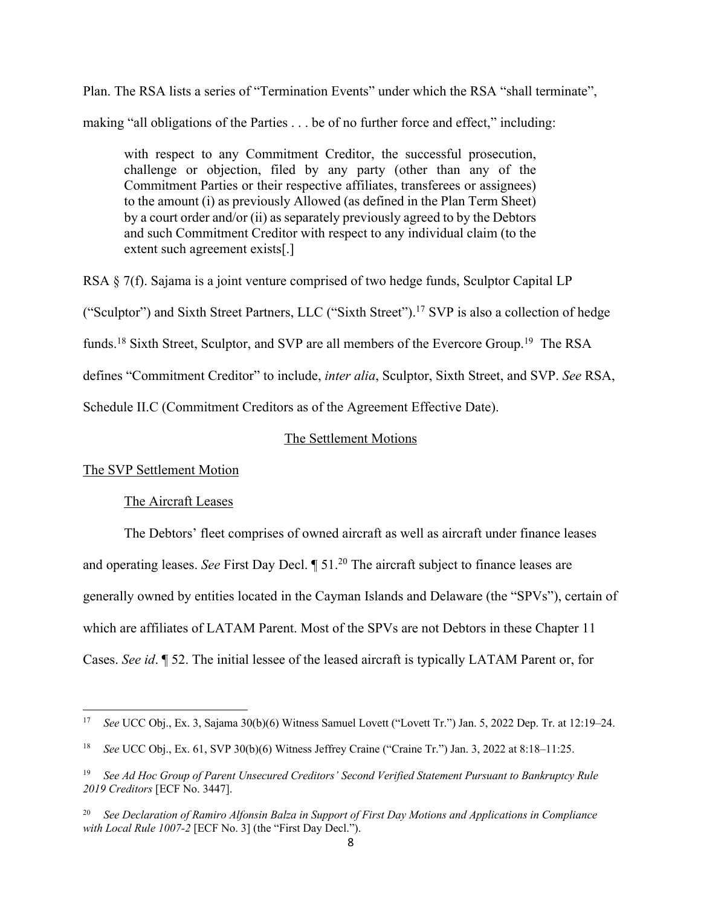Plan. The RSA lists a series of "Termination Events" under which the RSA "shall terminate", making "all obligations of the Parties . . . be of no further force and effect," including:

with respect to any Commitment Creditor, the successful prosecution, challenge or objection, filed by any party (other than any of the Commitment Parties or their respective affiliates, transferees or assignees) to the amount (i) as previously Allowed (as defined in the Plan Term Sheet) by a court order and/or (ii) as separately previously agreed to by the Debtors and such Commitment Creditor with respect to any individual claim (to the extent such agreement exists[.]

RSA § 7(f). Sajama is a joint venture comprised of two hedge funds, Sculptor Capital LP ("Sculptor") and Sixth Street Partners, LLC ("Sixth Street"). <sup>17</sup> SVP is also a collection of hedge funds.<sup>18</sup> Sixth Street, Sculptor, and SVP are all members of the Evercore Group.<sup>19</sup> The RSA defines "Commitment Creditor" to include, *inter alia*, Sculptor, Sixth Street, and SVP. *See* RSA, Schedule II.C (Commitment Creditors as of the Agreement Effective Date).

### The Settlement Motions

The SVP Settlement Motion

### The Aircraft Leases

The Debtors' fleet comprises of owned aircraft as well as aircraft under finance leases and operating leases. *See* First Day Decl. *[51.<sup>20</sup>* The aircraft subject to finance leases are generally owned by entities located in the Cayman Islands and Delaware (the "SPVs"), certain of which are affiliates of LATAM Parent. Most of the SPVs are not Debtors in these Chapter 11 Cases. *See id*. ¶ 52. The initial lessee of the leased aircraft is typically LATAM Parent or, for

<sup>17</sup> *See* UCC Obj., Ex. 3, Sajama 30(b)(6) Witness Samuel Lovett ("Lovett Tr.") Jan. 5, 2022 Dep. Tr. at 12:19–24.

<sup>18</sup> *See* UCC Obj., Ex. 61, SVP 30(b)(6) Witness Jeffrey Craine ("Craine Tr.") Jan. 3, 2022 at 8:18–11:25.

<sup>19</sup> *See Ad Hoc Group of Parent Unsecured Creditors' Second Verified Statement Pursuant to Bankruptcy Rule 2019 Creditors* [ECF No. 3447].

<sup>20</sup> *See Declaration of Ramiro Alfonsin Balza in Support of First Day Motions and Applications in Compliance with Local Rule 1007-2* [ECF No. 3] (the "First Day Decl.").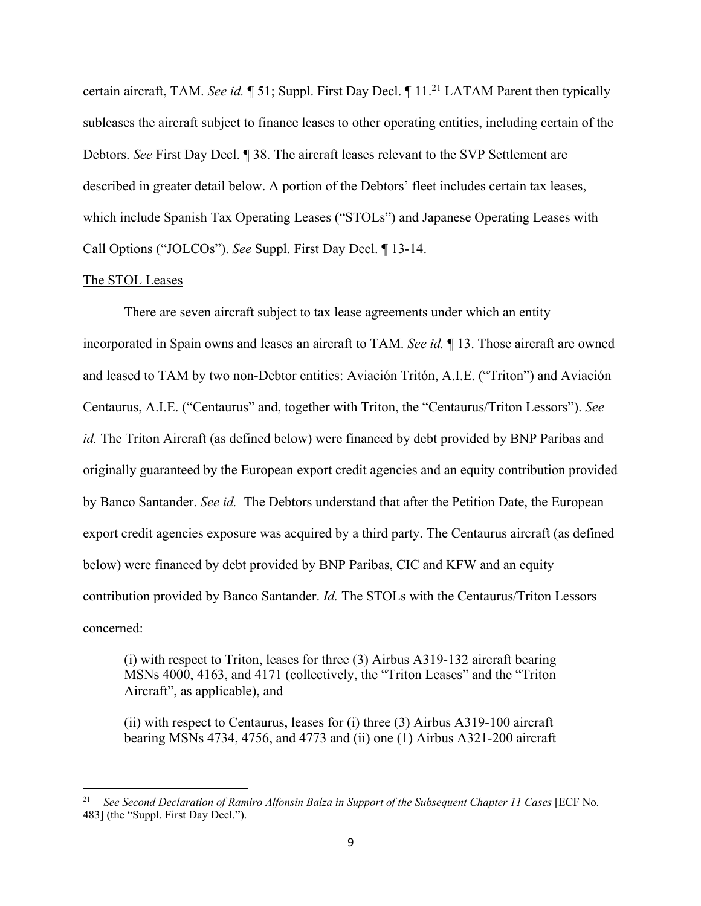certain aircraft, TAM. *See id.* 151; Suppl. First Day Decl. 11.<sup>21</sup> LATAM Parent then typically subleases the aircraft subject to finance leases to other operating entities, including certain of the Debtors. *See* First Day Decl. ¶ 38. The aircraft leases relevant to the SVP Settlement are described in greater detail below. A portion of the Debtors' fleet includes certain tax leases, which include Spanish Tax Operating Leases ("STOLs") and Japanese Operating Leases with Call Options ("JOLCOs"). *See* Suppl. First Day Decl. ¶ 13-14.

#### The STOL Leases

There are seven aircraft subject to tax lease agreements under which an entity incorporated in Spain owns and leases an aircraft to TAM. *See id.* ¶ 13. Those aircraft are owned and leased to TAM by two non-Debtor entities: Aviación Tritón, A.I.E. ("Triton") and Aviación Centaurus, A.I.E. ("Centaurus" and, together with Triton, the "Centaurus/Triton Lessors"). *See id.* The Triton Aircraft (as defined below) were financed by debt provided by BNP Paribas and originally guaranteed by the European export credit agencies and an equity contribution provided by Banco Santander. *See id.* The Debtors understand that after the Petition Date, the European export credit agencies exposure was acquired by a third party. The Centaurus aircraft (as defined below) were financed by debt provided by BNP Paribas, CIC and KFW and an equity contribution provided by Banco Santander. *Id.* The STOLs with the Centaurus/Triton Lessors concerned:

(i) with respect to Triton, leases for three (3) Airbus A319-132 aircraft bearing MSNs 4000, 4163, and 4171 (collectively, the "Triton Leases" and the "Triton Aircraft", as applicable), and

(ii) with respect to Centaurus, leases for (i) three (3) Airbus A319-100 aircraft bearing MSNs 4734, 4756, and 4773 and (ii) one (1) Airbus A321-200 aircraft

<sup>21</sup> *See Second Declaration of Ramiro Alfonsin Balza in Support of the Subsequent Chapter 11 Cases* [ECF No. 483] (the "Suppl. First Day Decl.").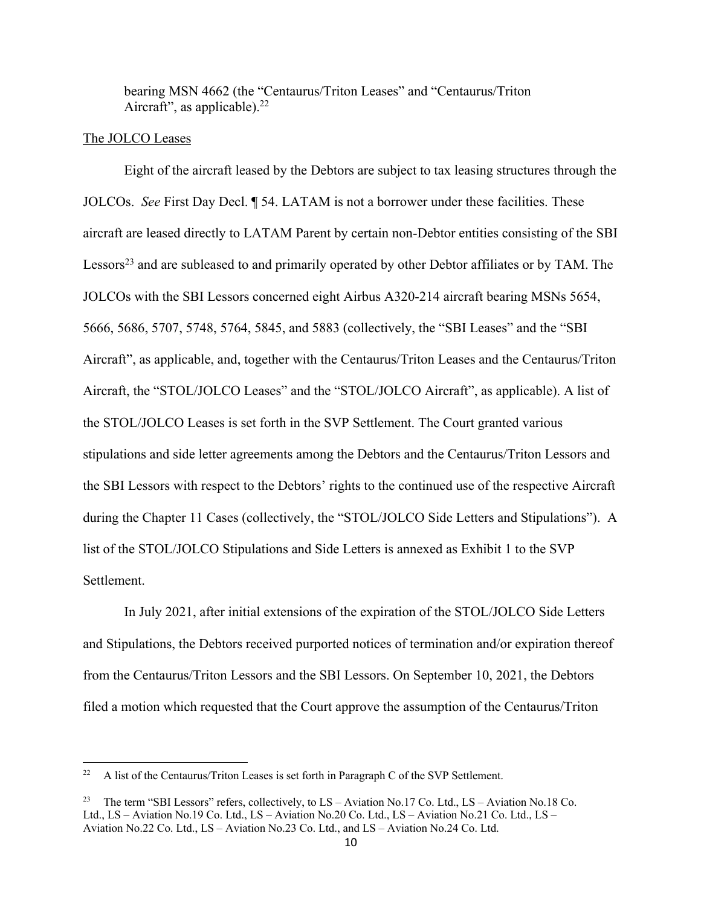bearing MSN 4662 (the "Centaurus/Triton Leases" and "Centaurus/Triton Aircraft", as applicable). $22$ 

## The JOLCO Leases

Eight of the aircraft leased by the Debtors are subject to tax leasing structures through the JOLCOs. *See* First Day Decl. ¶ 54. LATAM is not a borrower under these facilities. These aircraft are leased directly to LATAM Parent by certain non-Debtor entities consisting of the SBI Lessors<sup>23</sup> and are subleased to and primarily operated by other Debtor affiliates or by TAM. The JOLCOs with the SBI Lessors concerned eight Airbus A320-214 aircraft bearing MSNs 5654, 5666, 5686, 5707, 5748, 5764, 5845, and 5883 (collectively, the "SBI Leases" and the "SBI Aircraft", as applicable, and, together with the Centaurus/Triton Leases and the Centaurus/Triton Aircraft, the "STOL/JOLCO Leases" and the "STOL/JOLCO Aircraft", as applicable). A list of the STOL/JOLCO Leases is set forth in the SVP Settlement. The Court granted various stipulations and side letter agreements among the Debtors and the Centaurus/Triton Lessors and the SBI Lessors with respect to the Debtors' rights to the continued use of the respective Aircraft during the Chapter 11 Cases (collectively, the "STOL/JOLCO Side Letters and Stipulations"). A list of the STOL/JOLCO Stipulations and Side Letters is annexed as Exhibit 1 to the SVP Settlement.

In July 2021, after initial extensions of the expiration of the STOL/JOLCO Side Letters and Stipulations, the Debtors received purported notices of termination and/or expiration thereof from the Centaurus/Triton Lessors and the SBI Lessors. On September 10, 2021, the Debtors filed a motion which requested that the Court approve the assumption of the Centaurus/Triton

<sup>&</sup>lt;sup>22</sup> A list of the Centaurus/Triton Leases is set forth in Paragraph C of the SVP Settlement.

<sup>23</sup> The term "SBI Lessors" refers, collectively, to LS – Aviation No.17 Co. Ltd., LS – Aviation No.18 Co. Ltd., LS – Aviation No.19 Co. Ltd., LS – Aviation No.20 Co. Ltd., LS – Aviation No.21 Co. Ltd., LS – Aviation No.22 Co. Ltd., LS – Aviation No.23 Co. Ltd., and LS – Aviation No.24 Co. Ltd.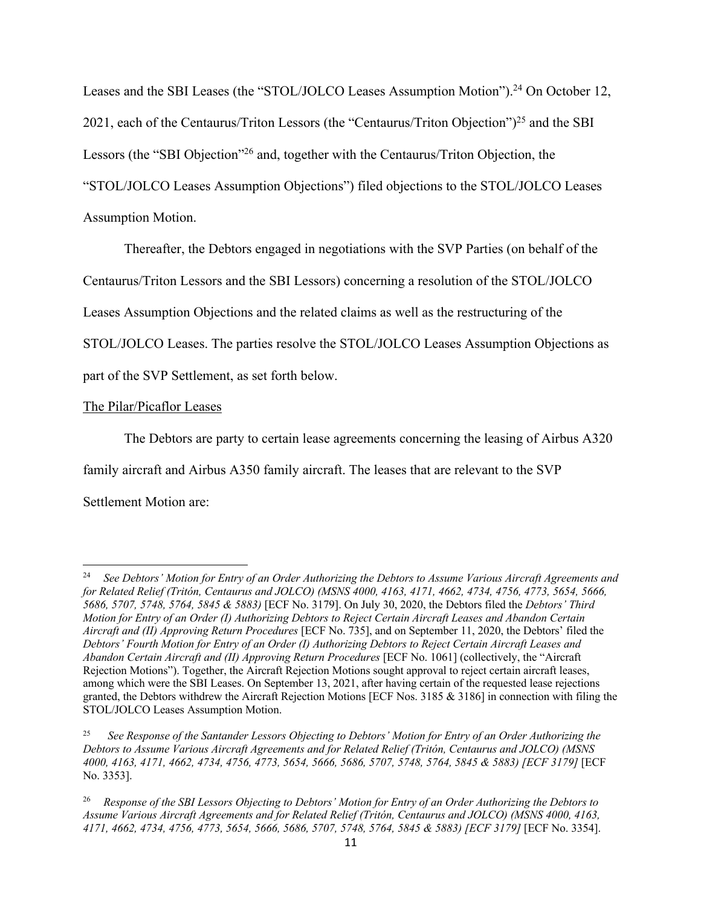Leases and the SBI Leases (the "STOL/JOLCO Leases Assumption Motion").<sup>24</sup> On October 12, 2021, each of the Centaurus/Triton Lessors (the "Centaurus/Triton Objection")<sup>25</sup> and the SBI Lessors (the "SBI Objection"<sup>26</sup> and, together with the Centaurus/Triton Objection, the "STOL/JOLCO Leases Assumption Objections") filed objections to the STOL/JOLCO Leases Assumption Motion.

Thereafter, the Debtors engaged in negotiations with the SVP Parties (on behalf of the

Centaurus/Triton Lessors and the SBI Lessors) concerning a resolution of the STOL/JOLCO

Leases Assumption Objections and the related claims as well as the restructuring of the

STOL/JOLCO Leases. The parties resolve the STOL/JOLCO Leases Assumption Objections as

part of the SVP Settlement, as set forth below.

# The Pilar/Picaflor Leases

The Debtors are party to certain lease agreements concerning the leasing of Airbus A320 family aircraft and Airbus A350 family aircraft. The leases that are relevant to the SVP Settlement Motion are:

<sup>24</sup> *See Debtors' Motion for Entry of an Order Authorizing the Debtors to Assume Various Aircraft Agreements and for Related Relief (Tritón, Centaurus and JOLCO) (MSNS 4000, 4163, 4171, 4662, 4734, 4756, 4773, 5654, 5666, 5686, 5707, 5748, 5764, 5845 & 5883)* [ECF No. 3179]. On July 30, 2020, the Debtors filed the *Debtors' Third Motion for Entry of an Order (I) Authorizing Debtors to Reject Certain Aircraft Leases and Abandon Certain Aircraft and (II) Approving Return Procedures* [ECF No. 735], and on September 11, 2020, the Debtors' filed the *Debtors' Fourth Motion for Entry of an Order (I) Authorizing Debtors to Reject Certain Aircraft Leases and Abandon Certain Aircraft and (II) Approving Return Procedures* [ECF No. 1061] (collectively, the "Aircraft Rejection Motions"). Together, the Aircraft Rejection Motions sought approval to reject certain aircraft leases, among which were the SBI Leases. On September 13, 2021, after having certain of the requested lease rejections granted, the Debtors withdrew the Aircraft Rejection Motions [ECF Nos. 3185 & 3186] in connection with filing the STOL/JOLCO Leases Assumption Motion.

<sup>25</sup> *See Response of the Santander Lessors Objecting to Debtors' Motion for Entry of an Order Authorizing the Debtors to Assume Various Aircraft Agreements and for Related Relief (Tritón, Centaurus and JOLCO) (MSNS 4000, 4163, 4171, 4662, 4734, 4756, 4773, 5654, 5666, 5686, 5707, 5748, 5764, 5845 & 5883) [ECF 3179]* [ECF No. 3353].

<sup>26</sup> *Response of the SBI Lessors Objecting to Debtors' Motion for Entry of an Order Authorizing the Debtors to Assume Various Aircraft Agreements and for Related Relief (Tritón, Centaurus and JOLCO) (MSNS 4000, 4163, 4171, 4662, 4734, 4756, 4773, 5654, 5666, 5686, 5707, 5748, 5764, 5845 & 5883) [ECF 3179]* [ECF No. 3354].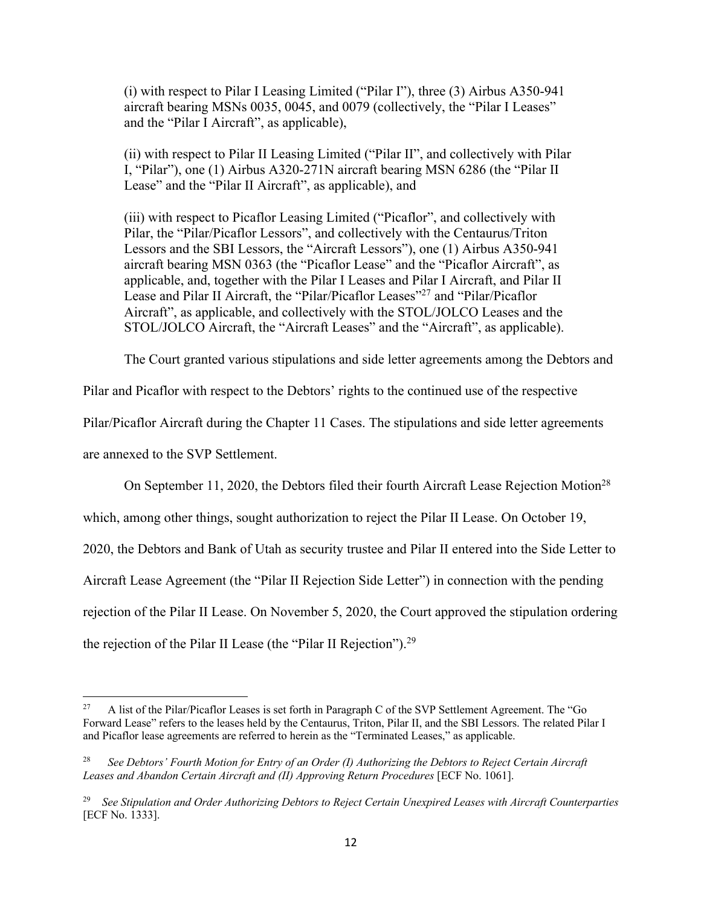(i) with respect to Pilar I Leasing Limited ("Pilar I"), three (3) Airbus A350-941 aircraft bearing MSNs 0035, 0045, and 0079 (collectively, the "Pilar I Leases" and the "Pilar I Aircraft", as applicable),

(ii) with respect to Pilar II Leasing Limited ("Pilar II", and collectively with Pilar I, "Pilar"), one (1) Airbus A320-271N aircraft bearing MSN 6286 (the "Pilar II Lease" and the "Pilar II Aircraft", as applicable), and

(iii) with respect to Picaflor Leasing Limited ("Picaflor", and collectively with Pilar, the "Pilar/Picaflor Lessors", and collectively with the Centaurus/Triton Lessors and the SBI Lessors, the "Aircraft Lessors"), one (1) Airbus A350-941 aircraft bearing MSN 0363 (the "Picaflor Lease" and the "Picaflor Aircraft", as applicable, and, together with the Pilar I Leases and Pilar I Aircraft, and Pilar II Lease and Pilar II Aircraft, the "Pilar/Picaflor Leases"27 and "Pilar/Picaflor Aircraft", as applicable, and collectively with the STOL/JOLCO Leases and the STOL/JOLCO Aircraft, the "Aircraft Leases" and the "Aircraft", as applicable).

The Court granted various stipulations and side letter agreements among the Debtors and

Pilar and Picaflor with respect to the Debtors' rights to the continued use of the respective

Pilar/Picaflor Aircraft during the Chapter 11 Cases. The stipulations and side letter agreements

are annexed to the SVP Settlement.

On September 11, 2020, the Debtors filed their fourth Aircraft Lease Rejection Motion<sup>28</sup>

which, among other things, sought authorization to reject the Pilar II Lease. On October 19,

2020, the Debtors and Bank of Utah as security trustee and Pilar II entered into the Side Letter to

Aircraft Lease Agreement (the "Pilar II Rejection Side Letter") in connection with the pending

rejection of the Pilar II Lease. On November 5, 2020, the Court approved the stipulation ordering

the rejection of the Pilar II Lease (the "Pilar II Rejection").29

<sup>&</sup>lt;sup>27</sup> A list of the Pilar/Picaflor Leases is set forth in Paragraph C of the SVP Settlement Agreement. The "Go Forward Lease" refers to the leases held by the Centaurus, Triton, Pilar II, and the SBI Lessors. The related Pilar I and Picaflor lease agreements are referred to herein as the "Terminated Leases," as applicable.

<sup>28</sup> *See Debtors' Fourth Motion for Entry of an Order (I) Authorizing the Debtors to Reject Certain Aircraft Leases and Abandon Certain Aircraft and (II) Approving Return Procedures* [ECF No. 1061].

<sup>29</sup> *See Stipulation and Order Authorizing Debtors to Reject Certain Unexpired Leases with Aircraft Counterparties*  [ECF No. 1333].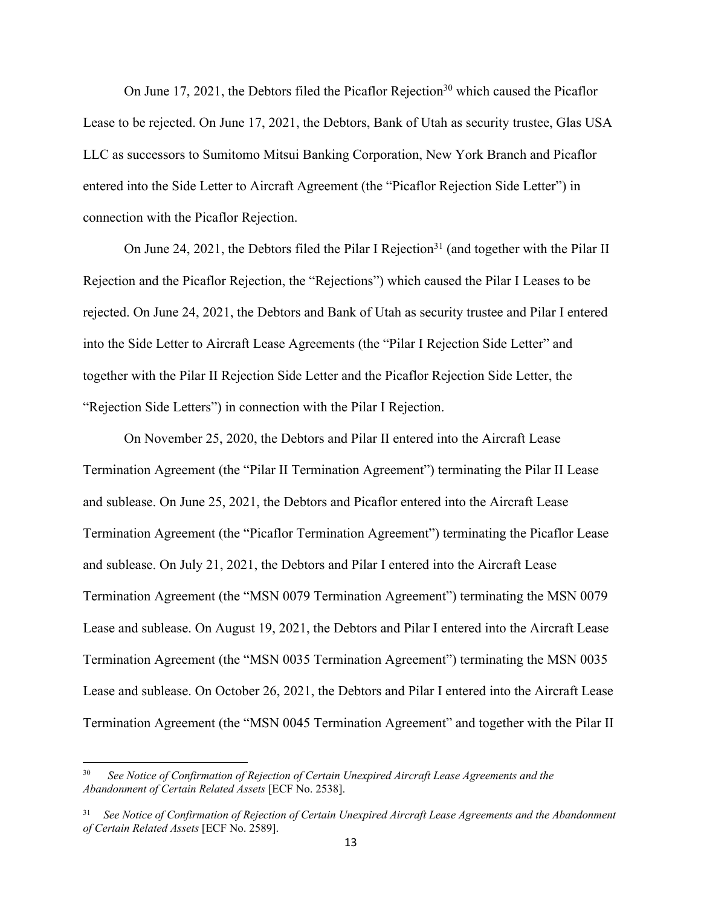On June 17, 2021, the Debtors filed the Picaflor Rejection<sup>30</sup> which caused the Picaflor Lease to be rejected. On June 17, 2021, the Debtors, Bank of Utah as security trustee, Glas USA LLC as successors to Sumitomo Mitsui Banking Corporation, New York Branch and Picaflor entered into the Side Letter to Aircraft Agreement (the "Picaflor Rejection Side Letter") in connection with the Picaflor Rejection.

On June 24, 2021, the Debtors filed the Pilar I Rejection<sup>31</sup> (and together with the Pilar II Rejection and the Picaflor Rejection, the "Rejections") which caused the Pilar I Leases to be rejected. On June 24, 2021, the Debtors and Bank of Utah as security trustee and Pilar I entered into the Side Letter to Aircraft Lease Agreements (the "Pilar I Rejection Side Letter" and together with the Pilar II Rejection Side Letter and the Picaflor Rejection Side Letter, the "Rejection Side Letters") in connection with the Pilar I Rejection.

On November 25, 2020, the Debtors and Pilar II entered into the Aircraft Lease Termination Agreement (the "Pilar II Termination Agreement") terminating the Pilar II Lease and sublease. On June 25, 2021, the Debtors and Picaflor entered into the Aircraft Lease Termination Agreement (the "Picaflor Termination Agreement") terminating the Picaflor Lease and sublease. On July 21, 2021, the Debtors and Pilar I entered into the Aircraft Lease Termination Agreement (the "MSN 0079 Termination Agreement") terminating the MSN 0079 Lease and sublease. On August 19, 2021, the Debtors and Pilar I entered into the Aircraft Lease Termination Agreement (the "MSN 0035 Termination Agreement") terminating the MSN 0035 Lease and sublease. On October 26, 2021, the Debtors and Pilar I entered into the Aircraft Lease Termination Agreement (the "MSN 0045 Termination Agreement" and together with the Pilar II

<sup>30</sup> *See Notice of Confirmation of Rejection of Certain Unexpired Aircraft Lease Agreements and the Abandonment of Certain Related Assets* [ECF No. 2538].

<sup>31</sup> *See Notice of Confirmation of Rejection of Certain Unexpired Aircraft Lease Agreements and the Abandonment of Certain Related Assets* [ECF No. 2589].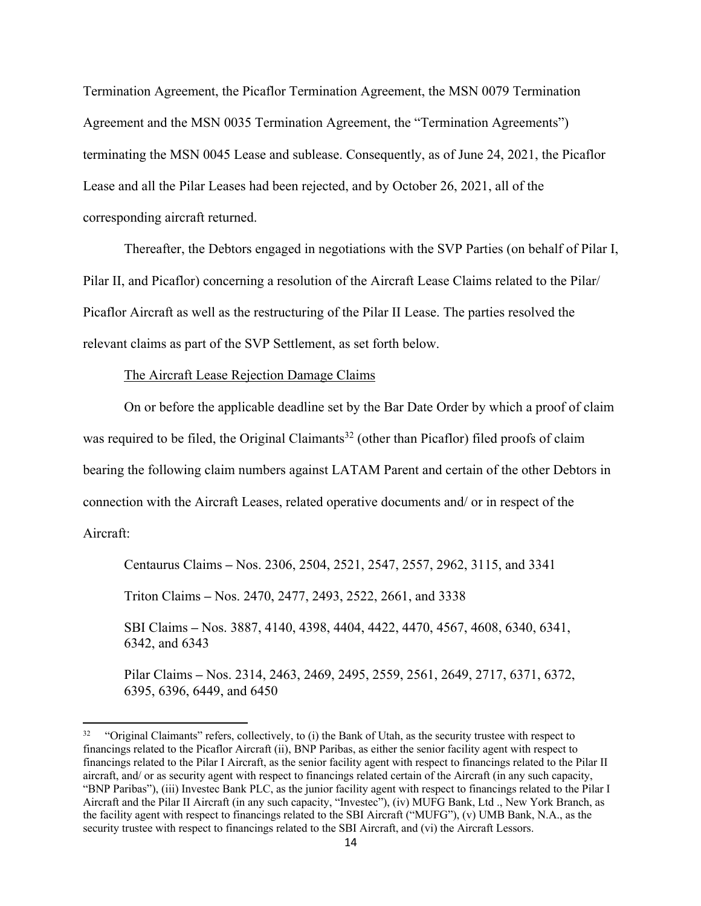Termination Agreement, the Picaflor Termination Agreement, the MSN 0079 Termination Agreement and the MSN 0035 Termination Agreement, the "Termination Agreements") terminating the MSN 0045 Lease and sublease. Consequently, as of June 24, 2021, the Picaflor Lease and all the Pilar Leases had been rejected, and by October 26, 2021, all of the corresponding aircraft returned.

Thereafter, the Debtors engaged in negotiations with the SVP Parties (on behalf of Pilar I, Pilar II, and Picaflor) concerning a resolution of the Aircraft Lease Claims related to the Pilar/ Picaflor Aircraft as well as the restructuring of the Pilar II Lease. The parties resolved the relevant claims as part of the SVP Settlement, as set forth below.

### The Aircraft Lease Rejection Damage Claims

On or before the applicable deadline set by the Bar Date Order by which a proof of claim was required to be filed, the Original Claimants<sup>32</sup> (other than Picaflor) filed proofs of claim bearing the following claim numbers against LATAM Parent and certain of the other Debtors in connection with the Aircraft Leases, related operative documents and/ or in respect of the

Aircraft:

Centaurus Claims **–** Nos. 2306, 2504, 2521, 2547, 2557, 2962, 3115, and 3341

Triton Claims **–** Nos. 2470, 2477, 2493, 2522, 2661, and 3338

SBI Claims **–** Nos. 3887, 4140, 4398, 4404, 4422, 4470, 4567, 4608, 6340, 6341, 6342, and 6343

Pilar Claims **–** Nos. 2314, 2463, 2469, 2495, 2559, 2561, 2649, 2717, 6371, 6372, 6395, 6396, 6449, and 6450

<sup>&</sup>lt;sup>32</sup> "Original Claimants" refers, collectively, to (i) the Bank of Utah, as the security trustee with respect to financings related to the Picaflor Aircraft (ii), BNP Paribas, as either the senior facility agent with respect to financings related to the Pilar I Aircraft, as the senior facility agent with respect to financings related to the Pilar II aircraft, and/ or as security agent with respect to financings related certain of the Aircraft (in any such capacity, "BNP Paribas"), (iii) Investec Bank PLC, as the junior facility agent with respect to financings related to the Pilar I Aircraft and the Pilar II Aircraft (in any such capacity, "Investec"), (iv) MUFG Bank, Ltd ., New York Branch, as the facility agent with respect to financings related to the SBI Aircraft ("MUFG"), (v) UMB Bank, N.A., as the security trustee with respect to financings related to the SBI Aircraft, and (vi) the Aircraft Lessors.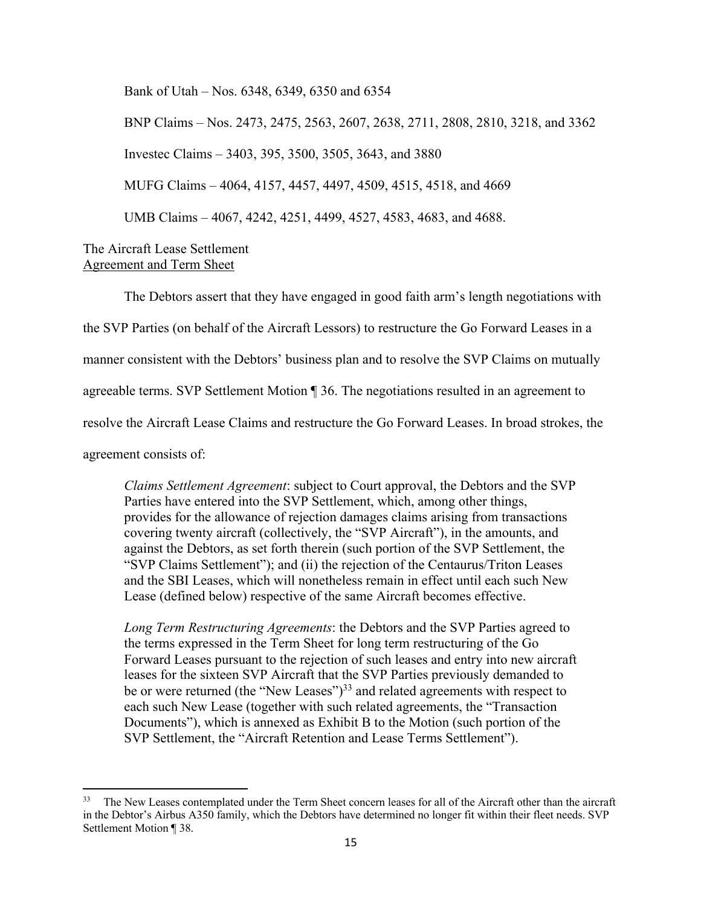Bank of Utah – Nos. 6348, 6349, 6350 and 6354

BNP Claims – Nos. 2473, 2475, 2563, 2607, 2638, 2711, 2808, 2810, 3218, and 3362 Investec Claims – 3403, 395, 3500, 3505, 3643, and 3880 MUFG Claims – 4064, 4157, 4457, 4497, 4509, 4515, 4518, and 4669 UMB Claims – 4067, 4242, 4251, 4499, 4527, 4583, 4683, and 4688.

# The Aircraft Lease Settlement Agreement and Term Sheet

The Debtors assert that they have engaged in good faith arm's length negotiations with the SVP Parties (on behalf of the Aircraft Lessors) to restructure the Go Forward Leases in a manner consistent with the Debtors' business plan and to resolve the SVP Claims on mutually agreeable terms. SVP Settlement Motion ¶ 36. The negotiations resulted in an agreement to resolve the Aircraft Lease Claims and restructure the Go Forward Leases. In broad strokes, the agreement consists of:

*Claims Settlement Agreement*: subject to Court approval, the Debtors and the SVP Parties have entered into the SVP Settlement, which, among other things, provides for the allowance of rejection damages claims arising from transactions covering twenty aircraft (collectively, the "SVP Aircraft"), in the amounts, and against the Debtors, as set forth therein (such portion of the SVP Settlement, the "SVP Claims Settlement"); and (ii) the rejection of the Centaurus/Triton Leases and the SBI Leases, which will nonetheless remain in effect until each such New Lease (defined below) respective of the same Aircraft becomes effective.

*Long Term Restructuring Agreements*: the Debtors and the SVP Parties agreed to the terms expressed in the Term Sheet for long term restructuring of the Go Forward Leases pursuant to the rejection of such leases and entry into new aircraft leases for the sixteen SVP Aircraft that the SVP Parties previously demanded to be or were returned (the "New Leases")<sup>33</sup> and related agreements with respect to each such New Lease (together with such related agreements, the "Transaction Documents"), which is annexed as Exhibit B to the Motion (such portion of the SVP Settlement, the "Aircraft Retention and Lease Terms Settlement").

<sup>33</sup> The New Leases contemplated under the Term Sheet concern leases for all of the Aircraft other than the aircraft in the Debtor's Airbus A350 family, which the Debtors have determined no longer fit within their fleet needs. SVP Settlement Motion ¶ 38.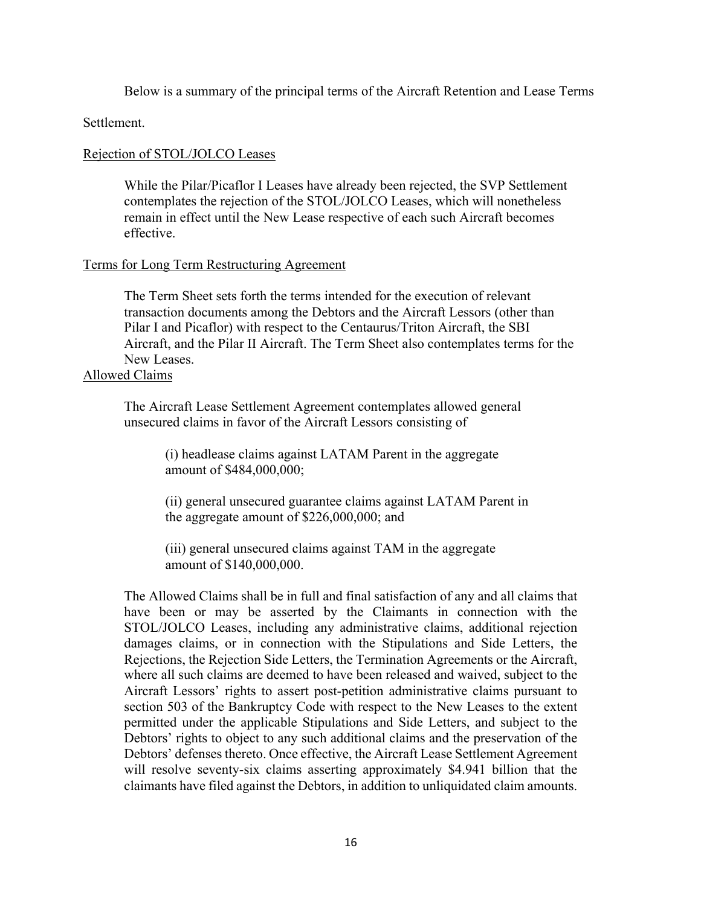Below is a summary of the principal terms of the Aircraft Retention and Lease Terms

Settlement.

# Rejection of STOL/JOLCO Leases

While the Pilar/Picaflor I Leases have already been rejected, the SVP Settlement contemplates the rejection of the STOL/JOLCO Leases, which will nonetheless remain in effect until the New Lease respective of each such Aircraft becomes effective.

# Terms for Long Term Restructuring Agreement

The Term Sheet sets forth the terms intended for the execution of relevant transaction documents among the Debtors and the Aircraft Lessors (other than Pilar I and Picaflor) with respect to the Centaurus/Triton Aircraft, the SBI Aircraft, and the Pilar II Aircraft. The Term Sheet also contemplates terms for the New Leases.

# Allowed Claims

The Aircraft Lease Settlement Agreement contemplates allowed general unsecured claims in favor of the Aircraft Lessors consisting of

> (i) headlease claims against LATAM Parent in the aggregate amount of \$484,000,000;

(ii) general unsecured guarantee claims against LATAM Parent in the aggregate amount of \$226,000,000; and

(iii) general unsecured claims against TAM in the aggregate amount of \$140,000,000.

The Allowed Claims shall be in full and final satisfaction of any and all claims that have been or may be asserted by the Claimants in connection with the STOL/JOLCO Leases, including any administrative claims, additional rejection damages claims, or in connection with the Stipulations and Side Letters, the Rejections, the Rejection Side Letters, the Termination Agreements or the Aircraft, where all such claims are deemed to have been released and waived, subject to the Aircraft Lessors' rights to assert post-petition administrative claims pursuant to section 503 of the Bankruptcy Code with respect to the New Leases to the extent permitted under the applicable Stipulations and Side Letters, and subject to the Debtors' rights to object to any such additional claims and the preservation of the Debtors' defenses thereto. Once effective, the Aircraft Lease Settlement Agreement will resolve seventy-six claims asserting approximately \$4.941 billion that the claimants have filed against the Debtors, in addition to unliquidated claim amounts.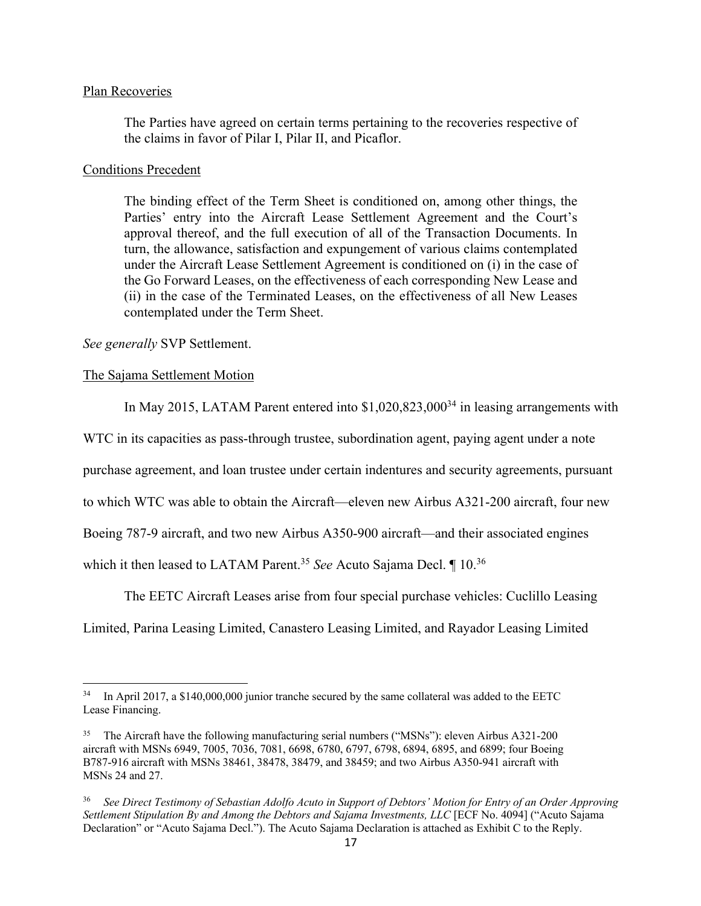### Plan Recoveries

The Parties have agreed on certain terms pertaining to the recoveries respective of the claims in favor of Pilar I, Pilar II, and Picaflor.

### Conditions Precedent

The binding effect of the Term Sheet is conditioned on, among other things, the Parties' entry into the Aircraft Lease Settlement Agreement and the Court's approval thereof, and the full execution of all of the Transaction Documents. In turn, the allowance, satisfaction and expungement of various claims contemplated under the Aircraft Lease Settlement Agreement is conditioned on (i) in the case of the Go Forward Leases, on the effectiveness of each corresponding New Lease and (ii) in the case of the Terminated Leases, on the effectiveness of all New Leases contemplated under the Term Sheet.

*See generally* SVP Settlement.

### The Sajama Settlement Motion

In May 2015, LATAM Parent entered into  $$1,020,823,000<sup>34</sup>$  in leasing arrangements with

WTC in its capacities as pass-through trustee, subordination agent, paying agent under a note

purchase agreement, and loan trustee under certain indentures and security agreements, pursuant

to which WTC was able to obtain the Aircraft—eleven new Airbus A321-200 aircraft, four new

Boeing 787-9 aircraft, and two new Airbus A350-900 aircraft—and their associated engines

which it then leased to LATAM Parent.35 *See* Acuto Sajama Decl. ¶ 10.36

The EETC Aircraft Leases arise from four special purchase vehicles: Cuclillo Leasing

Limited, Parina Leasing Limited, Canastero Leasing Limited, and Rayador Leasing Limited

<sup>&</sup>lt;sup>34</sup> In April 2017, a \$140,000,000 junior tranche secured by the same collateral was added to the EETC Lease Financing.

<sup>&</sup>lt;sup>35</sup> The Aircraft have the following manufacturing serial numbers ("MSNs"): eleven Airbus A321-200 aircraft with MSNs 6949, 7005, 7036, 7081, 6698, 6780, 6797, 6798, 6894, 6895, and 6899; four Boeing B787-916 aircraft with MSNs 38461, 38478, 38479, and 38459; and two Airbus A350-941 aircraft with MSNs 24 and 27.

<sup>36</sup> *See Direct Testimony of Sebastian Adolfo Acuto in Support of Debtors' Motion for Entry of an Order Approving Settlement Stipulation By and Among the Debtors and Sajama Investments, LLC* [ECF No. 4094] ("Acuto Sajama Declaration" or "Acuto Sajama Decl."). The Acuto Sajama Declaration is attached as Exhibit C to the Reply.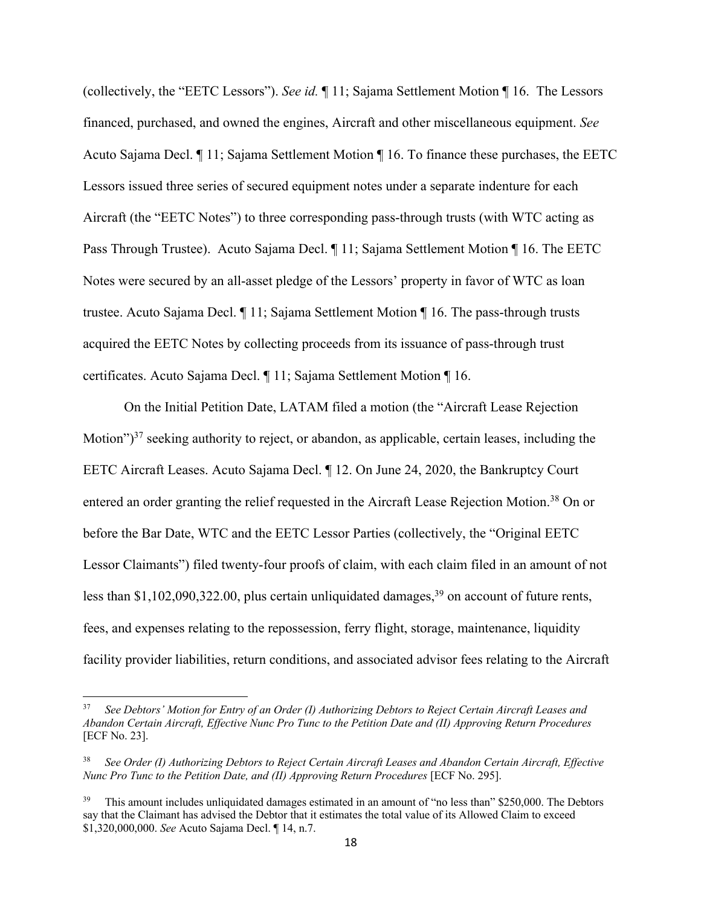(collectively, the "EETC Lessors"). *See id.* ¶ 11; Sajama Settlement Motion ¶ 16. The Lessors financed, purchased, and owned the engines, Aircraft and other miscellaneous equipment. *See*  Acuto Sajama Decl. ¶ 11; Sajama Settlement Motion ¶ 16. To finance these purchases, the EETC Lessors issued three series of secured equipment notes under a separate indenture for each Aircraft (the "EETC Notes") to three corresponding pass-through trusts (with WTC acting as Pass Through Trustee). Acuto Sajama Decl. ¶ 11; Sajama Settlement Motion ¶ 16. The EETC Notes were secured by an all-asset pledge of the Lessors' property in favor of WTC as loan trustee. Acuto Sajama Decl. ¶ 11; Sajama Settlement Motion ¶ 16. The pass-through trusts acquired the EETC Notes by collecting proceeds from its issuance of pass-through trust certificates. Acuto Sajama Decl. ¶ 11; Sajama Settlement Motion ¶ 16.

On the Initial Petition Date, LATAM filed a motion (the "Aircraft Lease Rejection Motion")<sup>37</sup> seeking authority to reject, or abandon, as applicable, certain leases, including the EETC Aircraft Leases. Acuto Sajama Decl. ¶ 12. On June 24, 2020, the Bankruptcy Court entered an order granting the relief requested in the Aircraft Lease Rejection Motion.<sup>38</sup> On or before the Bar Date, WTC and the EETC Lessor Parties (collectively, the "Original EETC Lessor Claimants") filed twenty-four proofs of claim, with each claim filed in an amount of not less than \$1,102,090,322.00, plus certain unliquidated damages, $39$  on account of future rents, fees, and expenses relating to the repossession, ferry flight, storage, maintenance, liquidity facility provider liabilities, return conditions, and associated advisor fees relating to the Aircraft

<sup>37</sup> *See Debtors' Motion for Entry of an Order (I) Authorizing Debtors to Reject Certain Aircraft Leases and Abandon Certain Aircraft, Effective Nunc Pro Tunc to the Petition Date and (II) Approving Return Procedures*  [ECF No. 23].

<sup>38</sup> *See Order (I) Authorizing Debtors to Reject Certain Aircraft Leases and Abandon Certain Aircraft, Effective Nunc Pro Tunc to the Petition Date, and (II) Approving Return Procedures* [ECF No. 295].

<sup>&</sup>lt;sup>39</sup> This amount includes unliquidated damages estimated in an amount of "no less than" \$250,000. The Debtors say that the Claimant has advised the Debtor that it estimates the total value of its Allowed Claim to exceed \$1,320,000,000. *See* Acuto Sajama Decl. ¶ 14, n.7.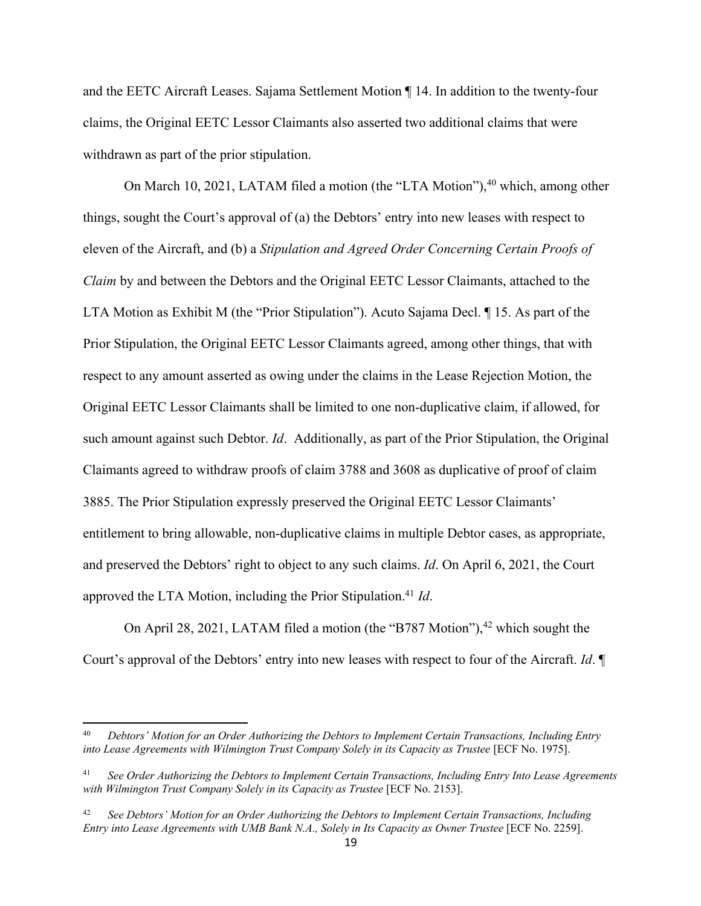and the EETC Aircraft Leases. Sajama Settlement Motion ¶ 14. In addition to the twenty-four claims, the Original EETC Lessor Claimants also asserted two additional claims that were withdrawn as part of the prior stipulation.

On March 10, 2021, LATAM filed a motion (the "LTA Motion"), $40$  which, among other things, sought the Court's approval of (a) the Debtors' entry into new leases with respect to eleven of the Aircraft, and (b) a *Stipulation and Agreed Order Concerning Certain Proofs of Claim* by and between the Debtors and the Original EETC Lessor Claimants, attached to the LTA Motion as Exhibit M (the "Prior Stipulation"). Acuto Sajama Decl. ¶ 15. As part of the Prior Stipulation, the Original EETC Lessor Claimants agreed, among other things, that with respect to any amount asserted as owing under the claims in the Lease Rejection Motion, the Original EETC Lessor Claimants shall be limited to one non-duplicative claim, if allowed, for such amount against such Debtor. *Id*. Additionally, as part of the Prior Stipulation, the Original Claimants agreed to withdraw proofs of claim 3788 and 3608 as duplicative of proof of claim 3885. The Prior Stipulation expressly preserved the Original EETC Lessor Claimants' entitlement to bring allowable, non-duplicative claims in multiple Debtor cases, as appropriate, and preserved the Debtors' right to object to any such claims. *Id*. On April 6, 2021, the Court approved the LTA Motion, including the Prior Stipulation.41 *Id*.

On April 28, 2021, LATAM filed a motion (the "B787 Motion"), $42$  which sought the Court's approval of the Debtors' entry into new leases with respect to four of the Aircraft. *Id*. ¶

<sup>40</sup> *Debtors' Motion for an Order Authorizing the Debtors to Implement Certain Transactions, Including Entry into Lease Agreements with Wilmington Trust Company Solely in its Capacity as Trustee [ECF No. 1975].* 

<sup>41</sup> *See Order Authorizing the Debtors to Implement Certain Transactions, Including Entry Into Lease Agreements with Wilmington Trust Company Solely in its Capacity as Trustee* [ECF No. 2153].

<sup>42</sup> *See Debtors' Motion for an Order Authorizing the Debtors to Implement Certain Transactions, Including Entry into Lease Agreements with UMB Bank N.A., Solely in Its Capacity as Owner Trustee [ECF No. 2259].*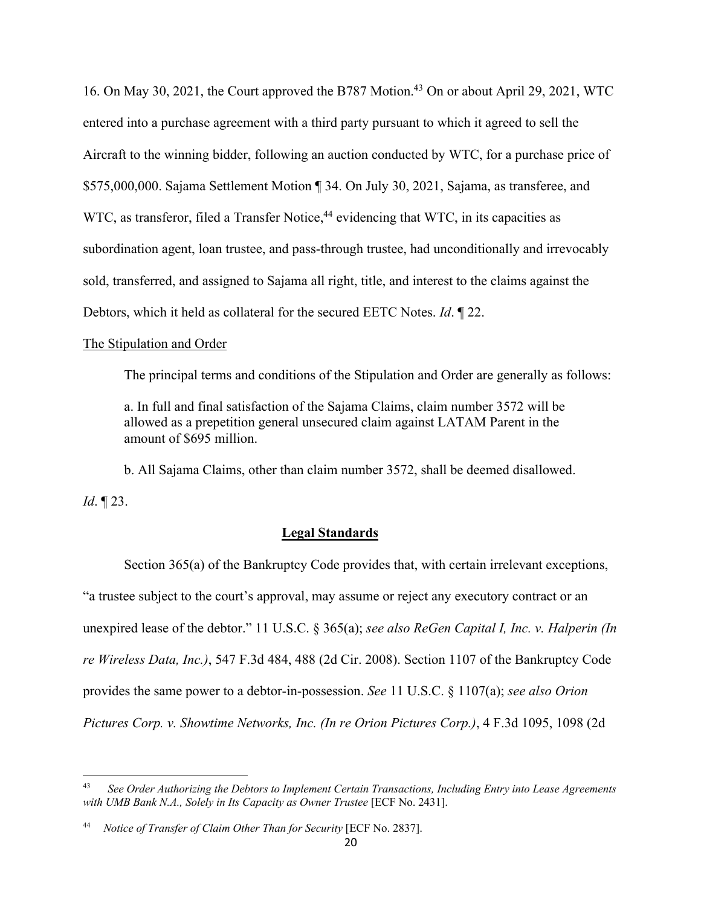16. On May 30, 2021, the Court approved the B787 Motion.<sup>43</sup> On or about April 29, 2021, WTC entered into a purchase agreement with a third party pursuant to which it agreed to sell the Aircraft to the winning bidder, following an auction conducted by WTC, for a purchase price of \$575,000,000. Sajama Settlement Motion ¶ 34. On July 30, 2021, Sajama, as transferee, and WTC, as transferor, filed a Transfer Notice,<sup>44</sup> evidencing that WTC, in its capacities as subordination agent, loan trustee, and pass-through trustee, had unconditionally and irrevocably sold, transferred, and assigned to Sajama all right, title, and interest to the claims against the Debtors, which it held as collateral for the secured EETC Notes. *Id*. ¶ 22.

#### The Stipulation and Order

The principal terms and conditions of the Stipulation and Order are generally as follows:

a. In full and final satisfaction of the Sajama Claims, claim number 3572 will be allowed as a prepetition general unsecured claim against LATAM Parent in the amount of \$695 million.

b. All Sajama Claims, other than claim number 3572, shall be deemed disallowed.

*Id*. ¶ 23.

### **Legal Standards**

Section 365(a) of the Bankruptcy Code provides that, with certain irrelevant exceptions, "a trustee subject to the court's approval, may assume or reject any executory contract or an unexpired lease of the debtor." 11 U.S.C. § 365(a); *see also ReGen Capital I, Inc. v. Halperin (In re Wireless Data, Inc.)*, 547 F.3d 484, 488 (2d Cir. 2008). Section 1107 of the Bankruptcy Code provides the same power to a debtor-in-possession. *See* 11 U.S.C. § 1107(a); *see also Orion Pictures Corp. v. Showtime Networks, Inc. (In re Orion Pictures Corp.)*, 4 F.3d 1095, 1098 (2d

<sup>43</sup> *See Order Authorizing the Debtors to Implement Certain Transactions, Including Entry into Lease Agreements with UMB Bank N.A., Solely in Its Capacity as Owner Trustee* [ECF No. 2431].

<sup>44</sup> *Notice of Transfer of Claim Other Than for Security* [ECF No. 2837].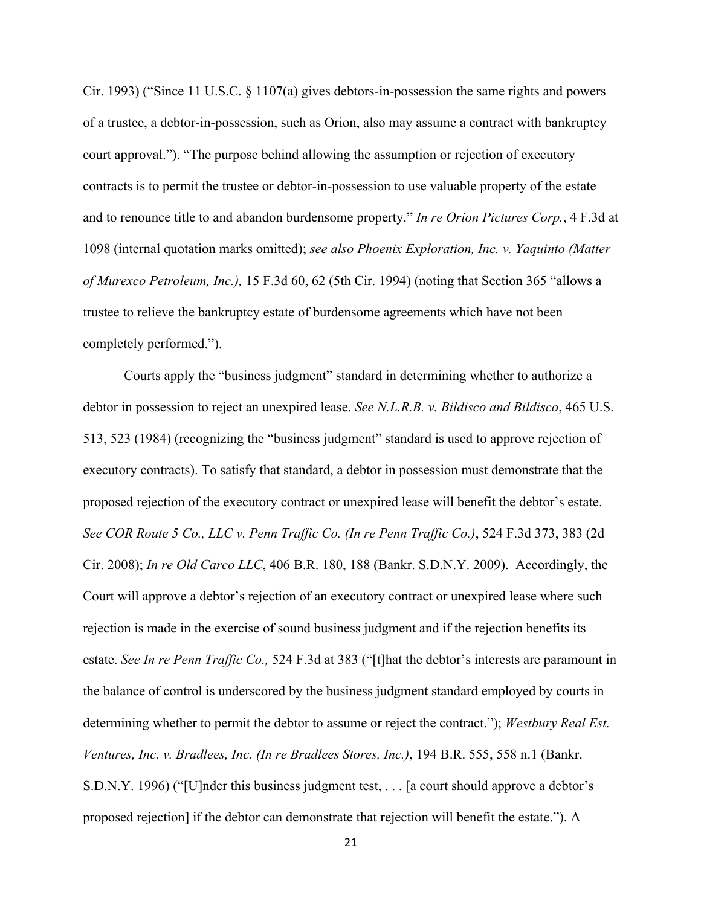Cir. 1993) ("Since 11 U.S.C. § 1107(a) gives debtors-in-possession the same rights and powers of a trustee, a debtor-in-possession, such as Orion, also may assume a contract with bankruptcy court approval."). "The purpose behind allowing the assumption or rejection of executory contracts is to permit the trustee or debtor-in-possession to use valuable property of the estate and to renounce title to and abandon burdensome property." *In re Orion Pictures Corp.*, 4 F.3d at 1098 (internal quotation marks omitted); *see also Phoenix Exploration, Inc. v. Yaquinto (Matter of Murexco Petroleum, Inc.),* 15 F.3d 60, 62 (5th Cir. 1994) (noting that Section 365 "allows a trustee to relieve the bankruptcy estate of burdensome agreements which have not been completely performed.").

Courts apply the "business judgment" standard in determining whether to authorize a debtor in possession to reject an unexpired lease. *See N.L.R.B. v. Bildisco and Bildisco*, 465 U.S. 513, 523 (1984) (recognizing the "business judgment" standard is used to approve rejection of executory contracts). To satisfy that standard, a debtor in possession must demonstrate that the proposed rejection of the executory contract or unexpired lease will benefit the debtor's estate. *See COR Route 5 Co., LLC v. Penn Traffic Co. (In re Penn Traffic Co.)*, 524 F.3d 373, 383 (2d Cir. 2008); *In re Old Carco LLC*, 406 B.R. 180, 188 (Bankr. S.D.N.Y. 2009). Accordingly, the Court will approve a debtor's rejection of an executory contract or unexpired lease where such rejection is made in the exercise of sound business judgment and if the rejection benefits its estate. *See In re Penn Traffic Co.,* 524 F.3d at 383 ("[t]hat the debtor's interests are paramount in the balance of control is underscored by the business judgment standard employed by courts in determining whether to permit the debtor to assume or reject the contract."); *Westbury Real Est. Ventures, Inc. v. Bradlees, Inc. (In re Bradlees Stores, Inc.)*, 194 B.R. 555, 558 n.1 (Bankr. S.D.N.Y. 1996) ("[U]nder this business judgment test, . . . [a court should approve a debtor's proposed rejection] if the debtor can demonstrate that rejection will benefit the estate."). A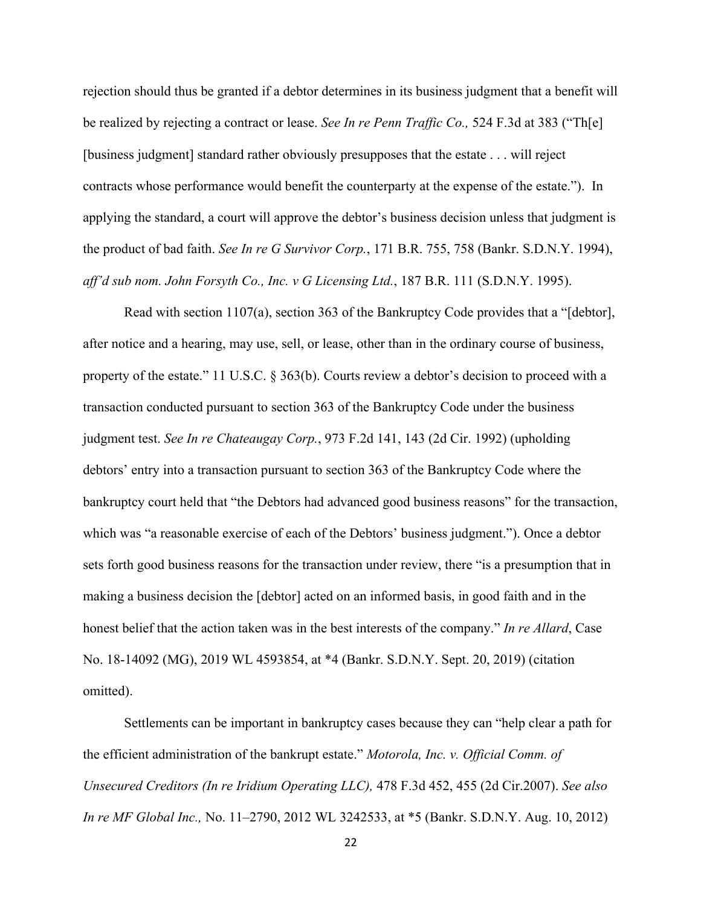rejection should thus be granted if a debtor determines in its business judgment that a benefit will be realized by rejecting a contract or lease. *See In re Penn Traffic Co.,* 524 F.3d at 383 ("Th[e] [business judgment] standard rather obviously presupposes that the estate . . . will reject contracts whose performance would benefit the counterparty at the expense of the estate."). In applying the standard, a court will approve the debtor's business decision unless that judgment is the product of bad faith. *See In re G Survivor Corp.*, 171 B.R. 755, 758 (Bankr. S.D.N.Y. 1994), *aff'd sub nom. John Forsyth Co., Inc. v G Licensing Ltd.*, 187 B.R. 111 (S.D.N.Y. 1995).

Read with section 1107(a), section 363 of the Bankruptcy Code provides that a "[debtor], after notice and a hearing, may use, sell, or lease, other than in the ordinary course of business, property of the estate." 11 U.S.C. § 363(b). Courts review a debtor's decision to proceed with a transaction conducted pursuant to section 363 of the Bankruptcy Code under the business judgment test. *See In re Chateaugay Corp.*, 973 F.2d 141, 143 (2d Cir. 1992) (upholding debtors' entry into a transaction pursuant to section 363 of the Bankruptcy Code where the bankruptcy court held that "the Debtors had advanced good business reasons" for the transaction, which was "a reasonable exercise of each of the Debtors' business judgment."). Once a debtor sets forth good business reasons for the transaction under review, there "is a presumption that in making a business decision the [debtor] acted on an informed basis, in good faith and in the honest belief that the action taken was in the best interests of the company." *In re Allard*, Case No. 18-14092 (MG), 2019 WL 4593854, at \*4 (Bankr. S.D.N.Y. Sept. 20, 2019) (citation omitted).

Settlements can be important in bankruptcy cases because they can "help clear a path for the efficient administration of the bankrupt estate." *Motorola, Inc. v. Official Comm. of Unsecured Creditors (In re Iridium Operating LLC),* 478 F.3d 452, 455 (2d Cir.2007). *See also In re MF Global Inc.,* No. 11–2790, 2012 WL 3242533, at \*5 (Bankr. S.D.N.Y. Aug. 10, 2012)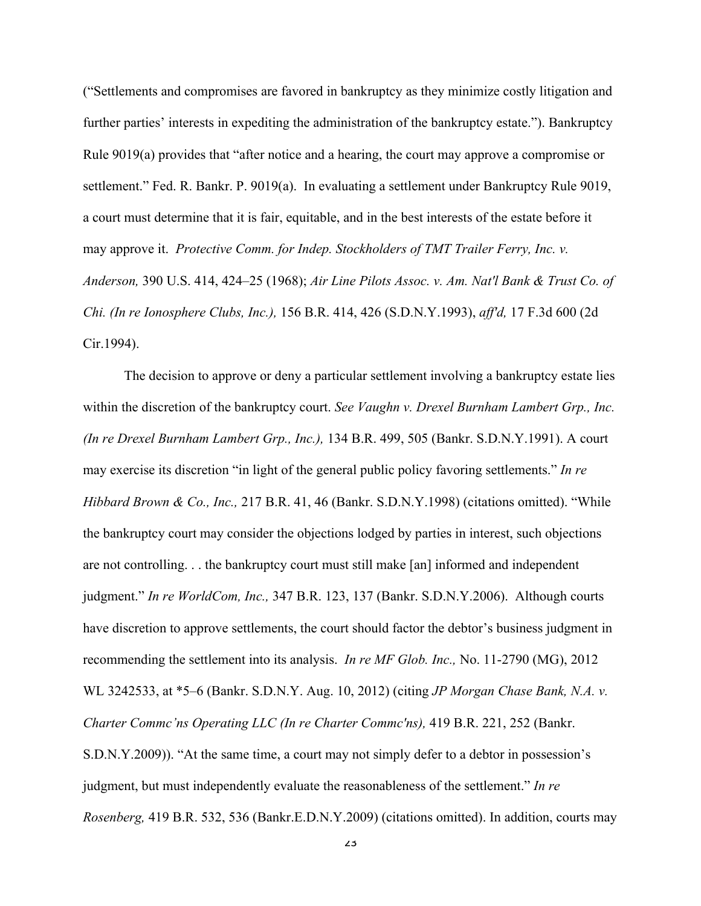("Settlements and compromises are favored in bankruptcy as they minimize costly litigation and further parties' interests in expediting the administration of the bankruptcy estate."). Bankruptcy Rule 9019(a) provides that "after notice and a hearing, the court may approve a compromise or settlement." Fed. R. Bankr. P. 9019(a). In evaluating a settlement under Bankruptcy Rule 9019, a court must determine that it is fair, equitable, and in the best interests of the estate before it may approve it. *Protective Comm. for Indep. Stockholders of TMT Trailer Ferry, Inc. v. Anderson,* 390 U.S. 414, 424–25 (1968); *Air Line Pilots Assoc. v. Am. Nat'l Bank & Trust Co. of Chi. (In re Ionosphere Clubs, Inc.),* 156 B.R. 414, 426 (S.D.N.Y.1993), *aff'd,* 17 F.3d 600 (2d Cir.1994).

The decision to approve or deny a particular settlement involving a bankruptcy estate lies within the discretion of the bankruptcy court. *See Vaughn v. Drexel Burnham Lambert Grp., Inc. (In re Drexel Burnham Lambert Grp., Inc.),* 134 B.R. 499, 505 (Bankr. S.D.N.Y.1991). A court may exercise its discretion "in light of the general public policy favoring settlements." *In re Hibbard Brown & Co., Inc.,* 217 B.R. 41, 46 (Bankr. S.D.N.Y.1998) (citations omitted). "While the bankruptcy court may consider the objections lodged by parties in interest, such objections are not controlling. . . the bankruptcy court must still make [an] informed and independent judgment." *In re WorldCom, Inc.,* 347 B.R. 123, 137 (Bankr. S.D.N.Y.2006). Although courts have discretion to approve settlements, the court should factor the debtor's business judgment in recommending the settlement into its analysis. *In re MF Glob. Inc.,* No. 11-2790 (MG), 2012 WL 3242533, at \*5–6 (Bankr. S.D.N.Y. Aug. 10, 2012) (citing *JP Morgan Chase Bank, N.A. v. Charter Commc'ns Operating LLC (In re Charter Commc'ns),* 419 B.R. 221, 252 (Bankr. S.D.N.Y.2009)). "At the same time, a court may not simply defer to a debtor in possession's judgment, but must independently evaluate the reasonableness of the settlement." *In re Rosenberg,* 419 B.R. 532, 536 (Bankr.E.D.N.Y.2009) (citations omitted). In addition, courts may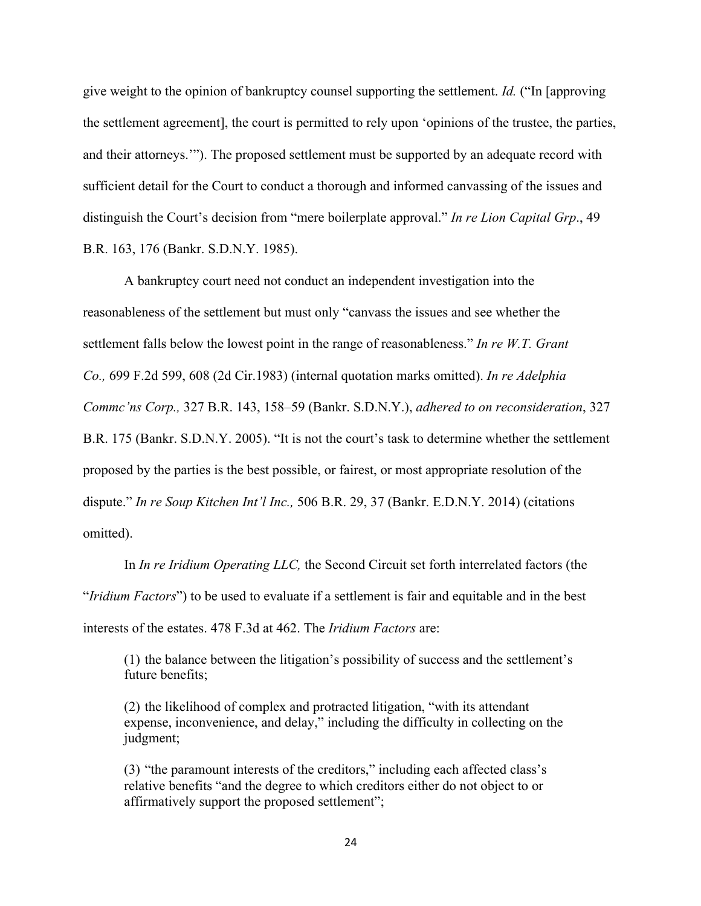give weight to the opinion of bankruptcy counsel supporting the settlement. *Id.* ("In [approving the settlement agreement], the court is permitted to rely upon 'opinions of the trustee, the parties, and their attorneys.'"). The proposed settlement must be supported by an adequate record with sufficient detail for the Court to conduct a thorough and informed canvassing of the issues and distinguish the Court's decision from "mere boilerplate approval." *In re Lion Capital Grp*., 49 B.R. 163, 176 (Bankr. S.D.N.Y. 1985).

A bankruptcy court need not conduct an independent investigation into the reasonableness of the settlement but must only "canvass the issues and see whether the settlement falls below the lowest point in the range of reasonableness." *In re W.T. Grant Co.,* 699 F.2d 599, 608 (2d Cir.1983) (internal quotation marks omitted). *In re Adelphia Commc'ns Corp.,* 327 B.R. 143, 158–59 (Bankr. S.D.N.Y.), *adhered to on reconsideration*, 327 B.R. 175 (Bankr. S.D.N.Y. 2005). "It is not the court's task to determine whether the settlement proposed by the parties is the best possible, or fairest, or most appropriate resolution of the dispute." *In re Soup Kitchen Int'l Inc.,* 506 B.R. 29, 37 (Bankr. E.D.N.Y. 2014) (citations omitted).

In *In re Iridium Operating LLC,* the Second Circuit set forth interrelated factors (the "*Iridium Factors*") to be used to evaluate if a settlement is fair and equitable and in the best interests of the estates. 478 F.3d at 462. The *Iridium Factors* are:

(1) the balance between the litigation's possibility of success and the settlement's future benefits;

(2) the likelihood of complex and protracted litigation, "with its attendant expense, inconvenience, and delay," including the difficulty in collecting on the judgment;

(3) "the paramount interests of the creditors," including each affected class's relative benefits "and the degree to which creditors either do not object to or affirmatively support the proposed settlement";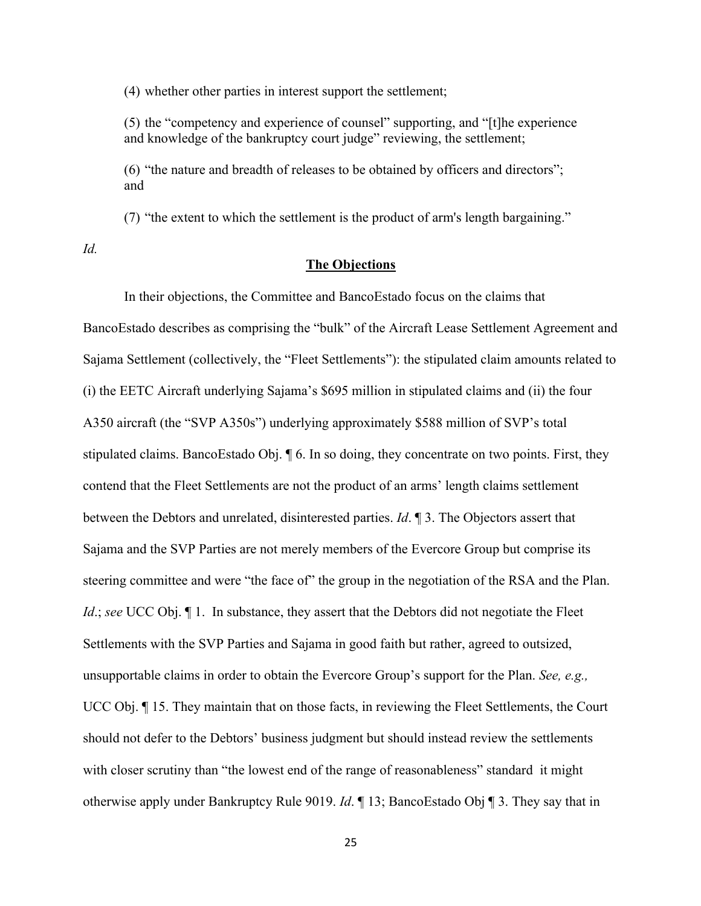(4) whether other parties in interest support the settlement;

(5) the "competency and experience of counsel" supporting, and "[t]he experience and knowledge of the bankruptcy court judge" reviewing, the settlement;

(6) "the nature and breadth of releases to be obtained by officers and directors"; and

(7) "the extent to which the settlement is the product of arm's length bargaining."

*Id.*

### **The Objections**

In their objections, the Committee and BancoEstado focus on the claims that BancoEstado describes as comprising the "bulk" of the Aircraft Lease Settlement Agreement and Sajama Settlement (collectively, the "Fleet Settlements"): the stipulated claim amounts related to (i) the EETC Aircraft underlying Sajama's \$695 million in stipulated claims and (ii) the four A350 aircraft (the "SVP A350s") underlying approximately \$588 million of SVP's total stipulated claims. BancoEstado Obj. ¶ 6. In so doing, they concentrate on two points. First, they contend that the Fleet Settlements are not the product of an arms' length claims settlement between the Debtors and unrelated, disinterested parties. *Id*. ¶ 3. The Objectors assert that Sajama and the SVP Parties are not merely members of the Evercore Group but comprise its steering committee and were "the face of" the group in the negotiation of the RSA and the Plan. *Id*.; *see* UCC Obj.  $\P$ 1. In substance, they assert that the Debtors did not negotiate the Fleet Settlements with the SVP Parties and Sajama in good faith but rather, agreed to outsized, unsupportable claims in order to obtain the Evercore Group's support for the Plan. *See, e.g.,* UCC Obj. ¶ 15. They maintain that on those facts, in reviewing the Fleet Settlements, the Court should not defer to the Debtors' business judgment but should instead review the settlements with closer scrutiny than "the lowest end of the range of reasonableness" standard it might otherwise apply under Bankruptcy Rule 9019. *Id*. ¶ 13; BancoEstado Obj ¶ 3. They say that in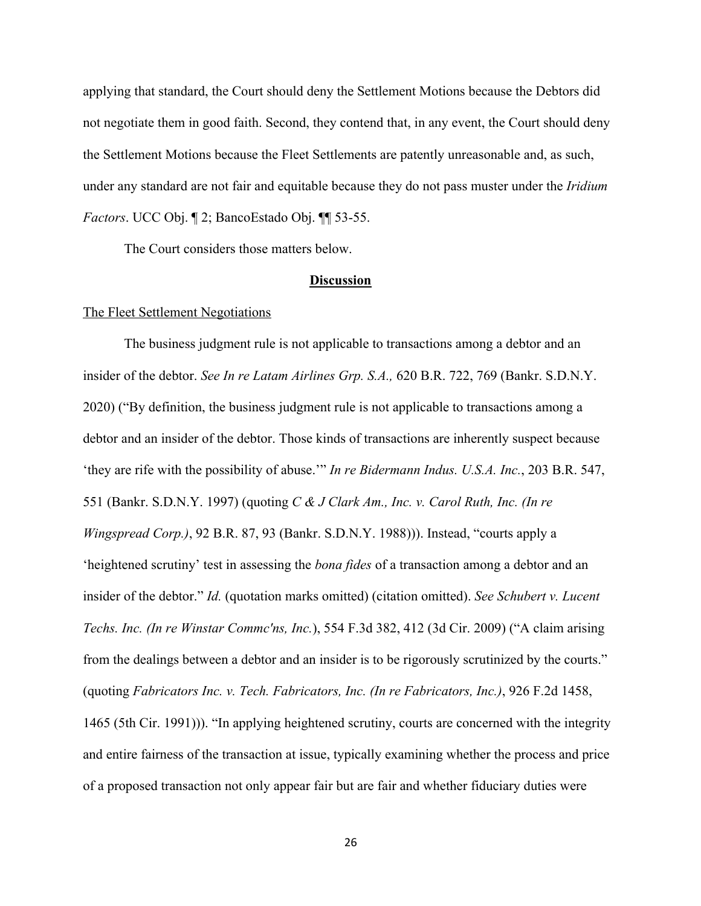applying that standard, the Court should deny the Settlement Motions because the Debtors did not negotiate them in good faith. Second, they contend that, in any event, the Court should deny the Settlement Motions because the Fleet Settlements are patently unreasonable and, as such, under any standard are not fair and equitable because they do not pass muster under the *Iridium Factors*. UCC Obj. ¶ 2; BancoEstado Obj. ¶¶ 53-55.

The Court considers those matters below.

### **Discussion**

### The Fleet Settlement Negotiations

The business judgment rule is not applicable to transactions among a debtor and an insider of the debtor. *See In re Latam Airlines Grp. S.A.,* 620 B.R. 722, 769 (Bankr. S.D.N.Y. 2020) ("By definition, the business judgment rule is not applicable to transactions among a debtor and an insider of the debtor. Those kinds of transactions are inherently suspect because 'they are rife with the possibility of abuse.'" *In re Bidermann Indus. U.S.A. Inc.*, 203 B.R. 547, 551 (Bankr. S.D.N.Y. 1997) (quoting *C & J Clark Am., Inc. v. Carol Ruth, Inc. (In re Wingspread Corp.)*, 92 B.R. 87, 93 (Bankr. S.D.N.Y. 1988))). Instead, "courts apply a 'heightened scrutiny' test in assessing the *bona fides* of a transaction among a debtor and an insider of the debtor." *Id.* (quotation marks omitted) (citation omitted). *See Schubert v. Lucent Techs. Inc. (In re Winstar Commc'ns, Inc.*), 554 F.3d 382, 412 (3d Cir. 2009) ("A claim arising from the dealings between a debtor and an insider is to be rigorously scrutinized by the courts." (quoting *Fabricators Inc. v. Tech. Fabricators, Inc. (In re Fabricators, Inc.)*, 926 F.2d 1458, 1465 (5th Cir. 1991))). "In applying heightened scrutiny, courts are concerned with the integrity and entire fairness of the transaction at issue, typically examining whether the process and price of a proposed transaction not only appear fair but are fair and whether fiduciary duties were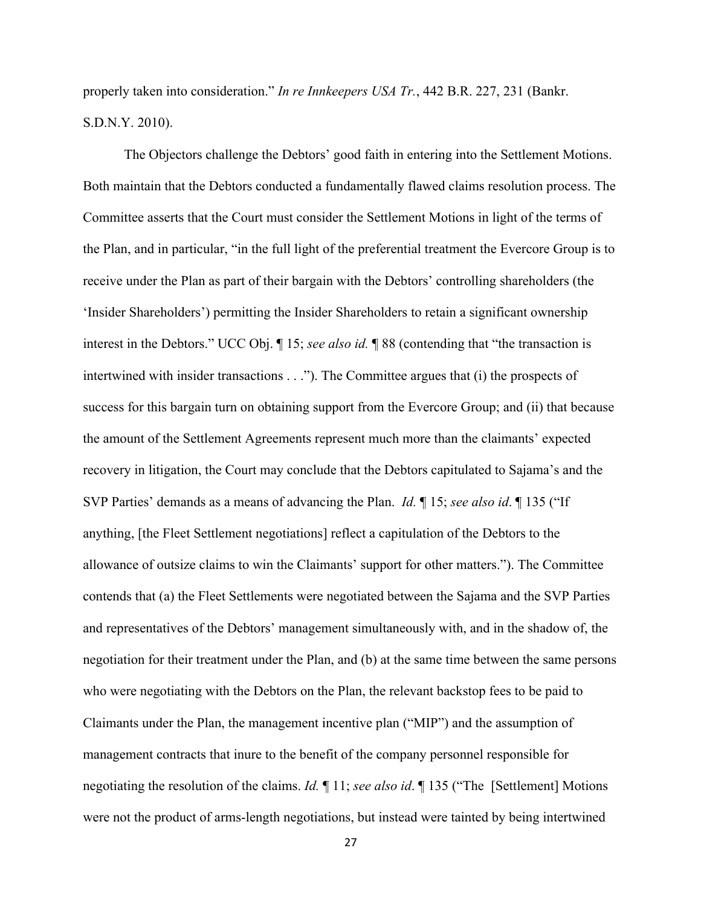properly taken into consideration." *In re Innkeepers USA Tr.*, 442 B.R. 227, 231 (Bankr. S.D.N.Y. 2010).

The Objectors challenge the Debtors' good faith in entering into the Settlement Motions. Both maintain that the Debtors conducted a fundamentally flawed claims resolution process. The Committee asserts that the Court must consider the Settlement Motions in light of the terms of the Plan, and in particular, "in the full light of the preferential treatment the Evercore Group is to receive under the Plan as part of their bargain with the Debtors' controlling shareholders (the 'Insider Shareholders') permitting the Insider Shareholders to retain a significant ownership interest in the Debtors." UCC Obj. ¶ 15; *see also id.* ¶ 88 (contending that "the transaction is intertwined with insider transactions . . ."). The Committee argues that (i) the prospects of success for this bargain turn on obtaining support from the Evercore Group; and (ii) that because the amount of the Settlement Agreements represent much more than the claimants' expected recovery in litigation, the Court may conclude that the Debtors capitulated to Sajama's and the SVP Parties' demands as a means of advancing the Plan. *Id.* ¶ 15; *see also id*. ¶ 135 ("If anything, [the Fleet Settlement negotiations] reflect a capitulation of the Debtors to the allowance of outsize claims to win the Claimants' support for other matters."). The Committee contends that (a) the Fleet Settlements were negotiated between the Sajama and the SVP Parties and representatives of the Debtors' management simultaneously with, and in the shadow of, the negotiation for their treatment under the Plan, and (b) at the same time between the same persons who were negotiating with the Debtors on the Plan, the relevant backstop fees to be paid to Claimants under the Plan, the management incentive plan ("MIP") and the assumption of management contracts that inure to the benefit of the company personnel responsible for negotiating the resolution of the claims. *Id.* ¶ 11; *see also id*. ¶ 135 ("The [Settlement] Motions were not the product of arms-length negotiations, but instead were tainted by being intertwined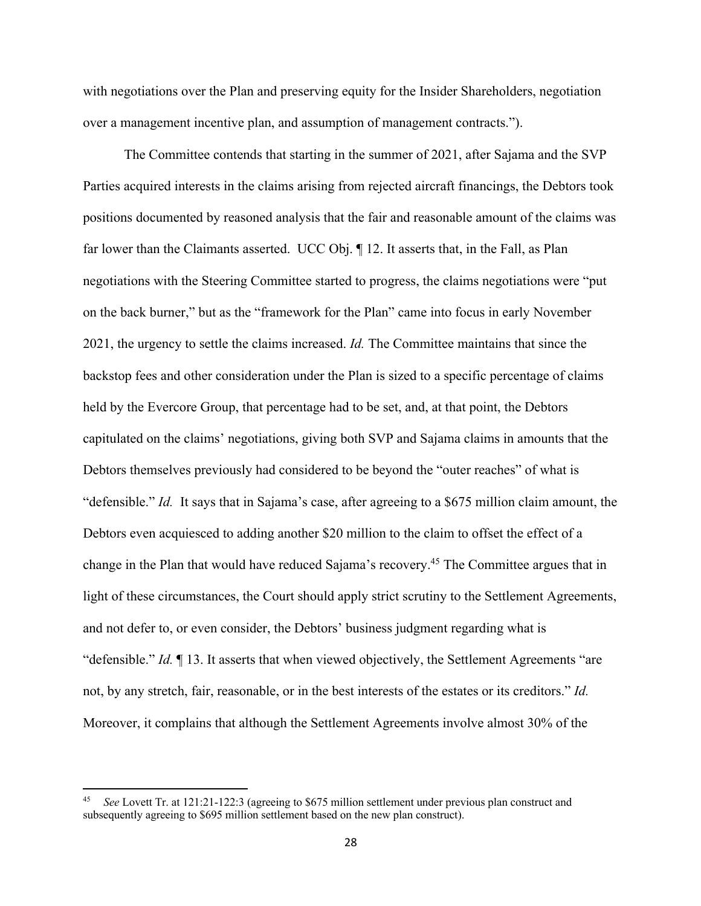with negotiations over the Plan and preserving equity for the Insider Shareholders, negotiation over a management incentive plan, and assumption of management contracts.").

The Committee contends that starting in the summer of 2021, after Sajama and the SVP Parties acquired interests in the claims arising from rejected aircraft financings, the Debtors took positions documented by reasoned analysis that the fair and reasonable amount of the claims was far lower than the Claimants asserted. UCC Obj. ¶ 12. It asserts that, in the Fall, as Plan negotiations with the Steering Committee started to progress, the claims negotiations were "put on the back burner," but as the "framework for the Plan" came into focus in early November 2021, the urgency to settle the claims increased. *Id.* The Committee maintains that since the backstop fees and other consideration under the Plan is sized to a specific percentage of claims held by the Evercore Group, that percentage had to be set, and, at that point, the Debtors capitulated on the claims' negotiations, giving both SVP and Sajama claims in amounts that the Debtors themselves previously had considered to be beyond the "outer reaches" of what is "defensible." *Id.* It says that in Sajama's case, after agreeing to a \$675 million claim amount, the Debtors even acquiesced to adding another \$20 million to the claim to offset the effect of a change in the Plan that would have reduced Sajama's recovery.45 The Committee argues that in light of these circumstances, the Court should apply strict scrutiny to the Settlement Agreements, and not defer to, or even consider, the Debtors' business judgment regarding what is "defensible." *Id.* ¶ 13. It asserts that when viewed objectively, the Settlement Agreements "are not, by any stretch, fair, reasonable, or in the best interests of the estates or its creditors." *Id.* Moreover, it complains that although the Settlement Agreements involve almost 30% of the

<sup>45</sup> *See* Lovett Tr. at 121:21-122:3 (agreeing to \$675 million settlement under previous plan construct and subsequently agreeing to \$695 million settlement based on the new plan construct).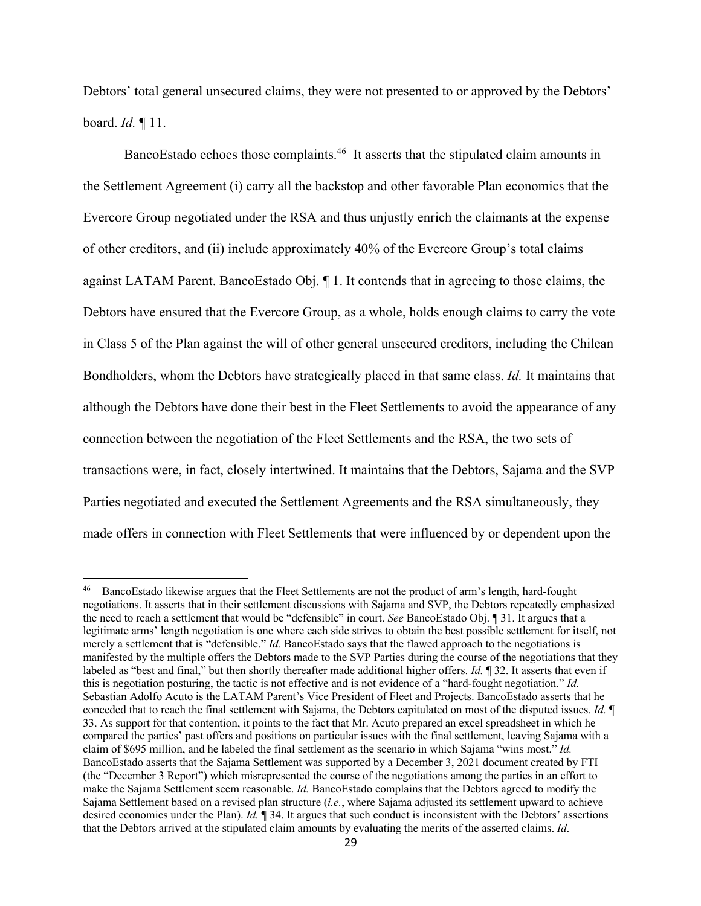Debtors' total general unsecured claims, they were not presented to or approved by the Debtors' board. *Id.* ¶ 11.

BancoEstado echoes those complaints.<sup>46</sup> It asserts that the stipulated claim amounts in the Settlement Agreement (i) carry all the backstop and other favorable Plan economics that the Evercore Group negotiated under the RSA and thus unjustly enrich the claimants at the expense of other creditors, and (ii) include approximately 40% of the Evercore Group's total claims against LATAM Parent. BancoEstado Obj. ¶ 1. It contends that in agreeing to those claims, the Debtors have ensured that the Evercore Group, as a whole, holds enough claims to carry the vote in Class 5 of the Plan against the will of other general unsecured creditors, including the Chilean Bondholders, whom the Debtors have strategically placed in that same class. *Id.* It maintains that although the Debtors have done their best in the Fleet Settlements to avoid the appearance of any connection between the negotiation of the Fleet Settlements and the RSA, the two sets of transactions were, in fact, closely intertwined. It maintains that the Debtors, Sajama and the SVP Parties negotiated and executed the Settlement Agreements and the RSA simultaneously, they made offers in connection with Fleet Settlements that were influenced by or dependent upon the

<sup>&</sup>lt;sup>46</sup> BancoEstado likewise argues that the Fleet Settlements are not the product of arm's length, hard-fought negotiations. It asserts that in their settlement discussions with Sajama and SVP, the Debtors repeatedly emphasized the need to reach a settlement that would be "defensible" in court. *See* BancoEstado Obj. ¶ 31. It argues that a legitimate arms' length negotiation is one where each side strives to obtain the best possible settlement for itself, not merely a settlement that is "defensible." *Id.* BancoEstado says that the flawed approach to the negotiations is manifested by the multiple offers the Debtors made to the SVP Parties during the course of the negotiations that they labeled as "best and final," but then shortly thereafter made additional higher offers. *Id.* ¶ 32. It asserts that even if this is negotiation posturing, the tactic is not effective and is not evidence of a "hard-fought negotiation." *Id.*  Sebastian Adolfo Acuto is the LATAM Parent's Vice President of Fleet and Projects. BancoEstado asserts that he conceded that to reach the final settlement with Sajama, the Debtors capitulated on most of the disputed issues. *Id.* ¶ 33. As support for that contention, it points to the fact that Mr. Acuto prepared an excel spreadsheet in which he compared the parties' past offers and positions on particular issues with the final settlement, leaving Sajama with a claim of \$695 million, and he labeled the final settlement as the scenario in which Sajama "wins most." *Id.*  BancoEstado asserts that the Sajama Settlement was supported by a December 3, 2021 document created by FTI (the "December 3 Report") which misrepresented the course of the negotiations among the parties in an effort to make the Sajama Settlement seem reasonable. *Id.* BancoEstado complains that the Debtors agreed to modify the Sajama Settlement based on a revised plan structure (*i.e.*, where Sajama adjusted its settlement upward to achieve desired economics under the Plan). *Id.* **¶** 34. It argues that such conduct is inconsistent with the Debtors' assertions that the Debtors arrived at the stipulated claim amounts by evaluating the merits of the asserted claims. *Id*.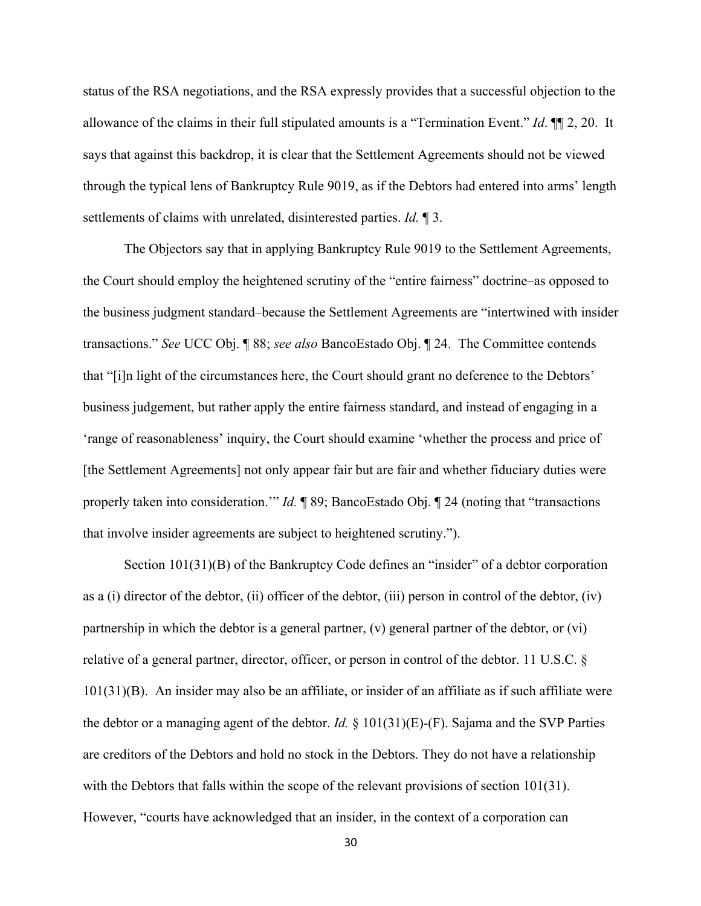status of the RSA negotiations, and the RSA expressly provides that a successful objection to the allowance of the claims in their full stipulated amounts is a "Termination Event." *Id*. ¶¶ 2, 20. It says that against this backdrop, it is clear that the Settlement Agreements should not be viewed through the typical lens of Bankruptcy Rule 9019, as if the Debtors had entered into arms' length settlements of claims with unrelated, disinterested parties. *Id.* ¶ 3.

The Objectors say that in applying Bankruptcy Rule 9019 to the Settlement Agreements, the Court should employ the heightened scrutiny of the "entire fairness" doctrine–as opposed to the business judgment standard–because the Settlement Agreements are "intertwined with insider transactions." *See* UCC Obj. ¶ 88; *see also* BancoEstado Obj. ¶ 24. The Committee contends that "[i]n light of the circumstances here, the Court should grant no deference to the Debtors' business judgement, but rather apply the entire fairness standard, and instead of engaging in a 'range of reasonableness' inquiry, the Court should examine 'whether the process and price of [the Settlement Agreements] not only appear fair but are fair and whether fiduciary duties were properly taken into consideration.'" *Id.* ¶ 89; BancoEstado Obj. ¶ 24 (noting that "transactions that involve insider agreements are subject to heightened scrutiny.").

Section 101(31)(B) of the Bankruptcy Code defines an "insider" of a debtor corporation as a (i) director of the debtor, (ii) officer of the debtor, (iii) person in control of the debtor, (iv) partnership in which the debtor is a general partner, (v) general partner of the debtor, or (vi) relative of a general partner, director, officer, or person in control of the debtor. 11 U.S.C. § 101(31)(B). An insider may also be an affiliate, or insider of an affiliate as if such affiliate were the debtor or a managing agent of the debtor. *Id.* § 101(31)(E)-(F). Sajama and the SVP Parties are creditors of the Debtors and hold no stock in the Debtors. They do not have a relationship with the Debtors that falls within the scope of the relevant provisions of section 101(31). However, "courts have acknowledged that an insider, in the context of a corporation can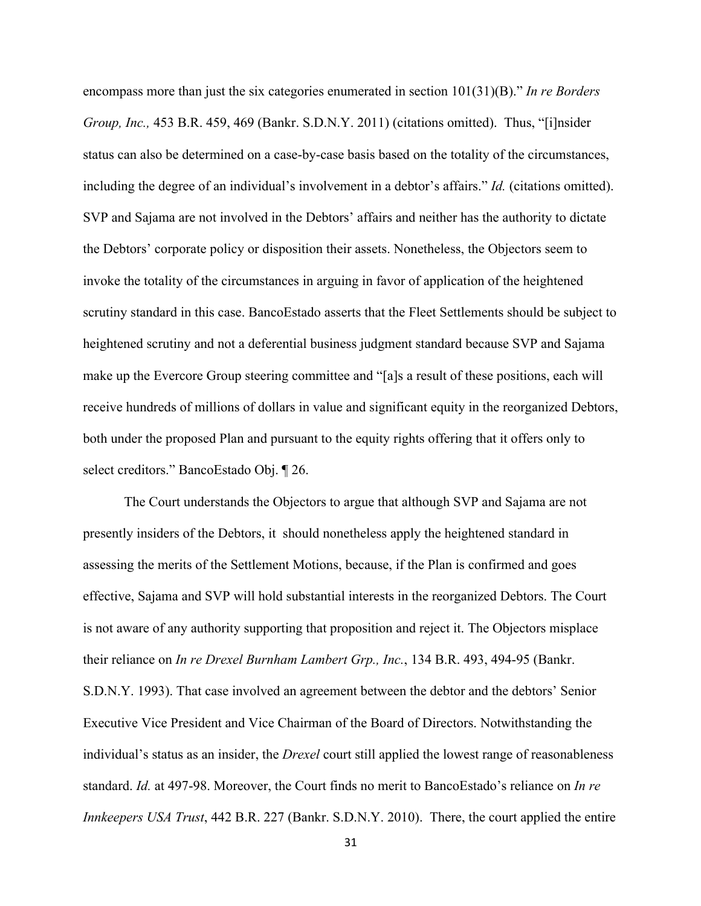encompass more than just the six categories enumerated in section 101(31)(B)." *In re Borders Group, Inc.,* 453 B.R. 459, 469 (Bankr. S.D.N.Y. 2011) (citations omitted). Thus, "[i]nsider status can also be determined on a case-by-case basis based on the totality of the circumstances, including the degree of an individual's involvement in a debtor's affairs." *Id.* (citations omitted). SVP and Sajama are not involved in the Debtors' affairs and neither has the authority to dictate the Debtors' corporate policy or disposition their assets. Nonetheless, the Objectors seem to invoke the totality of the circumstances in arguing in favor of application of the heightened scrutiny standard in this case. BancoEstado asserts that the Fleet Settlements should be subject to heightened scrutiny and not a deferential business judgment standard because SVP and Sajama make up the Evercore Group steering committee and "[a]s a result of these positions, each will receive hundreds of millions of dollars in value and significant equity in the reorganized Debtors, both under the proposed Plan and pursuant to the equity rights offering that it offers only to select creditors." BancoEstado Obj. ¶ 26.

The Court understands the Objectors to argue that although SVP and Sajama are not presently insiders of the Debtors, it should nonetheless apply the heightened standard in assessing the merits of the Settlement Motions, because, if the Plan is confirmed and goes effective, Sajama and SVP will hold substantial interests in the reorganized Debtors. The Court is not aware of any authority supporting that proposition and reject it. The Objectors misplace their reliance on *In re Drexel Burnham Lambert Grp., Inc.*, 134 B.R. 493, 494-95 (Bankr. S.D.N.Y. 1993). That case involved an agreement between the debtor and the debtors' Senior Executive Vice President and Vice Chairman of the Board of Directors. Notwithstanding the individual's status as an insider, the *Drexel* court still applied the lowest range of reasonableness standard. *Id.* at 497-98. Moreover, the Court finds no merit to BancoEstado's reliance on *In re Innkeepers USA Trust*, 442 B.R. 227 (Bankr. S.D.N.Y. 2010). There, the court applied the entire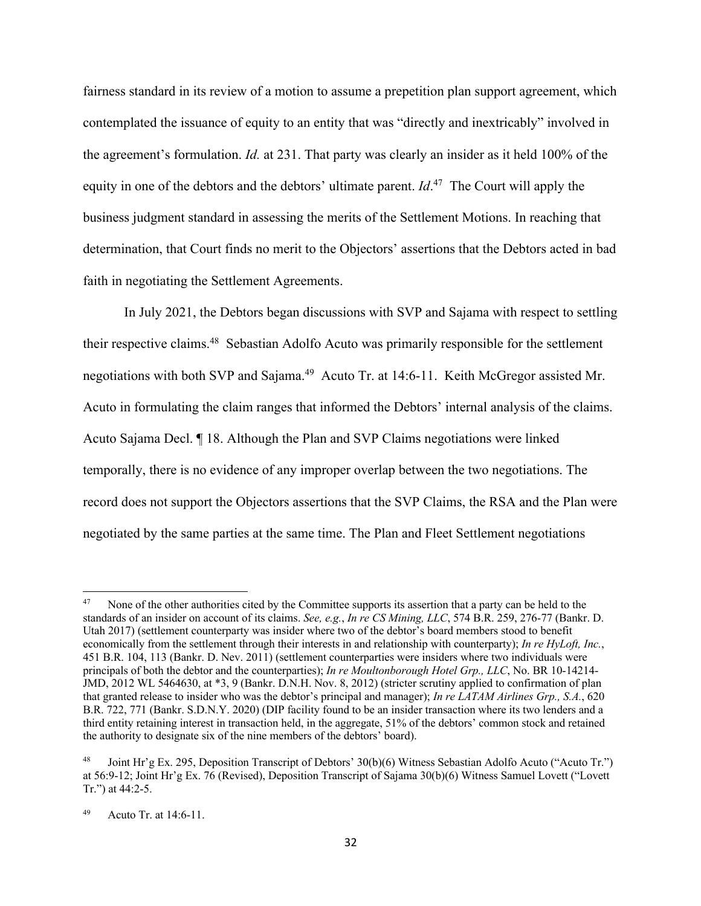fairness standard in its review of a motion to assume a prepetition plan support agreement, which contemplated the issuance of equity to an entity that was "directly and inextricably" involved in the agreement's formulation. *Id.* at 231. That party was clearly an insider as it held 100% of the equity in one of the debtors and the debtors' ultimate parent. *Id*. 47 The Court will apply the business judgment standard in assessing the merits of the Settlement Motions. In reaching that determination, that Court finds no merit to the Objectors' assertions that the Debtors acted in bad faith in negotiating the Settlement Agreements.

In July 2021, the Debtors began discussions with SVP and Sajama with respect to settling their respective claims.48 Sebastian Adolfo Acuto was primarily responsible for the settlement negotiations with both SVP and Sajama.<sup>49</sup> Acuto Tr. at 14:6-11. Keith McGregor assisted Mr. Acuto in formulating the claim ranges that informed the Debtors' internal analysis of the claims. Acuto Sajama Decl. ¶ 18. Although the Plan and SVP Claims negotiations were linked temporally, there is no evidence of any improper overlap between the two negotiations. The record does not support the Objectors assertions that the SVP Claims, the RSA and the Plan were negotiated by the same parties at the same time. The Plan and Fleet Settlement negotiations

<sup>&</sup>lt;sup>47</sup> None of the other authorities cited by the Committee supports its assertion that a party can be held to the standards of an insider on account of its claims. *See, e.g.*, *In re CS Mining, LLC*, 574 B.R. 259, 276-77 (Bankr. D. Utah 2017) (settlement counterparty was insider where two of the debtor's board members stood to benefit economically from the settlement through their interests in and relationship with counterparty); *In re HyLoft, Inc.*, 451 B.R. 104, 113 (Bankr. D. Nev. 2011) (settlement counterparties were insiders where two individuals were principals of both the debtor and the counterparties); *In re Moultonborough Hotel Grp., LLC*, No. BR 10-14214- JMD, 2012 WL 5464630, at \*3, 9 (Bankr. D.N.H. Nov. 8, 2012) (stricter scrutiny applied to confirmation of plan that granted release to insider who was the debtor's principal and manager); *In re LATAM Airlines Grp., S.A.*, 620 B.R. 722, 771 (Bankr. S.D.N.Y. 2020) (DIP facility found to be an insider transaction where its two lenders and a third entity retaining interest in transaction held, in the aggregate, 51% of the debtors' common stock and retained the authority to designate six of the nine members of the debtors' board).

<sup>48</sup> Joint Hr'g Ex. 295, Deposition Transcript of Debtors' 30(b)(6) Witness Sebastian Adolfo Acuto ("Acuto Tr.") at 56:9-12; Joint Hr'g Ex. 76 (Revised), Deposition Transcript of Sajama 30(b)(6) Witness Samuel Lovett ("Lovett Tr.") at 44:2-5.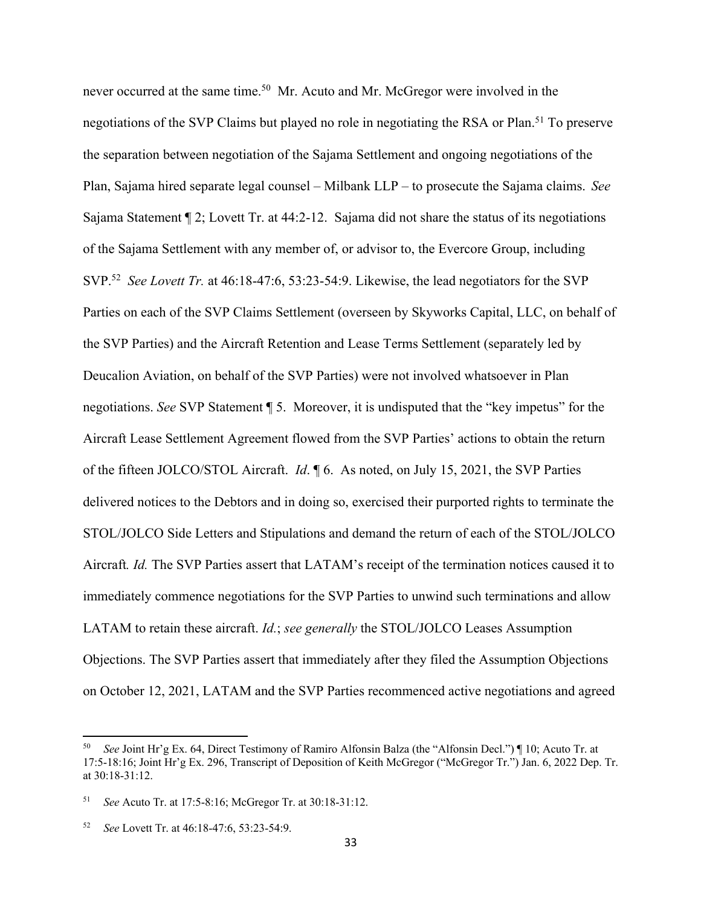never occurred at the same time.<sup>50</sup> Mr. Acuto and Mr. McGregor were involved in the negotiations of the SVP Claims but played no role in negotiating the RSA or Plan.<sup>51</sup> To preserve the separation between negotiation of the Sajama Settlement and ongoing negotiations of the Plan, Sajama hired separate legal counsel – Milbank LLP – to prosecute the Sajama claims. *See* Sajama Statement ¶ 2; Lovett Tr. at 44:2-12. Sajama did not share the status of its negotiations of the Sajama Settlement with any member of, or advisor to, the Evercore Group, including SVP. <sup>52</sup> *See Lovett Tr.* at 46:18-47:6, 53:23-54:9. Likewise, the lead negotiators for the SVP Parties on each of the SVP Claims Settlement (overseen by Skyworks Capital, LLC, on behalf of the SVP Parties) and the Aircraft Retention and Lease Terms Settlement (separately led by Deucalion Aviation, on behalf of the SVP Parties) were not involved whatsoever in Plan negotiations. *See* SVP Statement ¶ 5. Moreover, it is undisputed that the "key impetus" for the Aircraft Lease Settlement Agreement flowed from the SVP Parties' actions to obtain the return of the fifteen JOLCO/STOL Aircraft. *Id*. ¶ 6. As noted, on July 15, 2021, the SVP Parties delivered notices to the Debtors and in doing so, exercised their purported rights to terminate the STOL/JOLCO Side Letters and Stipulations and demand the return of each of the STOL/JOLCO Aircraft*. Id.* The SVP Parties assert that LATAM's receipt of the termination notices caused it to immediately commence negotiations for the SVP Parties to unwind such terminations and allow LATAM to retain these aircraft. *Id.*; *see generally* the STOL/JOLCO Leases Assumption Objections. The SVP Parties assert that immediately after they filed the Assumption Objections on October 12, 2021, LATAM and the SVP Parties recommenced active negotiations and agreed

See Joint Hr'g Ex. 64, Direct Testimony of Ramiro Alfonsin Balza (the "Alfonsin Decl.") [10; Acuto Tr. at 17:5-18:16; Joint Hr'g Ex. 296, Transcript of Deposition of Keith McGregor ("McGregor Tr.") Jan. 6, 2022 Dep. Tr. at 30:18-31:12.

<sup>51</sup> *See* Acuto Tr. at 17:5-8:16; McGregor Tr. at 30:18-31:12.

<sup>52</sup> *See* Lovett Tr. at 46:18-47:6, 53:23-54:9.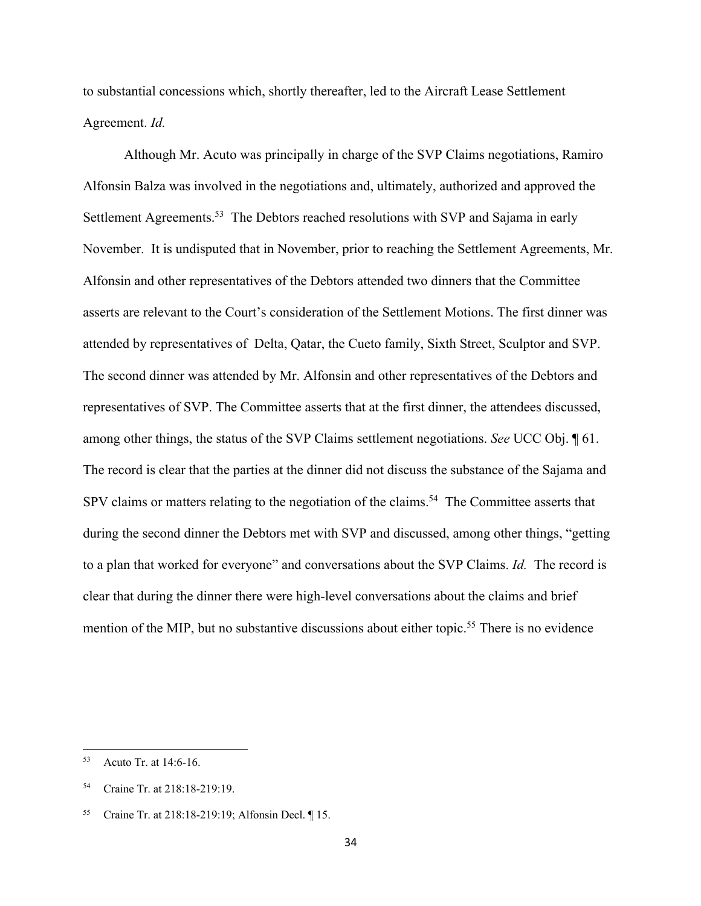to substantial concessions which, shortly thereafter, led to the Aircraft Lease Settlement Agreement. *Id.*

Although Mr. Acuto was principally in charge of the SVP Claims negotiations, Ramiro Alfonsin Balza was involved in the negotiations and, ultimately, authorized and approved the Settlement Agreements.<sup>53</sup> The Debtors reached resolutions with SVP and Sajama in early November. It is undisputed that in November, prior to reaching the Settlement Agreements, Mr. Alfonsin and other representatives of the Debtors attended two dinners that the Committee asserts are relevant to the Court's consideration of the Settlement Motions. The first dinner was attended by representatives of Delta, Qatar, the Cueto family, Sixth Street, Sculptor and SVP. The second dinner was attended by Mr. Alfonsin and other representatives of the Debtors and representatives of SVP. The Committee asserts that at the first dinner, the attendees discussed, among other things, the status of the SVP Claims settlement negotiations. *See* UCC Obj. ¶ 61. The record is clear that the parties at the dinner did not discuss the substance of the Sajama and SPV claims or matters relating to the negotiation of the claims.<sup>54</sup> The Committee asserts that during the second dinner the Debtors met with SVP and discussed, among other things, "getting to a plan that worked for everyone" and conversations about the SVP Claims. *Id.* The record is clear that during the dinner there were high-level conversations about the claims and brief mention of the MIP, but no substantive discussions about either topic.<sup>55</sup> There is no evidence

<sup>53</sup> Acuto Tr. at 14:6-16.

<sup>54</sup> Craine Tr. at 218:18-219:19.

<sup>55</sup> Craine Tr. at 218:18-219:19; Alfonsin Decl. ¶ 15.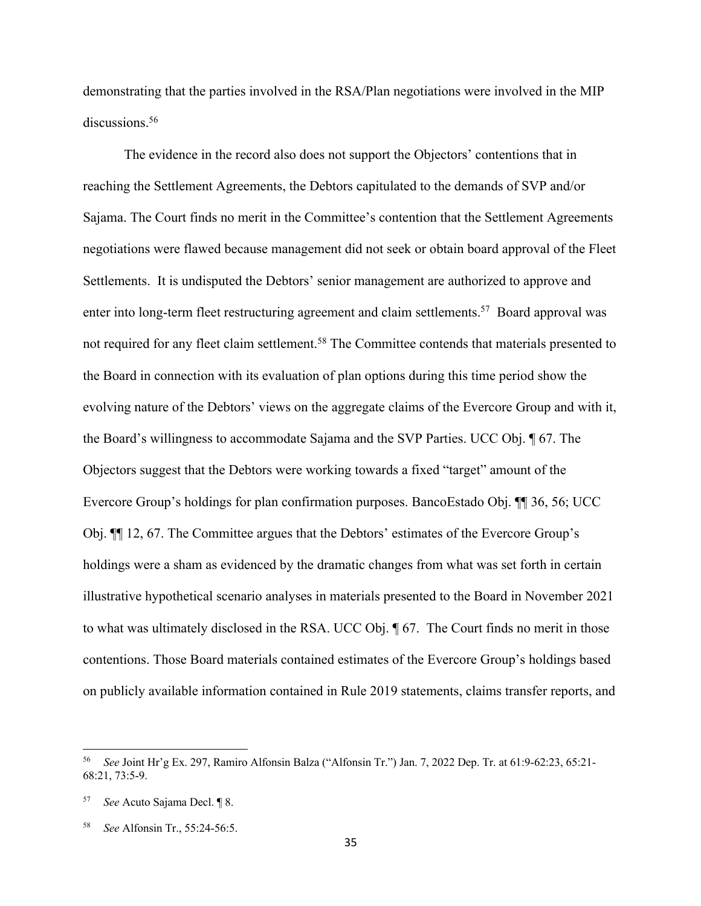demonstrating that the parties involved in the RSA/Plan negotiations were involved in the MIP discussions.<sup>56</sup>

The evidence in the record also does not support the Objectors' contentions that in reaching the Settlement Agreements, the Debtors capitulated to the demands of SVP and/or Sajama. The Court finds no merit in the Committee's contention that the Settlement Agreements negotiations were flawed because management did not seek or obtain board approval of the Fleet Settlements. It is undisputed the Debtors' senior management are authorized to approve and enter into long-term fleet restructuring agreement and claim settlements.<sup>57</sup> Board approval was not required for any fleet claim settlement.<sup>58</sup> The Committee contends that materials presented to the Board in connection with its evaluation of plan options during this time period show the evolving nature of the Debtors' views on the aggregate claims of the Evercore Group and with it, the Board's willingness to accommodate Sajama and the SVP Parties. UCC Obj. ¶ 67. The Objectors suggest that the Debtors were working towards a fixed "target" amount of the Evercore Group's holdings for plan confirmation purposes. BancoEstado Obj. ¶¶ 36, 56; UCC Obj. ¶¶ 12, 67. The Committee argues that the Debtors' estimates of the Evercore Group's holdings were a sham as evidenced by the dramatic changes from what was set forth in certain illustrative hypothetical scenario analyses in materials presented to the Board in November 2021 to what was ultimately disclosed in the RSA. UCC Obj. ¶ 67. The Court finds no merit in those contentions. Those Board materials contained estimates of the Evercore Group's holdings based on publicly available information contained in Rule 2019 statements, claims transfer reports, and

<sup>56</sup> *See* Joint Hr'g Ex. 297, Ramiro Alfonsin Balza ("Alfonsin Tr.") Jan. 7, 2022 Dep. Tr. at 61:9-62:23, 65:21- 68:21, 73:5-9.

<sup>57</sup> *See* Acuto Sajama Decl. ¶ 8.

<sup>58</sup> *See* Alfonsin Tr., 55:24-56:5.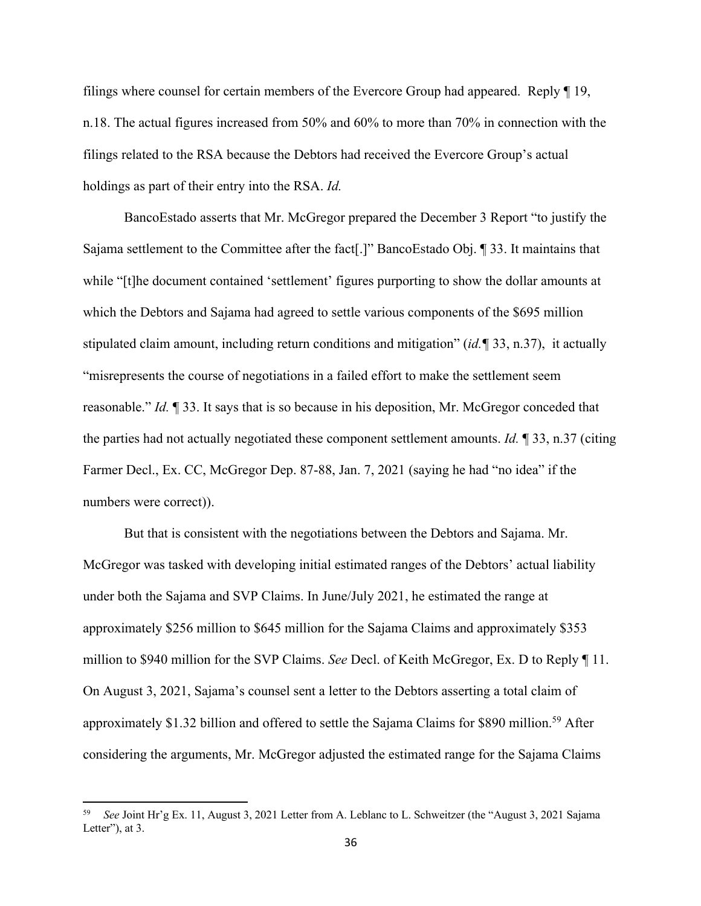filings where counsel for certain members of the Evercore Group had appeared. Reply ¶ 19, n.18. The actual figures increased from 50% and 60% to more than 70% in connection with the filings related to the RSA because the Debtors had received the Evercore Group's actual holdings as part of their entry into the RSA. *Id.*

BancoEstado asserts that Mr. McGregor prepared the December 3 Report "to justify the Sajama settlement to the Committee after the fact[.]" BancoEstado Obj. ¶ 33. It maintains that while "[t]he document contained 'settlement' figures purporting to show the dollar amounts at which the Debtors and Sajama had agreed to settle various components of the \$695 million stipulated claim amount, including return conditions and mitigation" (*id.¶* 33, n.37), it actually "misrepresents the course of negotiations in a failed effort to make the settlement seem reasonable." *Id.* ¶ 33. It says that is so because in his deposition, Mr. McGregor conceded that the parties had not actually negotiated these component settlement amounts. *Id.* ¶ 33, n.37 (citing Farmer Decl., Ex. CC, McGregor Dep. 87-88, Jan. 7, 2021 (saying he had "no idea" if the numbers were correct)).

But that is consistent with the negotiations between the Debtors and Sajama. Mr. McGregor was tasked with developing initial estimated ranges of the Debtors' actual liability under both the Sajama and SVP Claims. In June/July 2021, he estimated the range at approximately \$256 million to \$645 million for the Sajama Claims and approximately \$353 million to \$940 million for the SVP Claims. *See* Decl. of Keith McGregor, Ex. D to Reply ¶ 11. On August 3, 2021, Sajama's counsel sent a letter to the Debtors asserting a total claim of approximately \$1.32 billion and offered to settle the Sajama Claims for \$890 million.<sup>59</sup> After considering the arguments, Mr. McGregor adjusted the estimated range for the Sajama Claims

<sup>59</sup> *See* Joint Hr'g Ex. 11, August 3, 2021 Letter from A. Leblanc to L. Schweitzer (the "August 3, 2021 Sajama Letter"), at 3.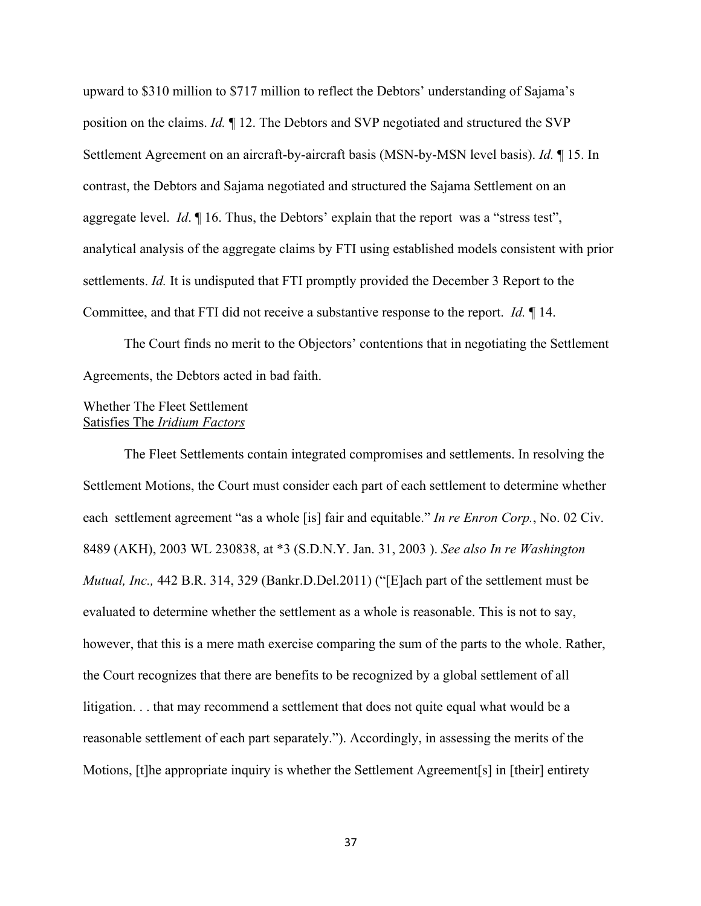upward to \$310 million to \$717 million to reflect the Debtors' understanding of Sajama's position on the claims. *Id.* ¶ 12. The Debtors and SVP negotiated and structured the SVP Settlement Agreement on an aircraft-by-aircraft basis (MSN-by-MSN level basis). *Id.* ¶ 15. In contrast, the Debtors and Sajama negotiated and structured the Sajama Settlement on an aggregate level. *Id*.  $\mathbb{I}$  16. Thus, the Debtors' explain that the report was a "stress test", analytical analysis of the aggregate claims by FTI using established models consistent with prior settlements. *Id.* It is undisputed that FTI promptly provided the December 3 Report to the Committee, and that FTI did not receive a substantive response to the report. *Id.* ¶ 14.

The Court finds no merit to the Objectors' contentions that in negotiating the Settlement Agreements, the Debtors acted in bad faith.

# Whether The Fleet Settlement Satisfies The *Iridium Factors*

The Fleet Settlements contain integrated compromises and settlements. In resolving the Settlement Motions, the Court must consider each part of each settlement to determine whether each settlement agreement "as a whole [is] fair and equitable." *In re Enron Corp.*, No. 02 Civ. 8489 (AKH), 2003 WL 230838, at \*3 (S.D.N.Y. Jan. 31, 2003 ). *See also In re Washington Mutual, Inc.,* 442 B.R. 314, 329 (Bankr.D.Del.2011) ("[E]ach part of the settlement must be evaluated to determine whether the settlement as a whole is reasonable. This is not to say, however, that this is a mere math exercise comparing the sum of the parts to the whole. Rather, the Court recognizes that there are benefits to be recognized by a global settlement of all litigation. . . that may recommend a settlement that does not quite equal what would be a reasonable settlement of each part separately."). Accordingly, in assessing the merits of the Motions, [t]he appropriate inquiry is whether the Settlement Agreement[s] in [their] entirety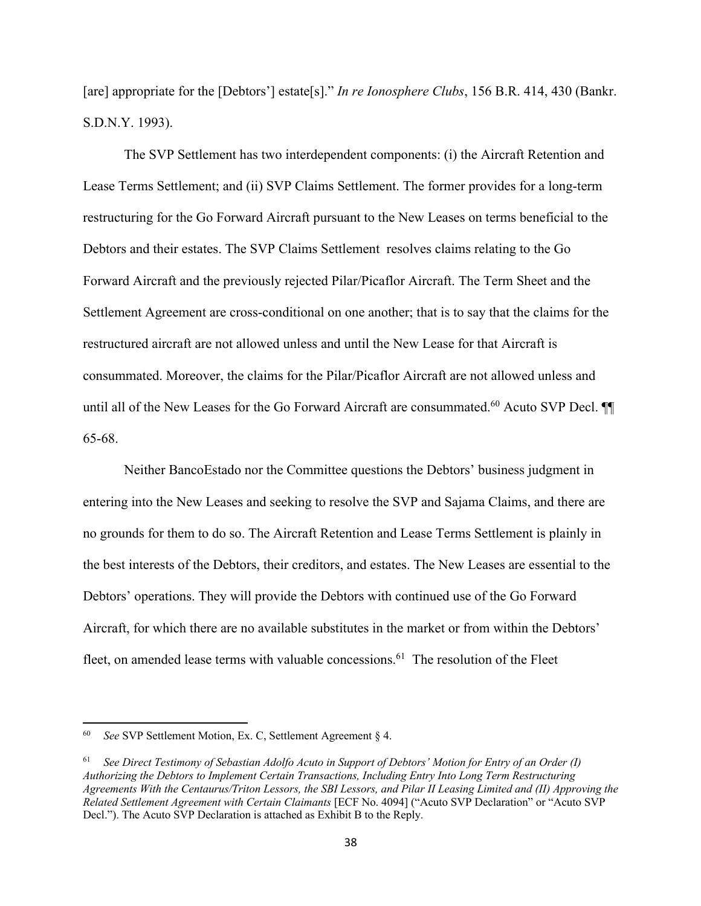[are] appropriate for the [Debtors'] estate[s]." *In re Ionosphere Clubs*, 156 B.R. 414, 430 (Bankr. S.D.N.Y. 1993).

The SVP Settlement has two interdependent components: (i) the Aircraft Retention and Lease Terms Settlement; and (ii) SVP Claims Settlement. The former provides for a long-term restructuring for the Go Forward Aircraft pursuant to the New Leases on terms beneficial to the Debtors and their estates. The SVP Claims Settlement resolves claims relating to the Go Forward Aircraft and the previously rejected Pilar/Picaflor Aircraft. The Term Sheet and the Settlement Agreement are cross-conditional on one another; that is to say that the claims for the restructured aircraft are not allowed unless and until the New Lease for that Aircraft is consummated. Moreover, the claims for the Pilar/Picaflor Aircraft are not allowed unless and until all of the New Leases for the Go Forward Aircraft are consummated.<sup>60</sup> Acuto SVP Decl.  $\P$ 65-68.

Neither BancoEstado nor the Committee questions the Debtors' business judgment in entering into the New Leases and seeking to resolve the SVP and Sajama Claims, and there are no grounds for them to do so. The Aircraft Retention and Lease Terms Settlement is plainly in the best interests of the Debtors, their creditors, and estates. The New Leases are essential to the Debtors' operations. They will provide the Debtors with continued use of the Go Forward Aircraft, for which there are no available substitutes in the market or from within the Debtors' fleet, on amended lease terms with valuable concessions.<sup>61</sup> The resolution of the Fleet

<sup>60</sup> *See* SVP Settlement Motion, Ex. C, Settlement Agreement § 4.

<sup>61</sup> *See Direct Testimony of Sebastian Adolfo Acuto in Support of Debtors' Motion for Entry of an Order (I) Authorizing the Debtors to Implement Certain Transactions, Including Entry Into Long Term Restructuring Agreements With the Centaurus/Triton Lessors, the SBI Lessors, and Pilar II Leasing Limited and (II) Approving the Related Settlement Agreement with Certain Claimants* [ECF No. 4094] ("Acuto SVP Declaration" or "Acuto SVP Decl."). The Acuto SVP Declaration is attached as Exhibit B to the Reply.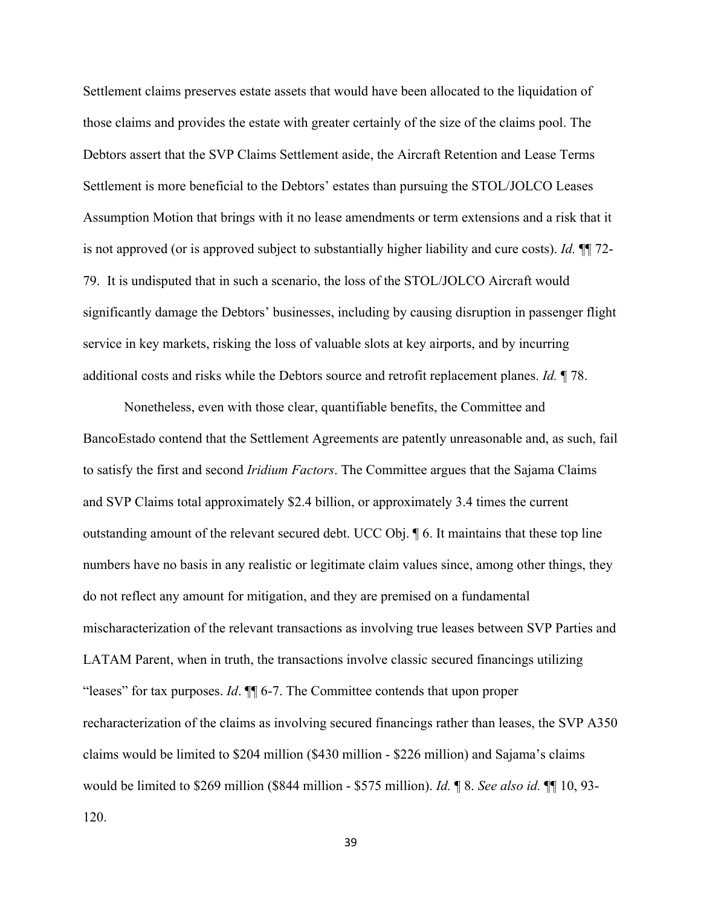Settlement claims preserves estate assets that would have been allocated to the liquidation of those claims and provides the estate with greater certainly of the size of the claims pool. The Debtors assert that the SVP Claims Settlement aside, the Aircraft Retention and Lease Terms Settlement is more beneficial to the Debtors' estates than pursuing the STOL/JOLCO Leases Assumption Motion that brings with it no lease amendments or term extensions and a risk that it is not approved (or is approved subject to substantially higher liability and cure costs). *Id.* ¶¶ 72- 79. It is undisputed that in such a scenario, the loss of the STOL/JOLCO Aircraft would significantly damage the Debtors' businesses, including by causing disruption in passenger flight service in key markets, risking the loss of valuable slots at key airports, and by incurring additional costs and risks while the Debtors source and retrofit replacement planes. *Id.* ¶ 78.

Nonetheless, even with those clear, quantifiable benefits, the Committee and BancoEstado contend that the Settlement Agreements are patently unreasonable and, as such, fail to satisfy the first and second *Iridium Factors*. The Committee argues that the Sajama Claims and SVP Claims total approximately \$2.4 billion, or approximately 3.4 times the current outstanding amount of the relevant secured debt. UCC Obj. ¶ 6. It maintains that these top line numbers have no basis in any realistic or legitimate claim values since, among other things, they do not reflect any amount for mitigation, and they are premised on a fundamental mischaracterization of the relevant transactions as involving true leases between SVP Parties and LATAM Parent, when in truth, the transactions involve classic secured financings utilizing "leases" for tax purposes. *Id*. ¶¶ 6-7. The Committee contends that upon proper recharacterization of the claims as involving secured financings rather than leases, the SVP A350 claims would be limited to \$204 million (\$430 million - \$226 million) and Sajama's claims would be limited to \$269 million (\$844 million - \$575 million). *Id.* ¶ 8. *See also id.* ¶¶ 10, 93- 120.

39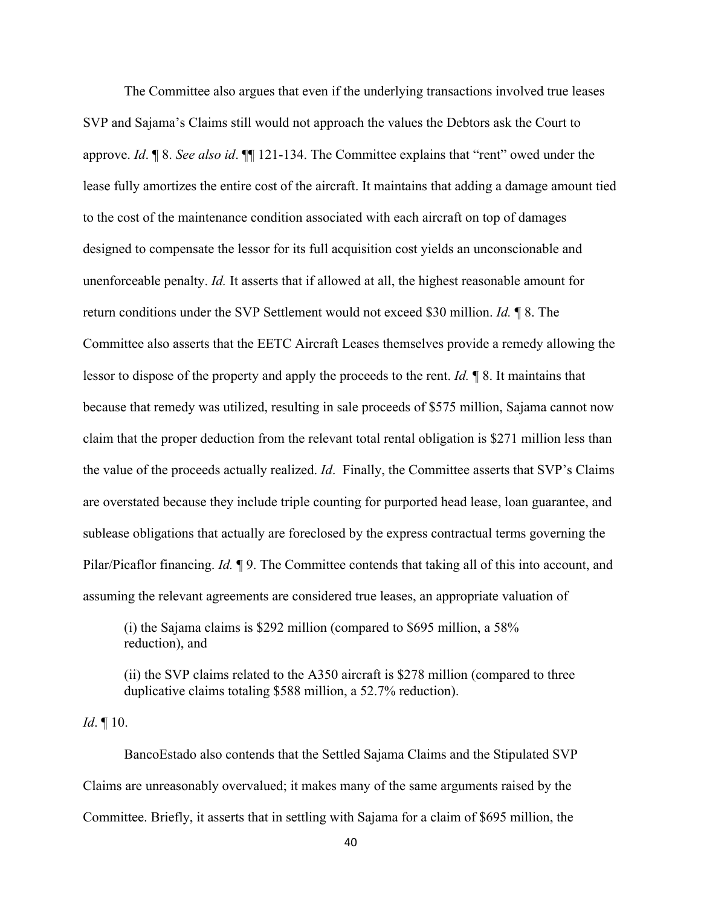The Committee also argues that even if the underlying transactions involved true leases SVP and Sajama's Claims still would not approach the values the Debtors ask the Court to approve. *Id*. ¶ 8. *See also id*. ¶¶ 121-134. The Committee explains that "rent" owed under the lease fully amortizes the entire cost of the aircraft. It maintains that adding a damage amount tied to the cost of the maintenance condition associated with each aircraft on top of damages designed to compensate the lessor for its full acquisition cost yields an unconscionable and unenforceable penalty. *Id.* It asserts that if allowed at all, the highest reasonable amount for return conditions under the SVP Settlement would not exceed \$30 million. *Id.* ¶ 8. The Committee also asserts that the EETC Aircraft Leases themselves provide a remedy allowing the lessor to dispose of the property and apply the proceeds to the rent. *Id.* ¶ 8. It maintains that because that remedy was utilized, resulting in sale proceeds of \$575 million, Sajama cannot now claim that the proper deduction from the relevant total rental obligation is \$271 million less than the value of the proceeds actually realized. *Id*. Finally, the Committee asserts that SVP's Claims are overstated because they include triple counting for purported head lease, loan guarantee, and sublease obligations that actually are foreclosed by the express contractual terms governing the Pilar/Picaflor financing. *Id.* 19. The Committee contends that taking all of this into account, and assuming the relevant agreements are considered true leases, an appropriate valuation of

(i) the Sajama claims is \$292 million (compared to \$695 million, a 58% reduction), and

(ii) the SVP claims related to the A350 aircraft is \$278 million (compared to three duplicative claims totaling \$588 million, a 52.7% reduction).

*Id*. ¶ 10.

BancoEstado also contends that the Settled Sajama Claims and the Stipulated SVP Claims are unreasonably overvalued; it makes many of the same arguments raised by the Committee. Briefly, it asserts that in settling with Sajama for a claim of \$695 million, the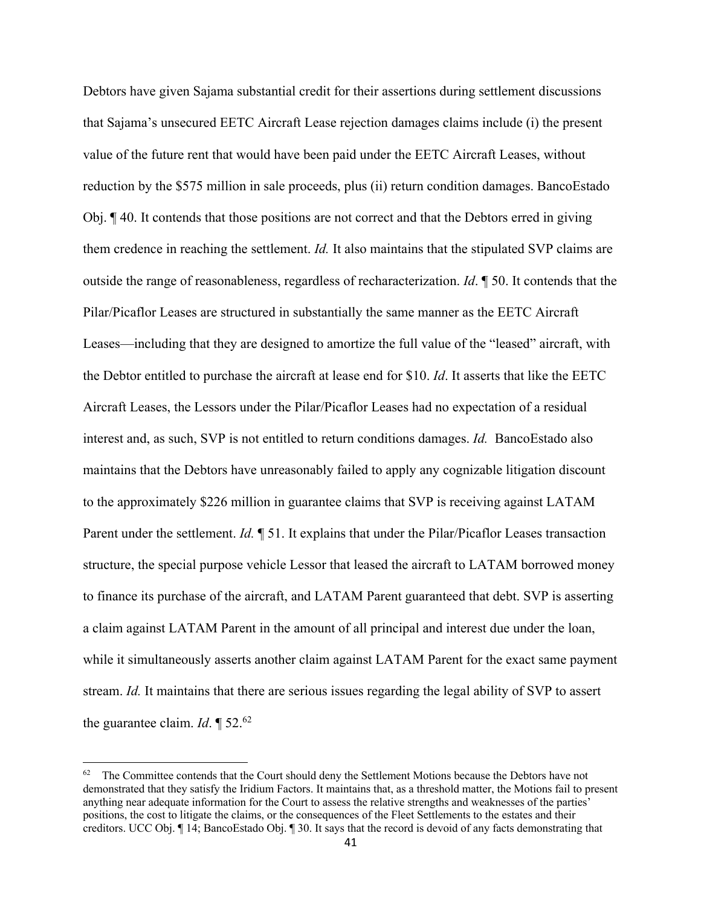Debtors have given Sajama substantial credit for their assertions during settlement discussions that Sajama's unsecured EETC Aircraft Lease rejection damages claims include (i) the present value of the future rent that would have been paid under the EETC Aircraft Leases, without reduction by the \$575 million in sale proceeds, plus (ii) return condition damages. BancoEstado Obj. ¶ 40. It contends that those positions are not correct and that the Debtors erred in giving them credence in reaching the settlement. *Id.* It also maintains that the stipulated SVP claims are outside the range of reasonableness, regardless of recharacterization. *Id*. ¶ 50. It contends that the Pilar/Picaflor Leases are structured in substantially the same manner as the EETC Aircraft Leases—including that they are designed to amortize the full value of the "leased" aircraft, with the Debtor entitled to purchase the aircraft at lease end for \$10. *Id*. It asserts that like the EETC Aircraft Leases, the Lessors under the Pilar/Picaflor Leases had no expectation of a residual interest and, as such, SVP is not entitled to return conditions damages. *Id.* BancoEstado also maintains that the Debtors have unreasonably failed to apply any cognizable litigation discount to the approximately \$226 million in guarantee claims that SVP is receiving against LATAM Parent under the settlement. *Id.* ¶ 51. It explains that under the Pilar/Picaflor Leases transaction structure, the special purpose vehicle Lessor that leased the aircraft to LATAM borrowed money to finance its purchase of the aircraft, and LATAM Parent guaranteed that debt. SVP is asserting a claim against LATAM Parent in the amount of all principal and interest due under the loan, while it simultaneously asserts another claim against LATAM Parent for the exact same payment stream. *Id.* It maintains that there are serious issues regarding the legal ability of SVP to assert the guarantee claim. *Id*. ¶ 52.62

 $62$  The Committee contends that the Court should deny the Settlement Motions because the Debtors have not demonstrated that they satisfy the Iridium Factors. It maintains that, as a threshold matter, the Motions fail to present anything near adequate information for the Court to assess the relative strengths and weaknesses of the parties' positions, the cost to litigate the claims, or the consequences of the Fleet Settlements to the estates and their creditors. UCC Obj. ¶ 14; BancoEstado Obj. ¶ 30. It says that the record is devoid of any facts demonstrating that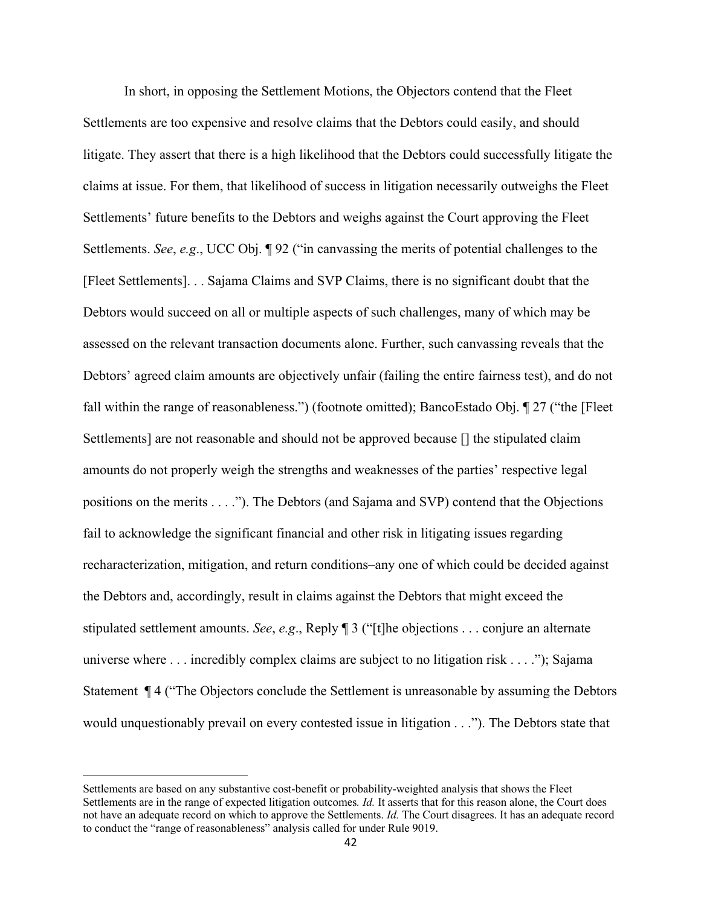In short, in opposing the Settlement Motions, the Objectors contend that the Fleet Settlements are too expensive and resolve claims that the Debtors could easily, and should litigate. They assert that there is a high likelihood that the Debtors could successfully litigate the claims at issue. For them, that likelihood of success in litigation necessarily outweighs the Fleet Settlements' future benefits to the Debtors and weighs against the Court approving the Fleet Settlements. *See*, *e.g*., UCC Obj. ¶ 92 ("in canvassing the merits of potential challenges to the [Fleet Settlements]. . . Sajama Claims and SVP Claims, there is no significant doubt that the Debtors would succeed on all or multiple aspects of such challenges, many of which may be assessed on the relevant transaction documents alone. Further, such canvassing reveals that the Debtors' agreed claim amounts are objectively unfair (failing the entire fairness test), and do not fall within the range of reasonableness.") (footnote omitted); BancoEstado Obj. ¶ 27 ("the [Fleet Settlements] are not reasonable and should not be approved because [] the stipulated claim amounts do not properly weigh the strengths and weaknesses of the parties' respective legal positions on the merits . . . ."). The Debtors (and Sajama and SVP) contend that the Objections fail to acknowledge the significant financial and other risk in litigating issues regarding recharacterization, mitigation, and return conditions–any one of which could be decided against the Debtors and, accordingly, result in claims against the Debtors that might exceed the stipulated settlement amounts. *See*, *e.g*., Reply ¶ 3 ("[t]he objections . . . conjure an alternate universe where . . . incredibly complex claims are subject to no litigation risk . . . ."); Sajama Statement ¶ 4 ("The Objectors conclude the Settlement is unreasonable by assuming the Debtors would unquestionably prevail on every contested issue in litigation . . ."). The Debtors state that

Settlements are based on any substantive cost-benefit or probability-weighted analysis that shows the Fleet Settlements are in the range of expected litigation outcomes*. Id.* It asserts that for this reason alone, the Court does not have an adequate record on which to approve the Settlements. *Id.* The Court disagrees. It has an adequate record to conduct the "range of reasonableness" analysis called for under Rule 9019.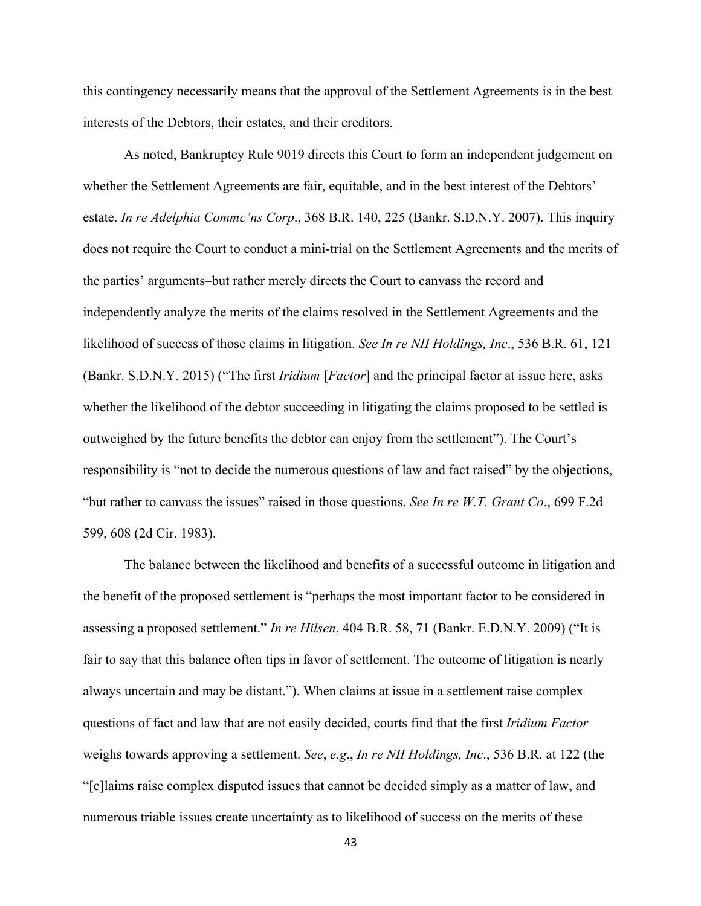this contingency necessarily means that the approval of the Settlement Agreements is in the best interests of the Debtors, their estates, and their creditors.

As noted, Bankruptcy Rule 9019 directs this Court to form an independent judgement on whether the Settlement Agreements are fair, equitable, and in the best interest of the Debtors' estate. *In re Adelphia Commc'ns Corp*., 368 B.R. 140, 225 (Bankr. S.D.N.Y. 2007). This inquiry does not require the Court to conduct a mini-trial on the Settlement Agreements and the merits of the parties' arguments–but rather merely directs the Court to canvass the record and independently analyze the merits of the claims resolved in the Settlement Agreements and the likelihood of success of those claims in litigation. *See In re NII Holdings, Inc*., 536 B.R. 61, 121 (Bankr. S.D.N.Y. 2015) ("The first *Iridium* [*Factor*] and the principal factor at issue here, asks whether the likelihood of the debtor succeeding in litigating the claims proposed to be settled is outweighed by the future benefits the debtor can enjoy from the settlement"). The Court's responsibility is "not to decide the numerous questions of law and fact raised" by the objections, "but rather to canvass the issues" raised in those questions. *See In re W.T. Grant Co*., 699 F.2d 599, 608 (2d Cir. 1983).

The balance between the likelihood and benefits of a successful outcome in litigation and the benefit of the proposed settlement is "perhaps the most important factor to be considered in assessing a proposed settlement." *In re Hilsen*, 404 B.R. 58, 71 (Bankr. E.D.N.Y. 2009) ("It is fair to say that this balance often tips in favor of settlement. The outcome of litigation is nearly always uncertain and may be distant."). When claims at issue in a settlement raise complex questions of fact and law that are not easily decided, courts find that the first *Iridium Factor* weighs towards approving a settlement. *See*, *e.g*., *In re NII Holdings, Inc*., 536 B.R. at 122 (the "[c]laims raise complex disputed issues that cannot be decided simply as a matter of law, and numerous triable issues create uncertainty as to likelihood of success on the merits of these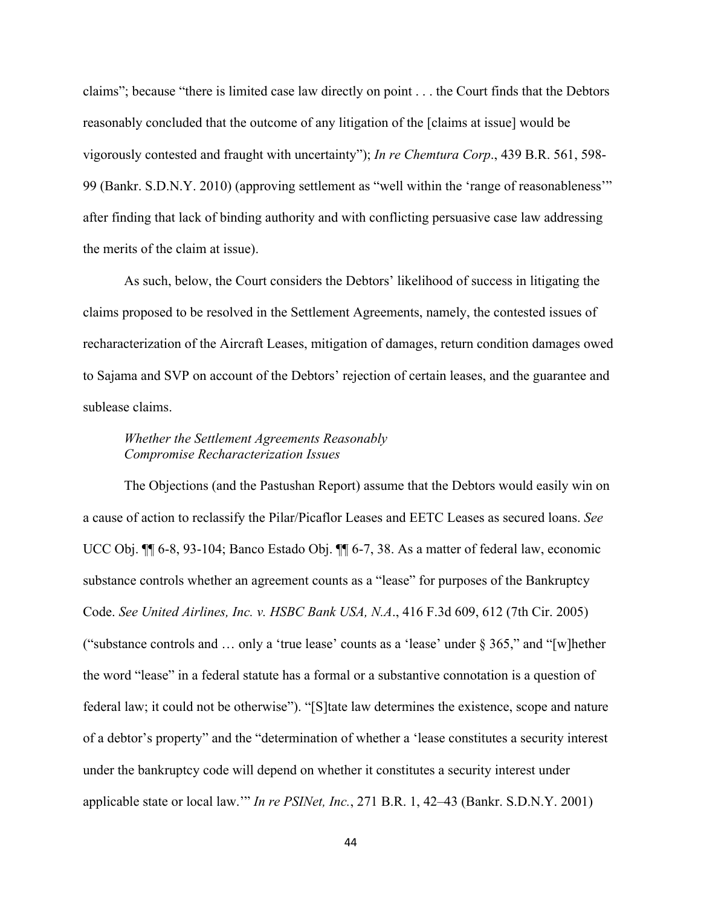claims"; because "there is limited case law directly on point . . . the Court finds that the Debtors reasonably concluded that the outcome of any litigation of the [claims at issue] would be vigorously contested and fraught with uncertainty"); *In re Chemtura Corp*., 439 B.R. 561, 598- 99 (Bankr. S.D.N.Y. 2010) (approving settlement as "well within the 'range of reasonableness'" after finding that lack of binding authority and with conflicting persuasive case law addressing the merits of the claim at issue).

As such, below, the Court considers the Debtors' likelihood of success in litigating the claims proposed to be resolved in the Settlement Agreements, namely, the contested issues of recharacterization of the Aircraft Leases, mitigation of damages, return condition damages owed to Sajama and SVP on account of the Debtors' rejection of certain leases, and the guarantee and sublease claims.

# *Whether the Settlement Agreements Reasonably Compromise Recharacterization Issues*

The Objections (and the Pastushan Report) assume that the Debtors would easily win on a cause of action to reclassify the Pilar/Picaflor Leases and EETC Leases as secured loans. *See*  UCC Obj. ¶¶ 6-8, 93-104; Banco Estado Obj. ¶¶ 6-7, 38. As a matter of federal law, economic substance controls whether an agreement counts as a "lease" for purposes of the Bankruptcy Code. *See United Airlines, Inc. v. HSBC Bank USA, N.A*., 416 F.3d 609, 612 (7th Cir. 2005) ("substance controls and … only a 'true lease' counts as a 'lease' under § 365," and "[w]hether the word "lease" in a federal statute has a formal or a substantive connotation is a question of federal law; it could not be otherwise"). "[S]tate law determines the existence, scope and nature of a debtor's property" and the "determination of whether a 'lease constitutes a security interest under the bankruptcy code will depend on whether it constitutes a security interest under applicable state or local law.'" *In re PSINet, Inc.*, 271 B.R. 1, 42–43 (Bankr. S.D.N.Y. 2001)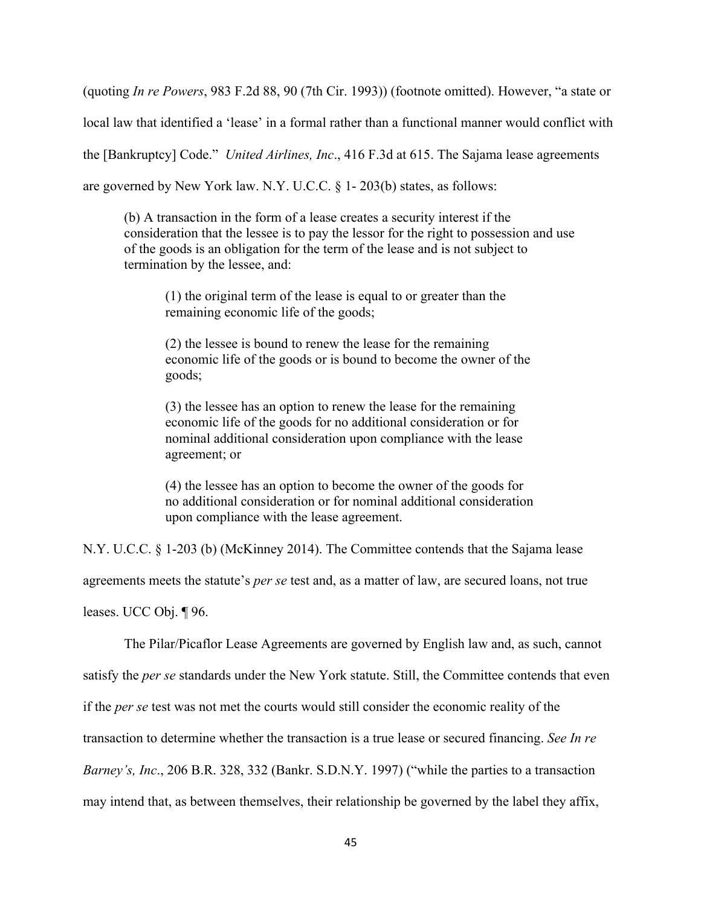(quoting *In re Powers*, 983 F.2d 88, 90 (7th Cir. 1993)) (footnote omitted). However, "a state or

local law that identified a 'lease' in a formal rather than a functional manner would conflict with

the [Bankruptcy] Code." *United Airlines, Inc*., 416 F.3d at 615. The Sajama lease agreements

are governed by New York law. N.Y. U.C.C. § 1- 203(b) states, as follows:

(b) A transaction in the form of a lease creates a security interest if the consideration that the lessee is to pay the lessor for the right to possession and use of the goods is an obligation for the term of the lease and is not subject to termination by the lessee, and:

(1) the original term of the lease is equal to or greater than the remaining economic life of the goods;

(2) the lessee is bound to renew the lease for the remaining economic life of the goods or is bound to become the owner of the goods;

(3) the lessee has an option to renew the lease for the remaining economic life of the goods for no additional consideration or for nominal additional consideration upon compliance with the lease agreement; or

(4) the lessee has an option to become the owner of the goods for no additional consideration or for nominal additional consideration upon compliance with the lease agreement.

N.Y. U.C.C. § 1-203 (b) (McKinney 2014). The Committee contends that the Sajama lease

agreements meets the statute's *per se* test and, as a matter of law, are secured loans, not true

leases. UCC Obj. ¶ 96.

The Pilar/Picaflor Lease Agreements are governed by English law and, as such, cannot satisfy the *per se* standards under the New York statute. Still, the Committee contends that even if the *per se* test was not met the courts would still consider the economic reality of the transaction to determine whether the transaction is a true lease or secured financing. *See In re Barney's, Inc*., 206 B.R. 328, 332 (Bankr. S.D.N.Y. 1997) ("while the parties to a transaction may intend that, as between themselves, their relationship be governed by the label they affix,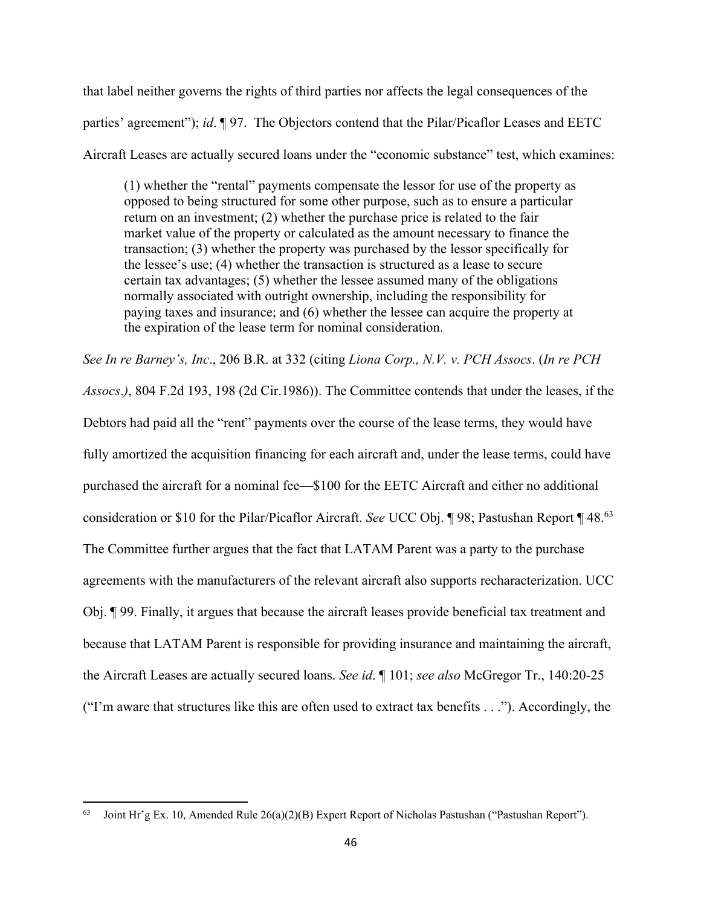that label neither governs the rights of third parties nor affects the legal consequences of the parties' agreement"); *id*. ¶ 97. The Objectors contend that the Pilar/Picaflor Leases and EETC Aircraft Leases are actually secured loans under the "economic substance" test, which examines:

(1) whether the "rental" payments compensate the lessor for use of the property as opposed to being structured for some other purpose, such as to ensure a particular return on an investment; (2) whether the purchase price is related to the fair market value of the property or calculated as the amount necessary to finance the transaction; (3) whether the property was purchased by the lessor specifically for the lessee's use; (4) whether the transaction is structured as a lease to secure certain tax advantages; (5) whether the lessee assumed many of the obligations normally associated with outright ownership, including the responsibility for paying taxes and insurance; and (6) whether the lessee can acquire the property at the expiration of the lease term for nominal consideration.

*See In re Barney's, Inc*., 206 B.R. at 332 (citing *Liona Corp., N.V. v. PCH Assocs*. (*In re PCH Assocs*.*)*, 804 F.2d 193, 198 (2d Cir.1986)). The Committee contends that under the leases, if the Debtors had paid all the "rent" payments over the course of the lease terms, they would have fully amortized the acquisition financing for each aircraft and, under the lease terms, could have purchased the aircraft for a nominal fee—\$100 for the EETC Aircraft and either no additional consideration or \$10 for the Pilar/Picaflor Aircraft. *See* UCC Obj. ¶ 98; Pastushan Report ¶ 48.63 The Committee further argues that the fact that LATAM Parent was a party to the purchase agreements with the manufacturers of the relevant aircraft also supports recharacterization. UCC Obj. ¶ 99. Finally, it argues that because the aircraft leases provide beneficial tax treatment and because that LATAM Parent is responsible for providing insurance and maintaining the aircraft, the Aircraft Leases are actually secured loans. *See id*. ¶ 101; *see also* McGregor Tr., 140:20-25 ("I'm aware that structures like this are often used to extract tax benefits . . ."). Accordingly, the

<sup>&</sup>lt;sup>63</sup> Joint Hr'g Ex. 10, Amended Rule 26(a)(2)(B) Expert Report of Nicholas Pastushan ("Pastushan Report").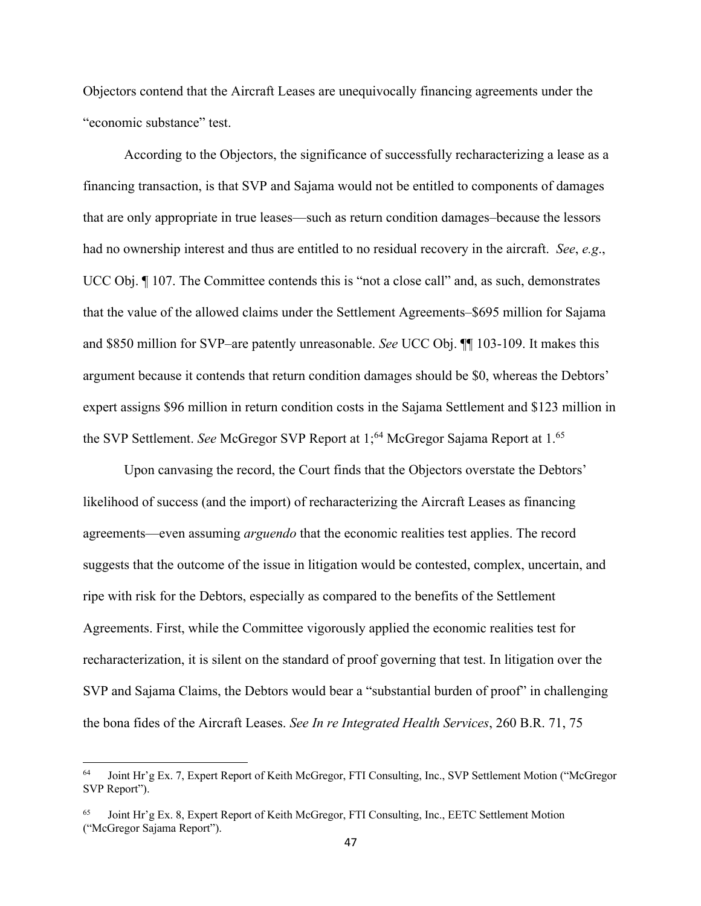Objectors contend that the Aircraft Leases are unequivocally financing agreements under the "economic substance" test.

According to the Objectors, the significance of successfully recharacterizing a lease as a financing transaction, is that SVP and Sajama would not be entitled to components of damages that are only appropriate in true leases—such as return condition damages–because the lessors had no ownership interest and thus are entitled to no residual recovery in the aircraft. *See*, *e.g*., UCC Obj.  $\P$  107. The Committee contends this is "not a close call" and, as such, demonstrates that the value of the allowed claims under the Settlement Agreements–\$695 million for Sajama and \$850 million for SVP–are patently unreasonable. *See* UCC Obj. ¶¶ 103-109. It makes this argument because it contends that return condition damages should be \$0, whereas the Debtors' expert assigns \$96 million in return condition costs in the Sajama Settlement and \$123 million in the SVP Settlement. *See* McGregor SVP Report at 1;<sup>64</sup> McGregor Sajama Report at 1.<sup>65</sup>

Upon canvasing the record, the Court finds that the Objectors overstate the Debtors' likelihood of success (and the import) of recharacterizing the Aircraft Leases as financing agreements—even assuming *arguendo* that the economic realities test applies. The record suggests that the outcome of the issue in litigation would be contested, complex, uncertain, and ripe with risk for the Debtors, especially as compared to the benefits of the Settlement Agreements. First, while the Committee vigorously applied the economic realities test for recharacterization, it is silent on the standard of proof governing that test. In litigation over the SVP and Sajama Claims, the Debtors would bear a "substantial burden of proof" in challenging the bona fides of the Aircraft Leases. *See In re Integrated Health Services*, 260 B.R. 71, 75

<sup>64</sup> Joint Hr'g Ex. 7, Expert Report of Keith McGregor, FTI Consulting, Inc., SVP Settlement Motion ("McGregor SVP Report").

<sup>65</sup> Joint Hr'g Ex. 8, Expert Report of Keith McGregor, FTI Consulting, Inc., EETC Settlement Motion ("McGregor Sajama Report").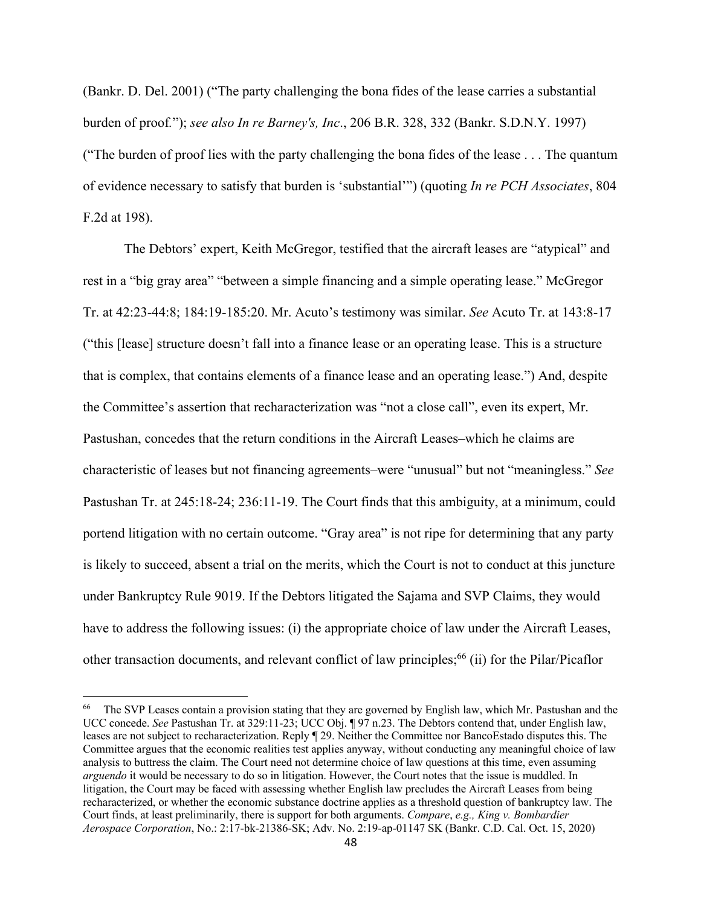(Bankr. D. Del. 2001) ("The party challenging the bona fides of the lease carries a substantial burden of proof*.*"); *see also In re Barney's, Inc*., 206 B.R. 328, 332 (Bankr. S.D.N.Y. 1997) ("The burden of proof lies with the party challenging the bona fides of the lease . . . The quantum of evidence necessary to satisfy that burden is 'substantial'") (quoting *In re PCH Associates*, 804 F.2d at 198).

The Debtors' expert, Keith McGregor, testified that the aircraft leases are "atypical" and rest in a "big gray area" "between a simple financing and a simple operating lease." McGregor Tr. at 42:23-44:8; 184:19-185:20. Mr. Acuto's testimony was similar. *See* Acuto Tr. at 143:8-17 ("this [lease] structure doesn't fall into a finance lease or an operating lease. This is a structure that is complex, that contains elements of a finance lease and an operating lease.") And, despite the Committee's assertion that recharacterization was "not a close call", even its expert, Mr. Pastushan, concedes that the return conditions in the Aircraft Leases–which he claims are characteristic of leases but not financing agreements–were "unusual" but not "meaningless." *See* Pastushan Tr. at 245:18-24; 236:11-19. The Court finds that this ambiguity, at a minimum, could portend litigation with no certain outcome. "Gray area" is not ripe for determining that any party is likely to succeed, absent a trial on the merits, which the Court is not to conduct at this juncture under Bankruptcy Rule 9019. If the Debtors litigated the Sajama and SVP Claims, they would have to address the following issues: (i) the appropriate choice of law under the Aircraft Leases, other transaction documents, and relevant conflict of law principles;<sup>66</sup> (ii) for the Pilar/Picaflor

<sup>&</sup>lt;sup>66</sup> The SVP Leases contain a provision stating that they are governed by English law, which Mr. Pastushan and the UCC concede. *See* Pastushan Tr. at 329:11-23; UCC Obj. ¶ 97 n.23. The Debtors contend that, under English law, leases are not subject to recharacterization. Reply ¶ 29. Neither the Committee nor BancoEstado disputes this. The Committee argues that the economic realities test applies anyway, without conducting any meaningful choice of law analysis to buttress the claim. The Court need not determine choice of law questions at this time, even assuming *arguendo* it would be necessary to do so in litigation. However, the Court notes that the issue is muddled. In litigation, the Court may be faced with assessing whether English law precludes the Aircraft Leases from being recharacterized, or whether the economic substance doctrine applies as a threshold question of bankruptcy law. The Court finds, at least preliminarily, there is support for both arguments. *Compare*, *e.g., King v. Bombardier Aerospace Corporation*, No.: 2:17-bk-21386-SK; Adv. No. 2:19-ap-01147 SK (Bankr. C.D. Cal. Oct. 15, 2020)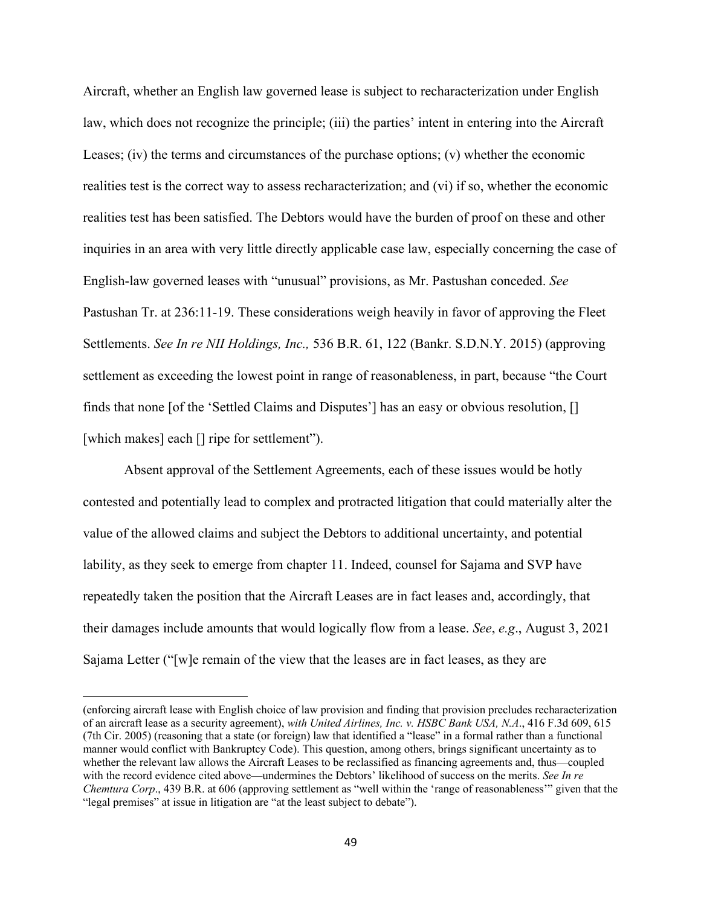Aircraft, whether an English law governed lease is subject to recharacterization under English law, which does not recognize the principle; (iii) the parties' intent in entering into the Aircraft Leases; (iv) the terms and circumstances of the purchase options; (v) whether the economic realities test is the correct way to assess recharacterization; and (vi) if so, whether the economic realities test has been satisfied. The Debtors would have the burden of proof on these and other inquiries in an area with very little directly applicable case law, especially concerning the case of English-law governed leases with "unusual" provisions, as Mr. Pastushan conceded. *See* Pastushan Tr. at 236:11-19. These considerations weigh heavily in favor of approving the Fleet Settlements. *See In re NII Holdings, Inc.,* 536 B.R. 61, 122 (Bankr. S.D.N.Y. 2015) (approving settlement as exceeding the lowest point in range of reasonableness, in part, because "the Court finds that none [of the 'Settled Claims and Disputes'] has an easy or obvious resolution, [] [which makes] each [] ripe for settlement").

Absent approval of the Settlement Agreements, each of these issues would be hotly contested and potentially lead to complex and protracted litigation that could materially alter the value of the allowed claims and subject the Debtors to additional uncertainty, and potential lability, as they seek to emerge from chapter 11. Indeed, counsel for Sajama and SVP have repeatedly taken the position that the Aircraft Leases are in fact leases and, accordingly, that their damages include amounts that would logically flow from a lease. *See*, *e.g*., August 3, 2021 Sajama Letter ("[w]e remain of the view that the leases are in fact leases, as they are

<sup>(</sup>enforcing aircraft lease with English choice of law provision and finding that provision precludes recharacterization of an aircraft lease as a security agreement), *with United Airlines, Inc. v. HSBC Bank USA, N.A*., 416 F.3d 609, 615 (7th Cir. 2005) (reasoning that a state (or foreign) law that identified a "lease" in a formal rather than a functional manner would conflict with Bankruptcy Code). This question, among others, brings significant uncertainty as to whether the relevant law allows the Aircraft Leases to be reclassified as financing agreements and, thus—coupled with the record evidence cited above—undermines the Debtors' likelihood of success on the merits. *See In re Chemtura Corp*., 439 B.R. at 606 (approving settlement as "well within the 'range of reasonableness'" given that the "legal premises" at issue in litigation are "at the least subject to debate").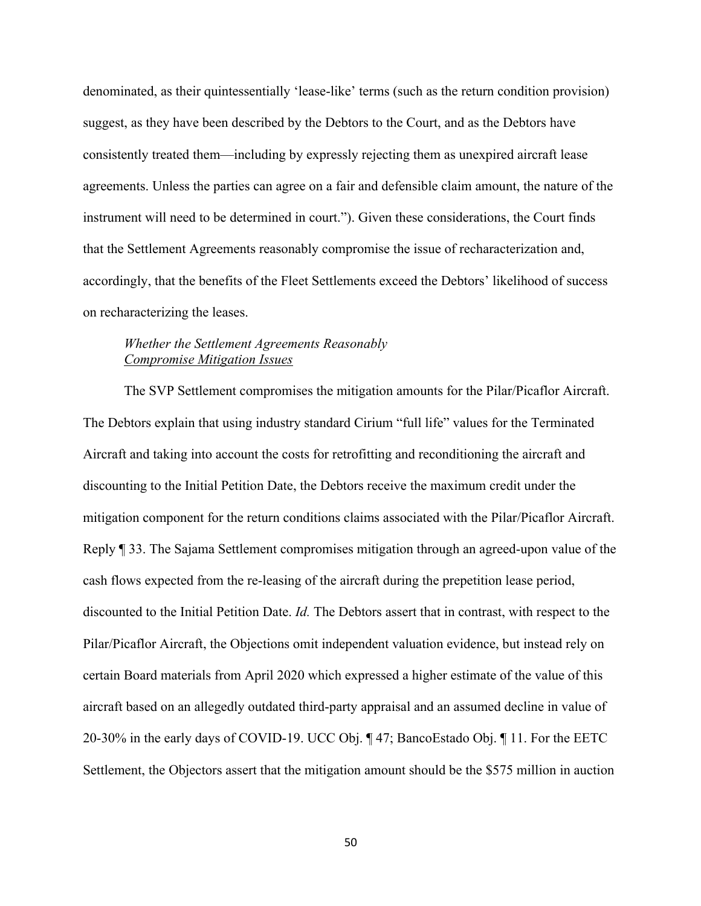denominated, as their quintessentially 'lease-like' terms (such as the return condition provision) suggest, as they have been described by the Debtors to the Court, and as the Debtors have consistently treated them—including by expressly rejecting them as unexpired aircraft lease agreements. Unless the parties can agree on a fair and defensible claim amount, the nature of the instrument will need to be determined in court."). Given these considerations, the Court finds that the Settlement Agreements reasonably compromise the issue of recharacterization and, accordingly, that the benefits of the Fleet Settlements exceed the Debtors' likelihood of success on recharacterizing the leases.

# *Whether the Settlement Agreements Reasonably Compromise Mitigation Issues*

The SVP Settlement compromises the mitigation amounts for the Pilar/Picaflor Aircraft. The Debtors explain that using industry standard Cirium "full life" values for the Terminated Aircraft and taking into account the costs for retrofitting and reconditioning the aircraft and discounting to the Initial Petition Date, the Debtors receive the maximum credit under the mitigation component for the return conditions claims associated with the Pilar/Picaflor Aircraft. Reply ¶ 33. The Sajama Settlement compromises mitigation through an agreed-upon value of the cash flows expected from the re-leasing of the aircraft during the prepetition lease period, discounted to the Initial Petition Date. *Id.* The Debtors assert that in contrast, with respect to the Pilar/Picaflor Aircraft, the Objections omit independent valuation evidence, but instead rely on certain Board materials from April 2020 which expressed a higher estimate of the value of this aircraft based on an allegedly outdated third-party appraisal and an assumed decline in value of 20-30% in the early days of COVID-19. UCC Obj. ¶ 47; BancoEstado Obj. ¶ 11. For the EETC Settlement, the Objectors assert that the mitigation amount should be the \$575 million in auction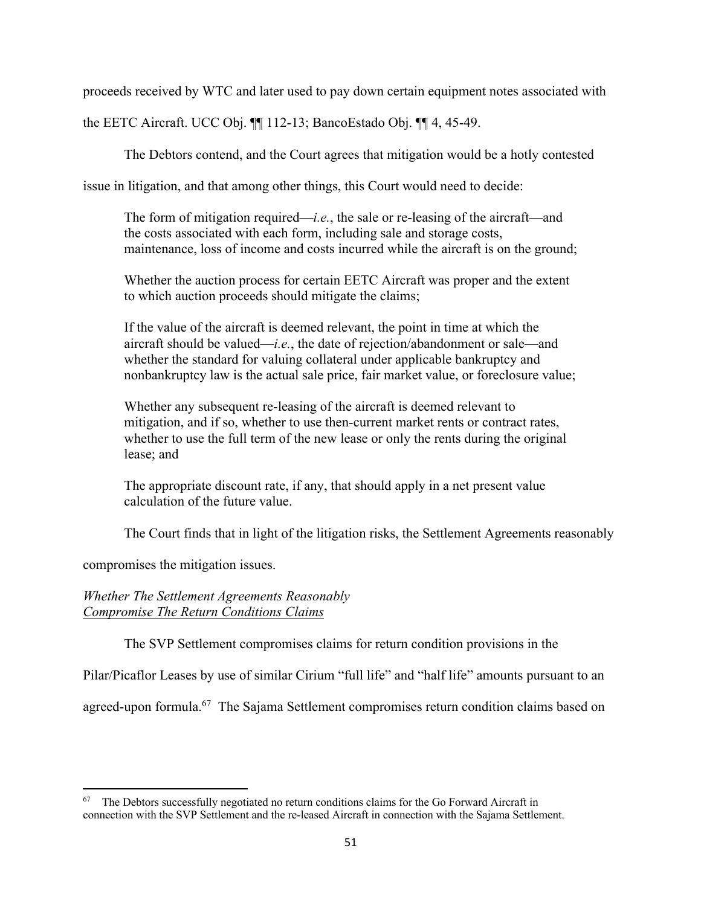proceeds received by WTC and later used to pay down certain equipment notes associated with

the EETC Aircraft. UCC Obj. ¶¶ 112-13; BancoEstado Obj. ¶¶ 4, 45-49.

The Debtors contend, and the Court agrees that mitigation would be a hotly contested

issue in litigation, and that among other things, this Court would need to decide:

The form of mitigation required—*i.e.*, the sale or re-leasing of the aircraft—and the costs associated with each form, including sale and storage costs, maintenance, loss of income and costs incurred while the aircraft is on the ground;

Whether the auction process for certain EETC Aircraft was proper and the extent to which auction proceeds should mitigate the claims;

If the value of the aircraft is deemed relevant, the point in time at which the aircraft should be valued—*i.e.*, the date of rejection/abandonment or sale—and whether the standard for valuing collateral under applicable bankruptcy and nonbankruptcy law is the actual sale price, fair market value, or foreclosure value;

Whether any subsequent re-leasing of the aircraft is deemed relevant to mitigation, and if so, whether to use then-current market rents or contract rates, whether to use the full term of the new lease or only the rents during the original lease; and

The appropriate discount rate, if any, that should apply in a net present value calculation of the future value.

The Court finds that in light of the litigation risks, the Settlement Agreements reasonably

compromises the mitigation issues.

*Whether The Settlement Agreements Reasonably Compromise The Return Conditions Claims* 

The SVP Settlement compromises claims for return condition provisions in the

Pilar/Picaflor Leases by use of similar Cirium "full life" and "half life" amounts pursuant to an

agreed-upon formula.<sup>67</sup> The Sajama Settlement compromises return condition claims based on

 $67$  The Debtors successfully negotiated no return conditions claims for the Go Forward Aircraft in connection with the SVP Settlement and the re-leased Aircraft in connection with the Sajama Settlement.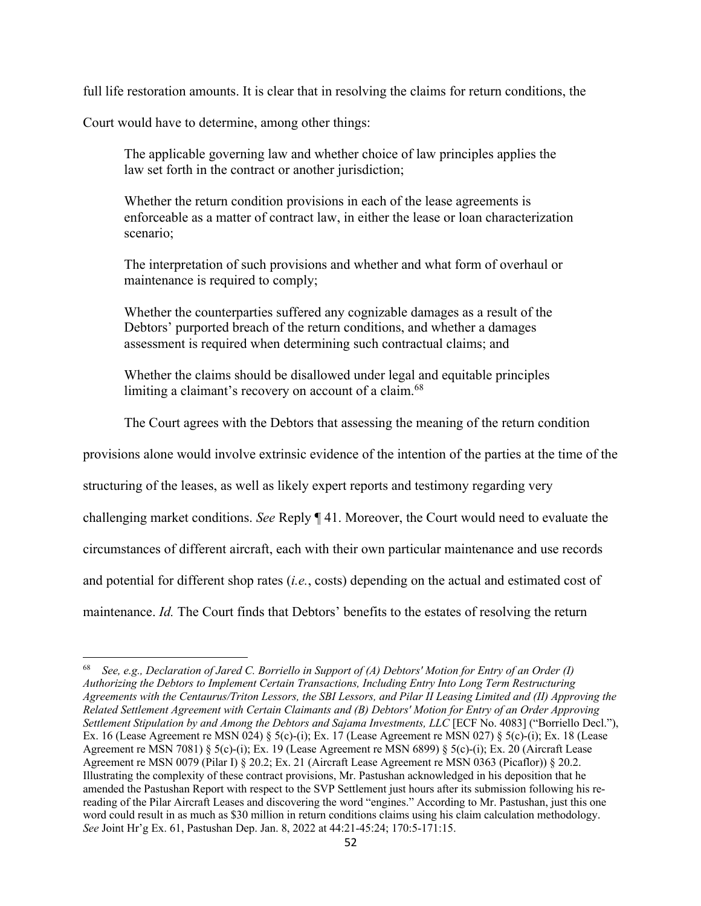full life restoration amounts. It is clear that in resolving the claims for return conditions, the

Court would have to determine, among other things:

The applicable governing law and whether choice of law principles applies the law set forth in the contract or another jurisdiction;

Whether the return condition provisions in each of the lease agreements is enforceable as a matter of contract law, in either the lease or loan characterization scenario;

The interpretation of such provisions and whether and what form of overhaul or maintenance is required to comply;

Whether the counterparties suffered any cognizable damages as a result of the Debtors' purported breach of the return conditions, and whether a damages assessment is required when determining such contractual claims; and

Whether the claims should be disallowed under legal and equitable principles limiting a claimant's recovery on account of a claim.<sup>68</sup>

The Court agrees with the Debtors that assessing the meaning of the return condition

provisions alone would involve extrinsic evidence of the intention of the parties at the time of the

structuring of the leases, as well as likely expert reports and testimony regarding very

challenging market conditions. *See* Reply ¶ 41. Moreover, the Court would need to evaluate the

circumstances of different aircraft, each with their own particular maintenance and use records

and potential for different shop rates (*i.e.*, costs) depending on the actual and estimated cost of

maintenance. *Id.* The Court finds that Debtors' benefits to the estates of resolving the return

<sup>68</sup> *See, e.g., Declaration of Jared C. Borriello in Support of (A) Debtors' Motion for Entry of an Order (I) Authorizing the Debtors to Implement Certain Transactions, Including Entry Into Long Term Restructuring Agreements with the Centaurus/Triton Lessors, the SBI Lessors, and Pilar II Leasing Limited and (II) Approving the Related Settlement Agreement with Certain Claimants and (B) Debtors' Motion for Entry of an Order Approving Settlement Stipulation by and Among the Debtors and Sajama Investments, LLC* [ECF No. 4083] ("Borriello Decl."), Ex. 16 (Lease Agreement re MSN 024) § 5(c)-(i); Ex. 17 (Lease Agreement re MSN 027) § 5(c)-(i); Ex. 18 (Lease Agreement re MSN 7081) § 5(c)-(i); Ex. 19 (Lease Agreement re MSN 6899) § 5(c)-(i); Ex. 20 (Aircraft Lease Agreement re MSN 0079 (Pilar I) § 20.2; Ex. 21 (Aircraft Lease Agreement re MSN 0363 (Picaflor)) § 20.2. Illustrating the complexity of these contract provisions, Mr. Pastushan acknowledged in his deposition that he amended the Pastushan Report with respect to the SVP Settlement just hours after its submission following his rereading of the Pilar Aircraft Leases and discovering the word "engines." According to Mr. Pastushan, just this one word could result in as much as \$30 million in return conditions claims using his claim calculation methodology. *See* Joint Hr'g Ex. 61, Pastushan Dep. Jan. 8, 2022 at 44:21-45:24; 170:5-171:15.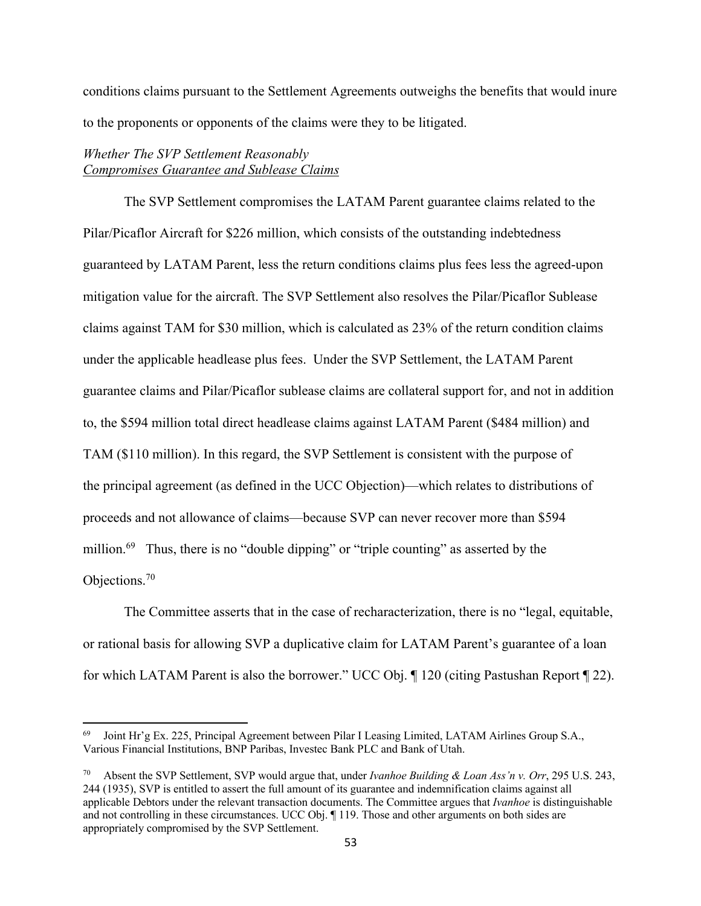conditions claims pursuant to the Settlement Agreements outweighs the benefits that would inure to the proponents or opponents of the claims were they to be litigated.

# *Whether The SVP Settlement Reasonably Compromises Guarantee and Sublease Claims*

The SVP Settlement compromises the LATAM Parent guarantee claims related to the Pilar/Picaflor Aircraft for \$226 million, which consists of the outstanding indebtedness guaranteed by LATAM Parent, less the return conditions claims plus fees less the agreed-upon mitigation value for the aircraft. The SVP Settlement also resolves the Pilar/Picaflor Sublease claims against TAM for \$30 million, which is calculated as 23% of the return condition claims under the applicable headlease plus fees. Under the SVP Settlement, the LATAM Parent guarantee claims and Pilar/Picaflor sublease claims are collateral support for, and not in addition to, the \$594 million total direct headlease claims against LATAM Parent (\$484 million) and TAM (\$110 million). In this regard, the SVP Settlement is consistent with the purpose of the principal agreement (as defined in the UCC Objection)—which relates to distributions of proceeds and not allowance of claims—because SVP can never recover more than \$594 million.<sup>69</sup> Thus, there is no "double dipping" or "triple counting" as asserted by the Objections.70

The Committee asserts that in the case of recharacterization, there is no "legal, equitable, or rational basis for allowing SVP a duplicative claim for LATAM Parent's guarantee of a loan for which LATAM Parent is also the borrower." UCC Obj. ¶ 120 (citing Pastushan Report ¶ 22).

Joint Hr'g Ex. 225, Principal Agreement between Pilar I Leasing Limited, LATAM Airlines Group S.A., Various Financial Institutions, BNP Paribas, Investec Bank PLC and Bank of Utah.

<sup>70</sup> Absent the SVP Settlement, SVP would argue that, under *Ivanhoe Building & Loan Ass'n v. Orr*, 295 U.S. 243, 244 (1935), SVP is entitled to assert the full amount of its guarantee and indemnification claims against all applicable Debtors under the relevant transaction documents. The Committee argues that *Ivanhoe* is distinguishable and not controlling in these circumstances. UCC Obj. ¶ 119. Those and other arguments on both sides are appropriately compromised by the SVP Settlement.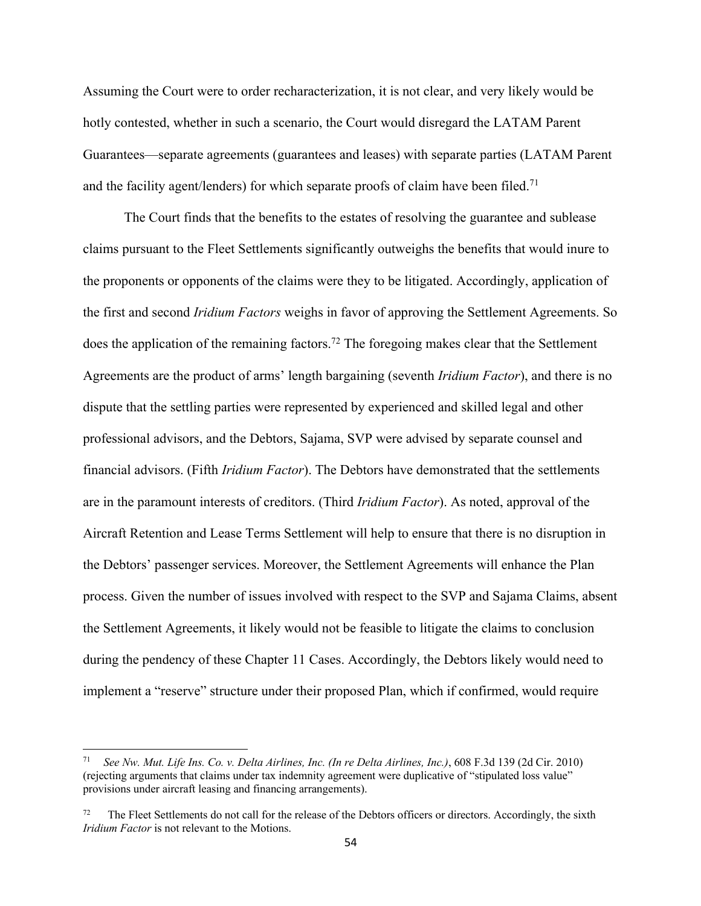Assuming the Court were to order recharacterization, it is not clear, and very likely would be hotly contested, whether in such a scenario, the Court would disregard the LATAM Parent Guarantees—separate agreements (guarantees and leases) with separate parties (LATAM Parent and the facility agent/lenders) for which separate proofs of claim have been filed.<sup>71</sup>

The Court finds that the benefits to the estates of resolving the guarantee and sublease claims pursuant to the Fleet Settlements significantly outweighs the benefits that would inure to the proponents or opponents of the claims were they to be litigated. Accordingly, application of the first and second *Iridium Factors* weighs in favor of approving the Settlement Agreements. So does the application of the remaining factors.<sup>72</sup> The foregoing makes clear that the Settlement Agreements are the product of arms' length bargaining (seventh *Iridium Factor*), and there is no dispute that the settling parties were represented by experienced and skilled legal and other professional advisors, and the Debtors, Sajama, SVP were advised by separate counsel and financial advisors. (Fifth *Iridium Factor*). The Debtors have demonstrated that the settlements are in the paramount interests of creditors. (Third *Iridium Factor*). As noted, approval of the Aircraft Retention and Lease Terms Settlement will help to ensure that there is no disruption in the Debtors' passenger services. Moreover, the Settlement Agreements will enhance the Plan process. Given the number of issues involved with respect to the SVP and Sajama Claims, absent the Settlement Agreements, it likely would not be feasible to litigate the claims to conclusion during the pendency of these Chapter 11 Cases. Accordingly, the Debtors likely would need to implement a "reserve" structure under their proposed Plan, which if confirmed, would require

<sup>71</sup> *See Nw. Mut. Life Ins. Co. v. Delta Airlines, Inc. (In re Delta Airlines, Inc.)*, 608 F.3d 139 (2d Cir. 2010) (rejecting arguments that claims under tax indemnity agreement were duplicative of "stipulated loss value" provisions under aircraft leasing and financing arrangements).

The Fleet Settlements do not call for the release of the Debtors officers or directors. Accordingly, the sixth *Iridium Factor* is not relevant to the Motions.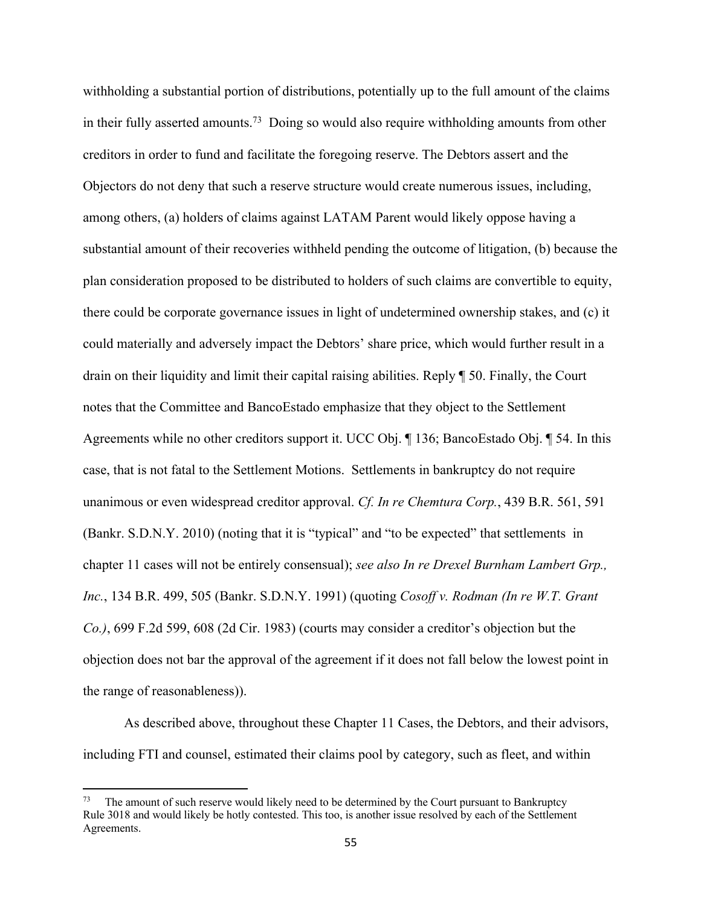withholding a substantial portion of distributions, potentially up to the full amount of the claims in their fully asserted amounts.<sup>73</sup> Doing so would also require withholding amounts from other creditors in order to fund and facilitate the foregoing reserve. The Debtors assert and the Objectors do not deny that such a reserve structure would create numerous issues, including, among others, (a) holders of claims against LATAM Parent would likely oppose having a substantial amount of their recoveries withheld pending the outcome of litigation, (b) because the plan consideration proposed to be distributed to holders of such claims are convertible to equity, there could be corporate governance issues in light of undetermined ownership stakes, and (c) it could materially and adversely impact the Debtors' share price, which would further result in a drain on their liquidity and limit their capital raising abilities. Reply ¶ 50. Finally, the Court notes that the Committee and BancoEstado emphasize that they object to the Settlement Agreements while no other creditors support it. UCC Obj. ¶ 136; BancoEstado Obj. ¶ 54. In this case, that is not fatal to the Settlement Motions. Settlements in bankruptcy do not require unanimous or even widespread creditor approval. *Cf. In re Chemtura Corp.*, 439 B.R. 561, 591 (Bankr. S.D.N.Y. 2010) (noting that it is "typical" and "to be expected" that settlements in chapter 11 cases will not be entirely consensual); *see also In re Drexel Burnham Lambert Grp., Inc.*, 134 B.R. 499, 505 (Bankr. S.D.N.Y. 1991) (quoting *Cosoff v. Rodman (In re W.T. Grant Co.)*, 699 F.2d 599, 608 (2d Cir. 1983) (courts may consider a creditor's objection but the objection does not bar the approval of the agreement if it does not fall below the lowest point in the range of reasonableness)).

As described above, throughout these Chapter 11 Cases, the Debtors, and their advisors, including FTI and counsel, estimated their claims pool by category, such as fleet, and within

The amount of such reserve would likely need to be determined by the Court pursuant to Bankruptcy Rule 3018 and would likely be hotly contested. This too, is another issue resolved by each of the Settlement Agreements.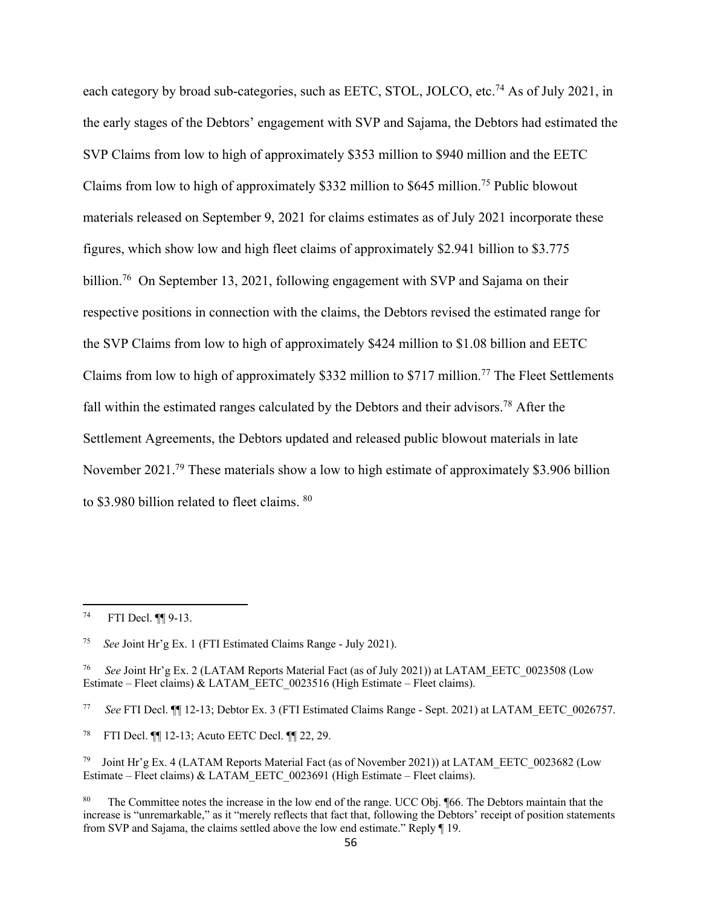each category by broad sub-categories, such as EETC, STOL, JOLCO, etc.<sup>74</sup> As of July 2021, in the early stages of the Debtors' engagement with SVP and Sajama, the Debtors had estimated the SVP Claims from low to high of approximately \$353 million to \$940 million and the EETC Claims from low to high of approximately \$332 million to \$645 million.75 Public blowout materials released on September 9, 2021 for claims estimates as of July 2021 incorporate these figures, which show low and high fleet claims of approximately \$2.941 billion to \$3.775 billion.<sup>76</sup> On September 13, 2021, following engagement with SVP and Sajama on their respective positions in connection with the claims, the Debtors revised the estimated range for the SVP Claims from low to high of approximately \$424 million to \$1.08 billion and EETC Claims from low to high of approximately \$332 million to \$717 million.<sup>77</sup> The Fleet Settlements fall within the estimated ranges calculated by the Debtors and their advisors.<sup>78</sup> After the Settlement Agreements, the Debtors updated and released public blowout materials in late November 2021.<sup>79</sup> These materials show a low to high estimate of approximately \$3.906 billion to \$3.980 billion related to fleet claims. 80

<sup>74</sup> FTI Decl. ¶¶ 9-13.

<sup>75</sup> *See* Joint Hr'g Ex. 1 (FTI Estimated Claims Range - July 2021).

<sup>76</sup> *See* Joint Hr'g Ex. 2 (LATAM Reports Material Fact (as of July 2021)) at LATAM\_EETC\_0023508 (Low Estimate – Fleet claims) & LATAM\_EETC\_0023516 (High Estimate – Fleet claims).

<sup>77</sup> *See* FTI Decl. ¶¶ 12-13; Debtor Ex. 3 (FTI Estimated Claims Range - Sept. 2021) at LATAM\_EETC\_0026757.

<sup>78</sup> FTI Decl. ¶¶ 12-13; Acuto EETC Decl. ¶¶ 22, 29.

<sup>79</sup> Joint Hr'g Ex. 4 (LATAM Reports Material Fact (as of November 2021)) at LATAM\_EETC\_0023682 (Low Estimate – Fleet claims) & LATAM\_EETC\_0023691 (High Estimate – Fleet claims).

<sup>&</sup>lt;sup>80</sup> The Committee notes the increase in the low end of the range. UCC Obj. ¶66. The Debtors maintain that the increase is "unremarkable," as it "merely reflects that fact that, following the Debtors' receipt of position statements from SVP and Sajama, the claims settled above the low end estimate." Reply ¶ 19.